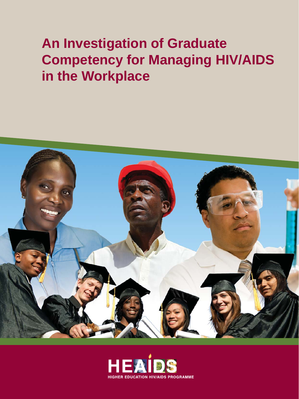# **An Investigation of Graduate Competency for Managing HIV/AIDS in the Workplace**



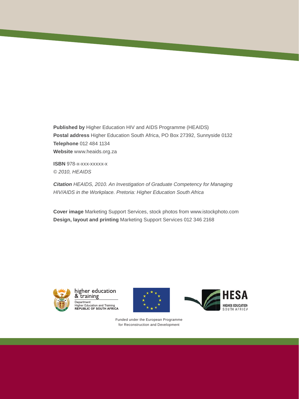**Published by** Higher Education HIV and AIDS Programme (HEAIDS) **Postal address** Higher Education South Africa, PO Box 27392, Sunnyside 0132 **Telephone** 012 484 1134 **Website** www.heaids.org.za

**ISBN** 978-x-xxx-xxxxx-x *© 2010, HEAIDS*

*Citation HEAIDS, 2010. An Investigation of Graduate Competency for Managing HIV/AIDS in the Workplace. Pretoria: Higher Education South Africa*

**Cover image** Marketing Support Services, stock photos from www.istockphoto.com **Design, layout and printing** Marketing Support Services 012 346 2168



higher education<br>& training Department: Department:<br>Higher Education and Training<br>REPUBLIC OF SOUTH AFRICA



Funded under the European Programme for Reconstruction and Development

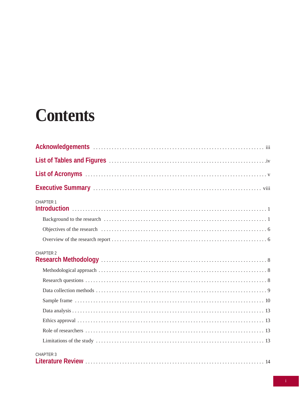# **Contents**

| <b>CHAPTER 1</b> |
|------------------|
|                  |
|                  |
|                  |
| <b>CHAPTER 2</b> |
|                  |
|                  |
|                  |
|                  |
|                  |
|                  |
|                  |
|                  |
| <b>CHAPTER 3</b> |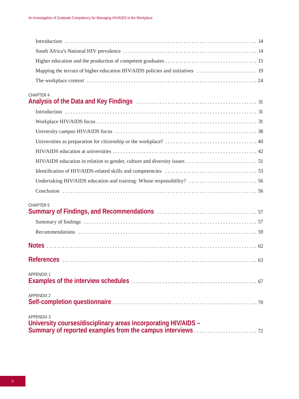| <b>CHAPTER 4</b>                                                       |  |
|------------------------------------------------------------------------|--|
|                                                                        |  |
|                                                                        |  |
|                                                                        |  |
|                                                                        |  |
|                                                                        |  |
|                                                                        |  |
|                                                                        |  |
| Undertaking HIV/AIDS education and training: Whose responsibility?  56 |  |
|                                                                        |  |
|                                                                        |  |
| <b>CHAPTER 5</b>                                                       |  |
|                                                                        |  |
|                                                                        |  |
|                                                                        |  |
|                                                                        |  |
|                                                                        |  |
| <b>APPENDIX1</b>                                                       |  |
|                                                                        |  |
| <b>APPENDIX 2</b>                                                      |  |
|                                                                        |  |
| <b>APPENDIX 3</b>                                                      |  |
| University courses/disciplinary areas incorporating HIV/AIDS -         |  |
|                                                                        |  |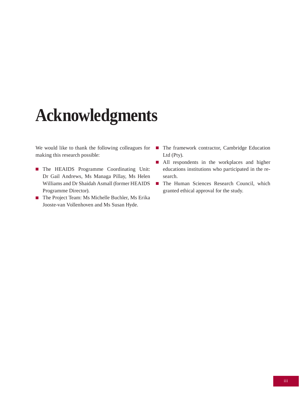# **Acknowledgments**

We would like to thank the following colleagues for making this research possible:

- The HEAIDS Programme Coordinating Unit: Dr Gail Andrews, Ms Managa Pillay, Ms Helen Williams and Dr Shaidah Asmall (former HEAIDS Programme Director).
- The Project Team: Ms Michelle Buchler, Ms Erika Jooste-van Vollenhoven and Ms Susan Hyde.
- The framework contractor, Cambridge Education Ltd (Pty).
- All respondents in the workplaces and higher educations institutions who participated in the research.
- The Human Sciences Research Council, which granted ethical approval for the study.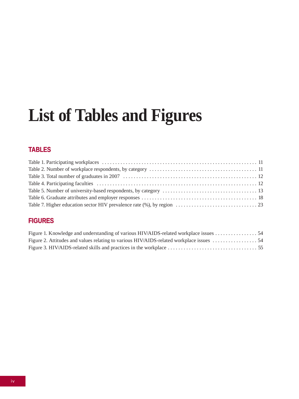# **List of Tables and Figures**

# **TABLES**

## **FIGURES**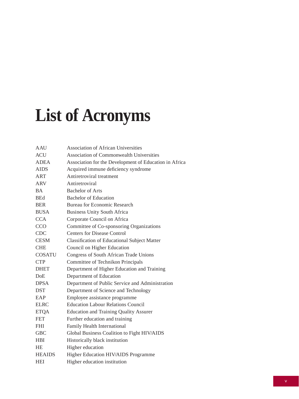# **List of Acronyms**

| AAU           | <b>Association of African Universities</b>             |  |  |
|---------------|--------------------------------------------------------|--|--|
| <b>ACU</b>    | <b>Association of Commonwealth Universities</b>        |  |  |
| <b>ADEA</b>   | Association for the Development of Education in Africa |  |  |
| <b>AIDS</b>   | Acquired immune deficiency syndrome                    |  |  |
| <b>ART</b>    | Antiretroviral treatment                               |  |  |
| <b>ARV</b>    | Antiretroviral                                         |  |  |
| <b>BA</b>     | <b>Bachelor of Arts</b>                                |  |  |
| <b>BEd</b>    | <b>Bachelor of Education</b>                           |  |  |
| <b>BER</b>    | Bureau for Economic Research                           |  |  |
| <b>BUSA</b>   | <b>Business Unity South Africa</b>                     |  |  |
| <b>CCA</b>    | Corporate Council on Africa                            |  |  |
| <b>CCO</b>    | Committee of Co-sponsoring Organizations               |  |  |
| <b>CDC</b>    | Centers for Disease Control                            |  |  |
| <b>CESM</b>   | <b>Classification of Educational Subject Matter</b>    |  |  |
| <b>CHE</b>    | Council on Higher Education                            |  |  |
| <b>COSATU</b> | Congress of South African Trade Unions                 |  |  |
| <b>CTP</b>    | Committee of Technikon Principals                      |  |  |
| <b>DHET</b>   | Department of Higher Education and Training            |  |  |
| DoE           | Department of Education                                |  |  |
| <b>DPSA</b>   | Department of Public Service and Administration        |  |  |
| <b>DST</b>    | Department of Science and Technology                   |  |  |
| EAP           | Employee assistance programme                          |  |  |
| <b>ELRC</b>   | <b>Education Labour Relations Council</b>              |  |  |
| <b>ETQA</b>   | <b>Education and Training Quality Assurer</b>          |  |  |
| <b>FET</b>    | Further education and training                         |  |  |
| <b>FHI</b>    | Family Health International                            |  |  |
| <b>GBC</b>    | Global Business Coalition to Fight HIV/AIDS            |  |  |
| <b>HBI</b>    | Historically black institution                         |  |  |
| <b>HE</b>     | Higher education                                       |  |  |
| <b>HEAIDS</b> | Higher Education HIV/AIDS Programme                    |  |  |
| <b>HEI</b>    | Higher education institution                           |  |  |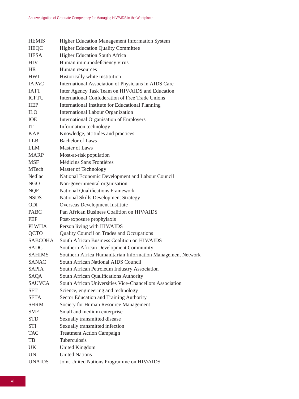| <b>HEMIS</b>   | <b>Higher Education Management Information System</b>       |  |  |  |
|----------------|-------------------------------------------------------------|--|--|--|
| <b>HEQC</b>    | <b>Higher Education Quality Committee</b>                   |  |  |  |
| <b>HESA</b>    | <b>Higher Education South Africa</b>                        |  |  |  |
| <b>HIV</b>     | Human immunodeficiency virus                                |  |  |  |
| <b>HR</b>      | Human resources                                             |  |  |  |
| <b>HWI</b>     | Historically white institution                              |  |  |  |
| <b>IAPAC</b>   | International Association of Physicians in AIDS Care        |  |  |  |
| <b>IATT</b>    | Inter Agency Task Team on HIV/AIDS and Education            |  |  |  |
| <b>ICFTU</b>   | <b>International Confederation of Free Trade Unions</b>     |  |  |  |
| <b>IIEP</b>    | <b>International Institute for Educational Planning</b>     |  |  |  |
| <b>ILO</b>     | <b>International Labour Organization</b>                    |  |  |  |
| IOE            | <b>International Organisation of Employers</b>              |  |  |  |
| IT             | Information technology                                      |  |  |  |
| <b>KAP</b>     | Knowledge, attitudes and practices                          |  |  |  |
| <b>LLB</b>     | <b>Bachelor</b> of Laws                                     |  |  |  |
| <b>LLM</b>     | Master of Laws                                              |  |  |  |
| <b>MARP</b>    | Most-at-risk population                                     |  |  |  |
| <b>MSF</b>     | Médicins Sans Frontières                                    |  |  |  |
| <b>MTech</b>   | Master of Technology                                        |  |  |  |
| Nedlac         | National Economic Development and Labour Council            |  |  |  |
| <b>NGO</b>     | Non-governmental organisation                               |  |  |  |
| <b>NQF</b>     | National Qualifications Framework                           |  |  |  |
| <b>NSDS</b>    | <b>National Skills Development Strategy</b>                 |  |  |  |
| ODI            | Overseas Development Institute                              |  |  |  |
| <b>PABC</b>    | Pan African Business Coalition on HIV/AIDS                  |  |  |  |
| <b>PEP</b>     | Post-exposure prophylaxis                                   |  |  |  |
| <b>PLWHA</b>   | Person living with HIV/AIDS                                 |  |  |  |
| <b>QCTO</b>    | Quality Council on Trades and Occupations                   |  |  |  |
| <b>SABCOHA</b> | South African Business Coalition on HIV/AIDS                |  |  |  |
| <b>SADC</b>    | Southern African Development Community                      |  |  |  |
| <b>SAHIMS</b>  | Southern Africa Humanitarian Information Management Network |  |  |  |
| <b>SANAC</b>   | South African National AIDS Council                         |  |  |  |
| <b>SAPIA</b>   | South African Petroleum Industry Association                |  |  |  |
| <b>SAQA</b>    | South African Qualifications Authority                      |  |  |  |
| <b>SAUVCA</b>  | South African Universities Vice-Chancellors Association     |  |  |  |
| <b>SET</b>     | Science, engineering and technology                         |  |  |  |
| <b>SETA</b>    | Sector Education and Training Authority                     |  |  |  |
| <b>SHRM</b>    | Society for Human Resource Management                       |  |  |  |
| <b>SME</b>     | Small and medium enterprise                                 |  |  |  |
| <b>STD</b>     | Sexually transmitted disease                                |  |  |  |
| STI            | Sexually transmitted infection                              |  |  |  |
| <b>TAC</b>     | <b>Treatment Action Campaign</b>                            |  |  |  |
| TB             | Tuberculosis                                                |  |  |  |
| UK             | <b>United Kingdom</b>                                       |  |  |  |
| <b>UN</b>      | <b>United Nations</b>                                       |  |  |  |
| <b>UNAIDS</b>  | Joint United Nations Programme on HIV/AIDS                  |  |  |  |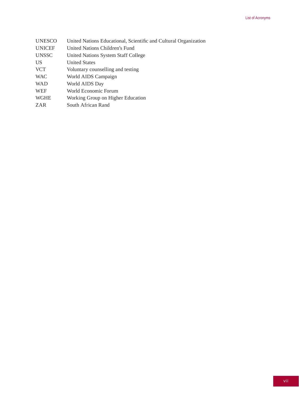| United Nations Educational, Scientific and Cultural Organization |  |  |
|------------------------------------------------------------------|--|--|
| United Nations Children's Fund                                   |  |  |
| United Nations System Staff College                              |  |  |
| <b>United States</b>                                             |  |  |
| Voluntary counselling and testing                                |  |  |
| World AIDS Campaign                                              |  |  |
| World AIDS Day                                                   |  |  |
| World Economic Forum                                             |  |  |
| Working Group on Higher Education                                |  |  |
| South African Rand                                               |  |  |
|                                                                  |  |  |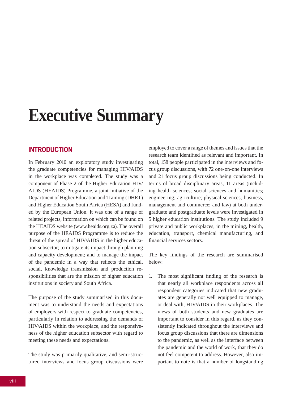# **Executive Summary**

### **INTRODUCTION**

In February 2010 an exploratory study investigating the graduate competencies for managing HIV/AIDS in the workplace was completed. The study was a component of Phase 2 of the Higher Education HIV/ AIDS (HEAIDS) Programme, a joint initiative of the Department of Higher Education and Training (DHET) and Higher Education South Africa (HESA) and funded by the European Union. It was one of a range of related projects, information on which can be found on the HEAIDS website (www.heaids.org.za). The overall purpose of the HEAIDS Programme is to reduce the threat of the spread of HIV/AIDS in the higher education subsector; to mitigate its impact through planning and capacity development; and to manage the impact of the pandemic in a way that reflects the ethical, social, knowledge transmission and production responsibilities that are the mission of higher education institutions in society and South Africa.

The purpose of the study summarised in this document was to understand the needs and expectations of employers with respect to graduate competencies, particularly in relation to addressing the demands of HIV/AIDS within the workplace, and the responsiveness of the higher education subsector with regard to meeting these needs and expectations.

The study was primarily qualitative, and semi-structured interviews and focus group discussions were employed to cover a range of themes and issues that the research team identified as relevant and important. In total, 158 people participated in the interviews and focus group discussions, with 72 one-on-one interviews and 21 focus group discussions being conducted. In terms of broad disciplinary areas, 11 areas (including health sciences; social sciences and humanities; engineering; agriculture; physical sciences; business, management and commerce; and law) at both undergraduate and postgraduate levels were investigated in 5 higher education institutions. The study included 9 private and public workplaces, in the mining, health, education, transport, chemical manufacturing, and financial services sectors.

The key findings of the research are summarised below:

1. The most significant finding of the research is that nearly all workplace respondents across all respondent categories indicated that new graduates are generally not well equipped to manage, or deal with, HIV/AIDS in their workplaces. The views of both students and new graduates are important to consider in this regard, as they consistently indicated throughout the interviews and focus group discussions that there are dimensions to the pandemic, as well as the interface between the pandemic and the world of work, that they do not feel competent to address. However, also important to note is that a number of longstanding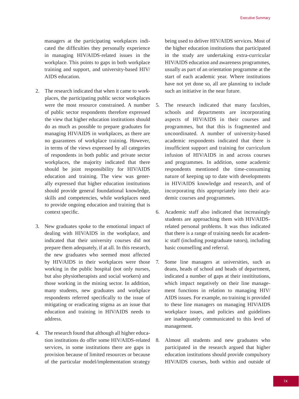managers at the participating workplaces indicated the difficulties they personally experience in managing HIV/AIDS-related issues in the workplace. This points to gaps in both workplace training and support, and university-based HIV/ AIDS education.

- 2. The research indicated that when it came to workplaces, the participating public sector workplaces were the most resource constrained. A number of public sector respondents therefore expressed the view that higher education institutions should do as much as possible to prepare graduates for managing HIV/AIDS in workplaces, as there are no guarantees of workplace training. However, in terms of the views expressed by all categories of respondents in both public and private sector workplaces, the majority indicated that there should be joint responsibility for HIV/AIDS education and training. The view was generally expressed that higher education institutions should provide general foundational knowledge, skills and competencies, while workplaces need to provide ongoing education and training that is context specific.
- 3. New graduates spoke to the emotional impact of dealing with HIV/AIDS in the workplace, and indicated that their university courses did not prepare them adequately, if at all. In this research, the new graduates who seemed most affected by HIV/AIDS in their workplaces were those working in the public hospital (not only nurses, but also physiotherapists and social workers) and those working in the mining sector. In addition, many students, new graduates and workplace respondents referred specifically to the issue of mitigating or eradicating stigma as an issue that education and training in HIV/AIDS needs to address.
- 4. The research found that although all higher education institutions do offer some HIV/AIDS-related services, in some institutions there are gaps in provision because of limited resources or because of the particular model/implementation strategy

being used to deliver HIV/AIDS services. Most of the higher education institutions that participated in the study are undertaking extra-curricular HIV/AIDS education and awareness programmes, usually as part of an orientation programme at the start of each academic year. Where institutions have not yet done so, all are planning to include such an initiative in the near future.

- 5. The research indicated that many faculties, schools and departments are incorporating aspects of HIV/AIDS in their courses and programmes, but that this is fragmented and uncoordinated. A number of university-based academic respondents indicated that there is insufficient support and training for curriculum infusion of HIV/AIDS in and across courses and programmes. In addition, some academic respondents mentioned the time-consuming nature of keeping up to date with developments in HIV/AIDS knowledge and research, and of incorporating this appropriately into their academic courses and programmes.
- 6. Academic staff also indicated that increasingly students are approaching them with HIV/AIDSrelated personal problems. It was thus indicated that there is a range of training needs for academic staff (including postgraduate tutors), including basic counselling and referral.
- 7. Some line managers at universities, such as deans, heads of school and heads of department, indicated a number of gaps at their instititutions, which impact negatively on their line management functions in relation to managing HIV/ AIDS issues. For example, no training is provided to these line managers on managing HIV/AIDS workplace issues, and policies and guidelines are inadequately communicated to this level of management.
- 8. Almost all students and new graduates who participated in the research argued that higher education institutions should provide compulsory HIV/AIDS courses, both within and outside of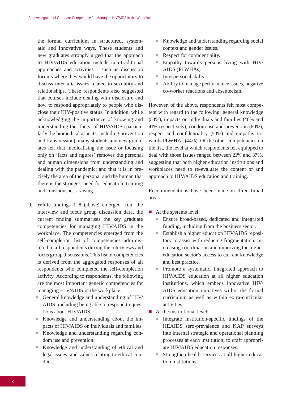the formal curriculum in structured, systematic and innovative ways. These students and new graduates strongly urged that the approach to HIV/AIDS education include non-traditional approaches and activities – such as discussion forums where they would have the opportunity to discuss inter alia issues related to sexuality and relationships. These respondents also suggested that courses include dealing with disclosure and how to respond appropriately to people who disclose their HIV-positive status. In addition, while acknowledging the importance of knowing and understanding the 'facts' of HIV/AIDS (particularly the biomedical aspects, including prevention and transmission), many students and new graduates felt that medicalising the issue or focusing only on 'facts and figures' removes the personal and human dimensions from understanding and dealing with the pandemic; and that it is in precisely the area of the personal and the human that there is the strongest need for education, training and consciousness-raising.

- 9. While findings  $1-8$  (above) emerged from the interview and focus group discussion data, the current finding summarises the key graduate competencies for managing HIV/AIDS in the workplace. The competencies emerged from the self-completion list of competencies administered to all respondents during the interviews and focus group discussions. This list of competencies is derived from the aggregated responses of all respondents who completed the self-completion activity. According to respondents, the following are the most important generic competencies for managing HIV/AIDS in the workplace:
	- General knowledge and understanding of HIV/ AIDS, including being able to respond to questions about HIV/AIDS.
	- Knowledge and understanding about the impacts of HIV/AIDS on individuals and families.
	- Knowledge and understanding regarding condom use and prevention.
	- Knowledge and understanding of ethical and legal issues, and values relating to ethical conduct.
- Knowledge and understanding regarding social context and gender issues.
- $\blacksquare$  Respect for confidentiality.
- Empathy towards persons living with HIV/ AIDS (PLWHAs).
- Interpersonal skills.
- Ability to manage performance issues, negative co-worker reactions and absenteeism.

However, of the above, respondents felt most competent with regard to the following: general knowledge (54%), impacts on individuals and families (46% and 41% respectively), condom use and prevention (60%), respect and confidentiality  $(50\%)$  and empathy towards PLWHAs (44%). Of the other competencies on the list, the level at which respondents felt equipped to deal with those issues ranged between 21% and 37%, suggesting that both higher education institutions and workplaces need to re-evaluate the content of and approach to HIV/AIDS education and training.

Recommendations have been made in three broad areas:

- At the systems level:
	- Ensure broad-based, dedicated and integrated funding, including from the business sector.
	- Establish a higher education HIV/AIDS repository to assist with reducing fragmentation, increasing coordination and improving the higher education sector's access to current knowledge and best practice.
	- Promote a systematic, integrated approach to HIV/AIDS education at all higher education institutions, which embeds innovative HIV/ AIDS education initiatives within the formal curriculum as well as within extra-curricular activities.
- At the institutional level:
	- Integrate institution-specific findings of the HEAIDS sero-prevalence and KAP surveys into internal strategic and operational planning processes at each institution, to craft appropriate HIV/AIDS education responses.
	- Strengthen health services at all higher education institutions.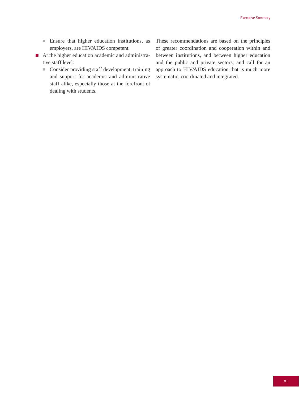- Ensure that higher education institutions, as employers, are HIV/AIDS competent.
- At the higher education academic and administrative staff level:
	- Consider providing staff development, training and support for academic and administrative staff alike, especially those at the forefront of dealing with students.

These recommendations are based on the principles of greater coordination and cooperation within and between institutions, and between higher education and the public and private sectors; and call for an approach to HIV/AIDS education that is much more systematic, coordinated and integrated.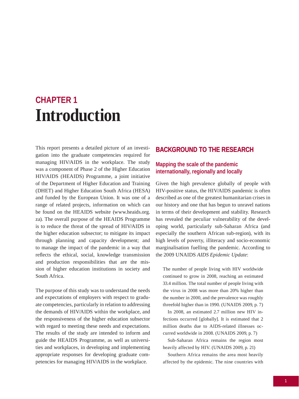# **CHAPTER 1 Introduction**

This report presents a detailed picture of an investigation into the graduate competencies required for managing HIV/AIDS in the workplace. The study was a component of Phase 2 of the Higher Education HIV/AIDS (HEAIDS) Programme, a joint initiative of the Department of Higher Education and Training (DHET) and Higher Education South Africa (HESA) and funded by the European Union. It was one of a range of related projects, information on which can be found on the HEAIDS website (www.heaids.org. za). The overall purpose of the HEAIDS Programme is to reduce the threat of the spread of HIV/AIDS in the higher education subsector; to mitigate its impact through planning and capacity development; and to manage the impact of the pandemic in a way that reflects the ethical, social, knowledge transmission and production responsibilities that are the mission of higher education institutions in society and South Africa.

The purpose of this study was to understand the needs and expectations of employers with respect to graduate competencies, particularly in relation to addressing the demands of HIV/AIDS within the workplace, and the responsiveness of the higher education subsector with regard to meeting these needs and expectations. The results of the study are intended to inform and guide the HEAIDS Programme, as well as universities and workplaces, in developing and implementing appropriate responses for developing graduate competencies for managing HIV/AIDS in the workplace.

### **BACKGROUND TO THE RESEARCH**

#### **Mapping the scale of the pandemic internationally, regionally and locally**

Given the high prevalence globally of people with HIV-positive status, the HIV/AIDS pandemic is often described as one of the greatest humanitarian crises in our history and one that has begun to unravel nations in terms of their development and stability. Research has revealed the peculiar vulnerability of the developing world, particularly sub-Saharan Africa (and especially the southern African sub-region), with its high levels of poverty, illiteracy and socio-economic marginalisation fuelling the pandemic. According to the 2009 UNAIDS *AIDS Epidemic Update*:

The number of people living with HIV worldwide continued to grow in 2008, reaching an estimated 33.4 million. The total number of people living with the virus in 2008 was more than 20% higher than the number in 2000, and the prevalence was roughly threefold higher than in 1990. (UNAIDS 2009, p. 7)

 In 2008, an estimated 2.7 million new HIV infections occurred [globally]. It is estimated that 2 million deaths due to AIDS-related illnesses occurred worldwide in 2008. (UNAIDS 2009, p. 7)

 Sub-Saharan Africa remains the region most heavily affected by HIV. (UNAIDS 2009, p. 21)

 Southern Africa remains the area most heavily affected by the epidemic. The nine countries with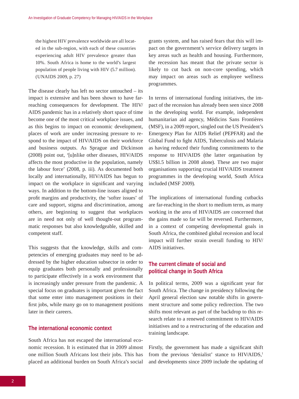the highest HIV prevalence worldwide are all located in the sub-region, with each of these countries experiencing adult HIV prevalence greater than 10%. South Africa is home to the world's largest population of people living with HIV (5.7 million). (UNAIDS 2009, p. 27)

The disease clearly has left no sector untouched – its impact is extensive and has been shown to have farreaching consequences for development. The HIV/ AIDS pandemic has in a relatively short space of time become one of the most critical workplace issues, and as this begins to impact on economic development, places of work are under increasing pressure to respond to the impact of HIV/AIDS on their workforce and business outputs. As Sprague and Dickinson (2008) point out, '[u]nlike other diseases, HIV/AIDS affects the most productive in the population, namely the labour force' (2008, p. iii). As documented both locally and internationally, HIV/AIDS has begun to impact on the workplace in significant and varying ways. In addition to the bottom-line issues aligned to profit margins and productivity, the 'softer issues' of care and support, stigma and discrimination, among others, are beginning to suggest that workplaces are in need not only of well thought-out programmatic responses but also knowledgeable, skilled and competent staff.

This suggests that the knowledge, skills and competencies of emerging graduates may need to be addressed by the higher education subsector in order to equip graduates both personally and professionally to participate effectively in a work environment that is increasingly under pressure from the pandemic. A special focus on graduates is important given the fact that some enter into management positions in their first jobs, while many go on to management positions later in their careers.

#### **The international economic context**

South Africa has not escaped the international economic recession. It is estimated that in 2009 almost one million South Africans lost their jobs. This has placed an additional burden on South Africa's social grants system, and has raised fears that this will impact on the government's service delivery targets in key areas such as health and housing. Furthermore, the recession has meant that the private sector is likely to cut back on non-core spending, which may impact on areas such as employee wellness programmes.

In terms of international funding initiatives, the impact of the recession has already been seen since 2008 in the developing world. For example, independent humanitarian aid agency, Médicins Sans Frontières (MSF), in a 2009 report, singled out the US President's Emergency Plan for AIDS Relief (PEPFAR) and the Global Fund to fight AIDS, Tuberculosis and Malaria as having reduced their funding commitments to the response to HIV/AIDS (the latter organisation by US\$1.5 billion in 2008 alone). These are two major organisations supporting crucial HIV/AIDS treatment programmes in the developing world, South Africa included (MSF 2009).

The implications of international funding cutbacks are far-reaching in the short to medium term, as many working in the area of HIV/AIDS are concerned that the gains made so far will be reversed. Furthermore, in a context of competing developmental goals in South Africa, the combined global recession and local impact will further strain overall funding to HIV/ AIDS initiatives.

#### **The current climate of social and political change in South Africa**

In political terms, 2009 was a significant year for South Africa. The change in presidency following the April general election saw notable shifts in government structure and some policy redirection. The two shifts most relevant as part of the backdrop to this research relate to a renewed commitment to HIV/AIDS initiatives and to a restructuring of the education and training landscape.

Firstly, the government has made a significant shift from the previous 'denialist' stance to HIV/AIDS,<sup>1</sup> and developments since 2009 include the updating of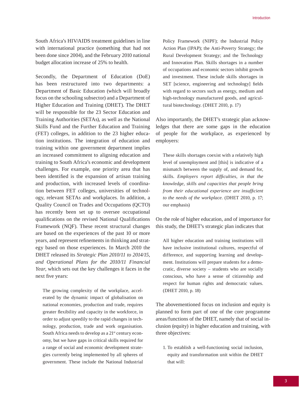South Africa's HIV/AIDS treatment guidelines in line with international practice (something that had not been done since 2004), and the February 2010 national budget allocation increase of 25% to health.

Secondly, the Department of Education (DoE) has been restructured into two departments: a Department of Basic Education (which will broadly focus on the schooling subsector) and a Department of Higher Education and Training (DHET). The DHET will be responsible for the 23 Sector Education and Training Authorities (SETAs), as well as the National Skills Fund and the Further Education and Training (FET) colleges, in addition to the 23 higher education institutions. The integration of education and training within one government department implies an increased commitment to aligning education and training to South Africa's economic and development challenges. For example, one priority area that has been identified is the expansion of artisan training and production, with increased levels of coordination between FET colleges, universities of technology, relevant SETAs and workplaces. In addition, a Quality Council on Trades and Occupations (QCTO) has recently been set up to oversee occupational qualifications on the revised National Qualifications Framework (NQF). These recent structural changes are based on the experiences of the past 10 or more years, and represent refinements in thinking and strategy based on those experiences. In March 2010 the DHET released its *Strategic Plan 2010/11 to 2014/15, and Operational Plans for the 2010/11 Financial Year*, which sets out the key challenges it faces in the next five years:

The growing complexity of the workplace, accelerated by the dynamic impact of globalisation on national economies, production and trade, requires greater flexibility and capacity in the workforce, in order to adjust speedily to the rapid changes in technology, production, trade and work organisation. South Africa needs to develop as a 21<sup>st</sup> century economy, but we have gaps in critical skills required for a range of social and economic development strategies currently being implemented by all spheres of government. These include the National Industrial

Policy Framework (NIPF); the Industrial Policy Action Plan (IPAP); the Anti-Poverty Strategy; the Rural Development Strategy; and the Technology and Innovation Plan. Skills shortages in a number of occupations and economic sectors inhibit growth and investment. These include skills shortages in SET [science, engineering and technology] fields with regard to sectors such as energy, medium and high-technology manufactured goods, and agricultural biotechnology. (DHET 2010, p. 17)

Also importantly, the DHET's strategic plan acknowledges that there are some gaps in the education of people for the workplace, as experienced by employers:

These skills shortages coexist with a relatively high level of unemployment and [this] is indicative of a mismatch between the supply of, and demand for, skills. *Employers report difficulties*, in that the *knowledge, skills and capacities that people bring from their educational experience are insufficient to the needs of the workplace*. (DHET 2010, p. 17; our emphasis)

On the role of higher education, and of importance for this study, the DHET's strategic plan indicates that

All higher education and training institutions will have inclusive institutional cultures, respectful of difference, and supporting learning and development. Institutions will prepare students for a democratic, diverse society – students who are socially conscious, who have a sense of citizenship and respect for human rights and democratic values. (DHET 2010, p. 18)

The abovementioned focus on inclusion and equity is planned to form part of one of the core programme areas/functions of the DHET, namely that of social inclusion (equity) in higher education and training, with three objectives:

1. To establish a well-functioning social inclusion, equity and transformation unit within the DHET that will: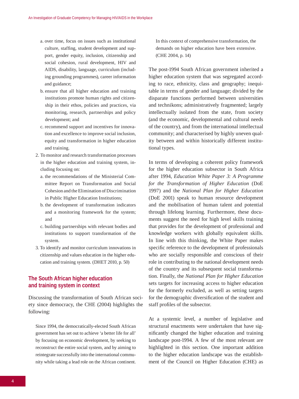- a. over time, focus on issues such as institutional culture, staffing, student development and support, gender equity, inclusion, citizenship and social cohesion, rural development, HIV and AIDS, disability, language, curriculum (including grounding programmes), career information and guidance;
- b. ensure that all higher education and training institutions promote human rights and citizenship in their ethos, policies and practices, via monitoring, research, partnerships and policy development; and
- c. recommend support and incentives for innovation and excellence to improve social inclusion, equity and transformation in higher education and training.
- 2. To monitor and research transformation processes in the higher education and training system, including focusing on:
	- a. the recommendations of the Ministerial Committee Report on Transformation and Social Cohesion and the Elimination of Discrimination in Public Higher Education Institutions;
	- b. the development of transformation indicators and a monitoring framework for the system; and
	- c. building partnerships with relevant bodies and institutions to support transformation of the system.
- 3. To identify and monitor curriculum innovations in citizenship and values education in the higher education and training system. (DHET 2010, p. 50)

#### **The South African higher education and training system in context**

Discussing the transformation of South African society since democracy, the CHE (2004) highlights the following:

Since 1994, the democratically-elected South African government has set out to achieve 'a better life for all' by focusing on economic development, by seeking to reconstruct the entire social system, and by aiming to reintegrate successfully into the international community while taking a lead role on the African continent. In this context of comprehensive transformation, the demands on higher education have been extensive. (CHE 2004, p. 14)

The post-1994 South African government inherited a higher education system that was segregated according to race, ethnicity, class and geography; inequitable in terms of gender and language; divided by the disparate functions performed between universities and technikons; administratively fragmented; largely intellectually isolated from the state, from society (and the economic, developmental and cultural needs of the country), and from the international intellectual community; and characterised by highly uneven quality between and within historically different institutional types.

In terms of developing a coherent policy framework for the higher education subsector in South Africa after 1994, *Education White Paper 3: A Programme for the Transformation of Higher Education* (DoE 1997) and the *National Plan for Higher Education*  (DoE 2001) speak to human resource development and the mobilisation of human talent and potential through lifelong learning. Furthermore, these documents suggest the need for high level skills training that provides for the development of professional and knowledge workers with globally equivalent skills. In line with this thinking, the White Paper makes specific reference to the development of professionals who are socially responsible and conscious of their role in contributing to the national development needs of the country and its subsequent social transformation. Finally, the *National Plan for Higher Education* sets targets for increasing access to higher education for the formerly excluded, as well as setting targets for the demographic diversification of the student and staff profiles of the subsector.

At a systemic level, a number of legislative and structural enactments were undertaken that have significantly changed the higher education and training landscape post-1994. A few of the most relevant are highlighted in this section. One important addition to the higher education landscape was the establishment of the Council on Higher Education (CHE) as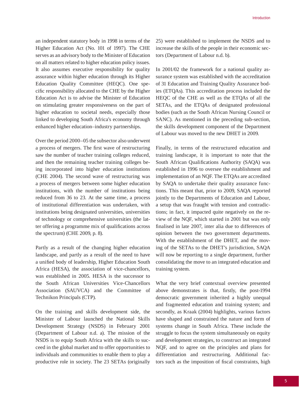an independent statutory body in 1998 in terms of the Higher Education Act (No. 101 of 1997). The CHE serves as an advisory body to the Minister of Education on all matters related to higher education policy issues. It also assumes executive responsibility for quality assurance within higher education through its Higher Education Quality Committee (HEQC). One specific responsibility allocated to the CHE by the Higher Education Act is to advise the Minister of Education on stimulating greater responsiveness on the part of higher education to societal needs, especially those linked to developing South Africa's economy through enhanced higher education–industry partnerships.

Over the period 2000–05 the subsector also underwent a process of mergers. The first wave of restructuring saw the number of teacher training colleges reduced, and then the remaining teacher training colleges being incorporated into higher education institutions (CHE 2004). The second wave of restructuring was a process of mergers between some higher education institutions, with the number of institutions being reduced from 36 to 23. At the same time, a process of institutional differentiation was undertaken, with institutions being designated universities, universities of technology or comprehensive universities (the latter offering a programme mix of qualifications across the spectrum) (CHE 2009, p. 8).

Partly as a result of the changing higher education landscape, and partly as a result of the need to have a unified body of leadership, Higher Education South Africa (HESA), the association of vice-chancellors, was established in 2005. HESA is the successor to the South African Universities Vice-Chancellors Association (SAUVCA) and the Committee of Technikon Principals (CTP).

On the training and skills development side, the Minister of Labour launched the National Skills Development Strategy (NSDS) in February 2001 (Department of Labour n.d. a). The mission of the NSDS is to equip South Africa with the skills to succeed in the global market and to offer opportunities to individuals and communities to enable them to play a productive role in society. The 23 SETAs (originally

25) were established to implement the NSDS and to increase the skills of the people in their economic sectors (Department of Labour n.d. b).

In 2001/02 the framework for a national quality assurance system was established with the accreditation of 31 Education and Training Quality Assurance bodies (ETQAs). This accreditation process included the HEQC of the CHE as well as the ETQAs of all the SETAs, and the ETQAs of designated professional bodies (such as the South African Nursing Council or SANC). As mentioned in the preceding sub-section, the skills development component of the Department of Labour was moved to the new DHET in 2009.

Finally, in terms of the restructured education and training landscape, it is important to note that the South African Qualifications Authority (SAQA) was established in 1996 to oversee the establishment and implementation of an NQF. The ETQAs are accredited by SAQA to undertake their quality assurance functions. This meant that, prior to 2009, SAQA reported jointly to the Departments of Education and Labour, a setup that was fraught with tension and contradictions; in fact, it impacted quite negatively on the review of the NQF, which started in 2001 but was only finalised in late 2007, inter alia due to differences of opinion between the two government departments. With the establishment of the DHET, and the moving of the SETAs to the DHET's jurisdiction, SAQA will now be reporting to a single department, further consolidating the move to an integrated education and training system.

What the very brief contextual overview presented above demonstrates is that, firstly, the post-1994 democratic government inherited a highly unequal and fragmented education and training system; and secondly, as Kraak (2004) highlights, various factors have shaped and constrained the nature and form of systems change in South Africa. These include the struggle to focus the system simultaneously on equity and development strategies, to construct an integrated NQF, and to agree on the principles and plans for differentiation and restructuring. Additional factors such as the imposition of fiscal constraints, high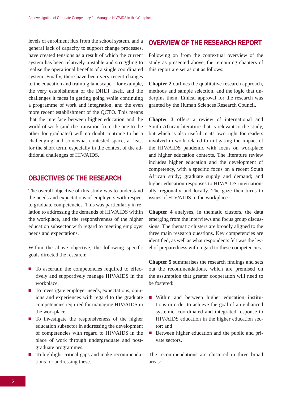levels of enrolment flux from the school system, and a general lack of capacity to support change processes, have created tensions as a result of which the current system has been relatively unstable and struggling to realise the operational benefits of a single coordinated system. Finally, there have been very recent changes to the education and training landscape – for example, the very establishment of the DHET itself, and the challenges it faces in getting going while continuing a programme of work and integration; and the even more recent establishment of the QCTO. This means that the interface between higher education and the world of work (and the transition from the one to the other for graduates) will no doubt continue to be a challenging and somewhat contested space, at least for the short term, especially in the context of the additional challenges of HIV/AIDS.

#### **OBJECTIVES OF THE RESEARCH BJECTIVES**

The overall objective of this study was to understand the needs and expectations of employers with respect to graduate competencies. This was particularly in relation to addressing the demands of HIV/AIDS within the workplace, and the responsiveness of the higher education subsector with regard to meeting employer needs and expectations.

Within the above objective, the following specific goals directed the research:

- To ascertain the competencies required to effectively and supportively manage HIV/AIDS in the workplace.
- To investigate employer needs, expectations, opinions and experiences with regard to the graduate competencies required for managing HIV/AIDS in the workplace.
- To investigate the responsiveness of the higher education subsector in addressing the development of competencies with regard to HIV/AIDS in the place of work through undergraduate and postgraduate programmes.
- To highlight critical gaps and make recommendations for addressing these.

### **OVERVIEW OF THE RESEARCH REPORT VERVIEW**

Following on from the contextual overview of the study as presented above, the remaining chapters of this report are set as out as follows:

**Chapter 2** outlines the qualitative research approach, methods and sample selection, and the logic that underpins them. Ethical approval for the research was granted by the Human Sciences Research Council.

**Chapter 3** offers a review of international and South African literature that is relevant to the study, but which is also useful in its own right for readers involved in work related to mitigating the impact of the HIV/AIDS pandemic with focus on workplace and higher education contexts. The literature review includes higher education and the development of competency, with a specific focus on a recent South African study; graduate supply and demand; and higher education responses to HIV/AIDS internationally, regionally and locally. The gaze then turns to issues of HIV/AIDS in the workplace.

**Chapter 4** analyses, in thematic clusters, the data emerging from the interviews and focus group discussions. The thematic clusters are broadly aligned to the three main research questions. Key competencies are identified, as well as what respondents felt was the level of preparedness with regard to these competencies.

**Chapter 5** summarises the research findings and sets out the recommendations, which are premised on the assumption that greater cooperation will need to be fostered:

- Within and between higher education institutions in order to achieve the goal of an enhanced systemic, coordinated and integrated response to HIV/AIDS education in the higher education sector; and
- Between higher education and the public and private sectors.

The recommendations are clustered in three broad areas: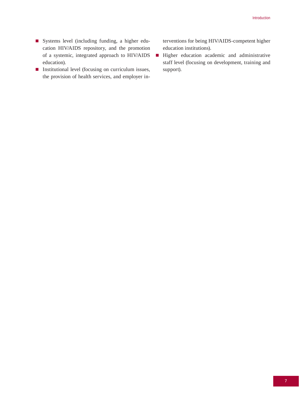- Systems level (including funding, a higher education HIV/AIDS repository, and the promotion of a systemic, integrated approach to HIV/AIDS education).
- Institutional level (focusing on curriculum issues, the provision of health services, and employer in-

terventions for being HIV/AIDS-competent higher education institutions).

■ Higher education academic and administrative staff level (focusing on development, training and support).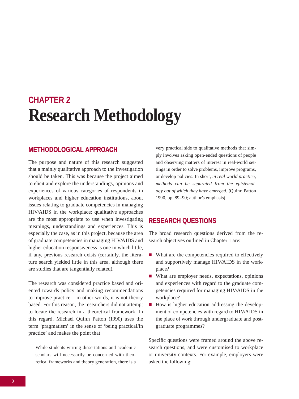# **CHAPTER 2 Research Methodology**

## **METHODOLOGICAL APPROACH ETHODOLOGICAL**

The purpose and nature of this research suggested that a mainly qualitative approach to the investigation should be taken. This was because the project aimed to elicit and explore the understandings, opinions and experiences of various categories of respondents in workplaces and higher education institutions, about issues relating to graduate competencies in managing HIV/AIDS in the workplace; qualitative approaches are the most appropriate to use when investigating meanings, understandings and experiences. This is especially the case, as in this project, because the area of graduate competencies in managing HIV/AIDS and higher education responsiveness is one in which little, if any, previous research exists (certainly, the literature search yielded little in this area, although there are studies that are tangentially related).

The research was considered practice based and oriented towards policy and making recommendations to improve practice – in other words, it is not theory based. For this reason, the researchers did not attempt to locate the research in a theoretical framework. In this regard, Michael Quinn Patton (1990) uses the term 'pragmatism' in the sense of 'being practical/in practice' and makes the point that

While students writing dissertations and academic scholars will necessarily be concerned with theoretical frameworks and theory generation, there is a very practical side to qualitative methods that simply involves asking open-ended questions of people and observing matters of interest in real-world settings in order to solve problems, improve programs, or develop policies. In short, *in real world practice, methods can be separated from the epistemology out of which they have emerged.* (Quinn Patton 1990, pp. 89–90; author's emphasis)

### **RESEARCH QUESTIONS**

The broad research questions derived from the research objectives outlined in Chapter 1 are:

- What are the competencies required to effectively and supportively manage HIV/AIDS in the workplace?
- What are employer needs, expectations, opinions and experiences with regard to the graduate competencies required for managing HIV/AIDS in the workplace?
- How is higher education addressing the development of competencies with regard to HIV/AIDS in the place of work through undergraduate and postgraduate programmes?

Specific questions were framed around the above research questions, and were customised to workplace or university contexts. For example, employers were asked the following: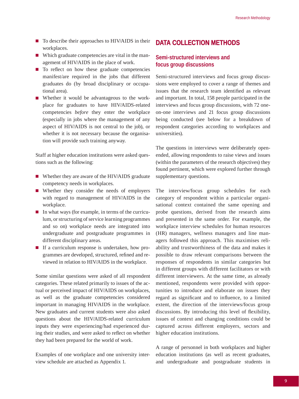- To describe their approaches to HIV/AIDS in their workplaces.
- Which graduate competencies are vital in the management of HIV/AIDS in the place of work.
- $\blacksquare$  To reflect on how these graduate competencies manifest/are required in the jobs that different graduates do (by broad disciplinary or occupational area).
- Whether it would be advantageous to the workplace for graduates to have HIV/AIDS-related competencies *before* they enter the workplace (especially in jobs where the management of any aspect of HIV/AIDS is not central to the job), or whether it is not necessary because the organisation will provide such training anyway.

Staff at higher education institutions were asked questions such as the following:

- Whether they are aware of the HIV/AIDS graduate competency needs in workplaces.
- Whether they consider the needs of employers with regard to management of HIV/AIDS in the workplace.
- In what ways (for example, in terms of the curriculum, or structuring of service learning programmes and so on) workplace needs are integrated into undergraduate and postgraduate programmes in different disciplinary areas.
- If a curriculum response is undertaken, how programmes are developed, structured, refined and reviewed in relation to HIV/AIDS in the workplace.

Some similar questions were asked of all respondent categories. These related primarily to issues of the actual or perceived impact of HIV/AIDS on workplaces, as well as the graduate competencies considered important in managing HIV/AIDS in the workplace. New graduates and current students were also asked questions about the HIV/AIDS-related curriculum inputs they were experiencing/had experienced during their studies, and were asked to reflect on whether they had been prepared for the world of work.

Examples of one workplace and one university interview schedule are attached as Appendix 1.

## **DATA COLLECTION METHODS**

#### **Semi-structured interviews and focus group discussions**

Semi-structured interviews and focus group discussions were employed to cover a range of themes and issues that the research team identified as relevant and important. In total, 158 people participated in the interviews and focus group discussions, with 72 oneon-one interviews and 21 focus group discussions being conducted (see below for a breakdown of respondent categories according to workplaces and universities).

The questions in interviews were deliberately openended, allowing respondents to raise views and issues (within the parameters of the research objectives) they found pertinent, which were explored further through supplementary questions.

The interview/focus group schedules for each category of respondent within a particular organisational context contained the same opening and probe questions, derived from the research aims and presented in the same order. For example, the workplace interview schedules for human resources (HR) managers, wellness managers and line managers followed this approach. This maximises reliability and trustworthiness of the data and makes it possible to draw relevant comparisons between the responses of respondents in similar categories but in different groups with different facilitators or with different interviewers. At the same time, as already mentioned, respondents were provided with opportunities to introduce and elaborate on issues they regard as significant and to influence, to a limited extent, the direction of the interviews/focus group discussions. By introducing this level of flexibility, issues of context and changing conditions could be captured across different employers, sectors and higher education institutions.

A range of personnel in both workplaces and higher education institutions (as well as recent graduates, and undergraduate and postgraduate students in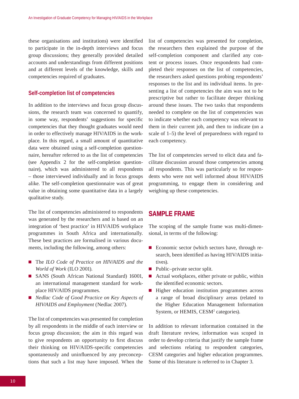these organisations and institutions) were identified to participate in the in-depth interviews and focus group discussions; they generally provided detailed accounts and understandings from different positions and at different levels of the knowledge, skills and competencies required of graduates.

#### **Self-completion list of competencies**

In addition to the interviews and focus group discussions, the research team was concerned to quantify, in some way, respondents' suggestions for specific competencies that they thought graduates would need in order to effectively manage HIV/AIDS in the workplace. In this regard, a small amount of quantitative data were obtained using a self-completion questionnaire, hereafter referred to as the list of competencies (see Appendix 2 for the self-completion questionnaire), which was administered to all respondents – those interviewed individually and in focus groups alike. The self-completion questionnaire was of great value in obtaining some quantitative data in a largely qualitative study.

The list of competencies administered to respondents was generated by the researchers and is based on an integration of 'best practice' in HIV/AIDS workplace programmes in South Africa and internationally. These best practices are formalised in various documents, including the following, among others:

- The *ILO Code of Practice on HIV/AIDS and the World of Work* (ILO 2001).
- SANS (South African National Standard) 16001, an international management standard for workplace HIV/AIDS programmes.
- *Nedlac Code of Good Practice on Key Aspects of HIV/AIDS and Employment* (Nedlac 2007).

The list of competencies was presented for completion by all respondents in the middle of each interview or focus group discussion; the aim in this regard was to give respondents an opportunity to first discuss their thinking on HIV/AIDS-specific competencies spontaneously and uninfluenced by any preconceptions that such a list may have imposed. When the list of competencies was presented for completion, the researchers then explained the purpose of the self-completion component and clarified any content or process issues. Once respondents had completed their responses on the list of competencies, the researchers asked questions probing respondents' responses to the list and its individual items. In presenting a list of competencies the aim was not to be prescriptive but rather to facilitate deeper thinking around these issues. The two tasks that respondents needed to complete on the list of competencies was to indicate whether each competency was relevant to them in their current job, and then to indicate (on a scale of 1–5) the level of preparedness with regard to each competency.

The list of competencies served to elicit data and facilitate discussion around those competencies among all respondents. This was particularly so for respondents who were not well informed about HIV/AIDS programming, to engage them in considering and weighing up these competencies.

#### **SAMPLE FRAME AMPLE**

The scoping of the sample frame was multi-dimensional, in terms of the following:

- Economic sector (which sectors have, through research, been identified as having HIV/AIDS initiatives).
- Public–private sector split.
- Actual workplaces, either private or public, within the identified economic sectors.
- Higher education institution programmes across a range of broad disciplinary areas (related to the Higher Education Management Information System, or HEMIS, CESM<sup>2</sup> categories).

In addition to relevant information contained in the draft literature review, information was scoped in order to develop criteria that justify the sample frame and selections relating to respondent categories, CESM categories and higher education programmes. Some of this literature is referred to in Chapter 3.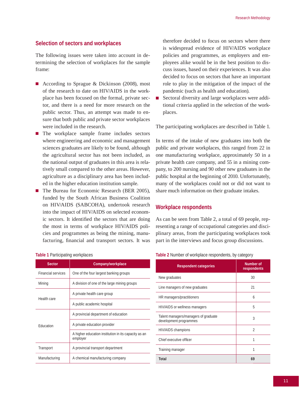#### **Selection of sectors and workplaces**

The following issues were taken into account in determining the selection of workplaces for the sample frame:

- According to Sprague & Dickinson (2008), most of the research to date on HIV/AIDS in the workplace has been focused on the formal, private sector, and there is a need for more research on the public sector. Thus, an attempt was made to ensure that both public and private sector workplaces were included in the research.
- The workplace sample frame includes sectors where engineering and economic and management sciences graduates are likely to be found, although the agricultural sector has not been included, as the national output of graduates in this area is relatively small compared to the other areas. However, agriculture as a disciplinary area has been included in the higher education institution sample.
- The Bureau for Economic Research (BER 2005), funded by the South African Business Coalition on HIV/AIDS (SABCOHA), undertook research into the impact of HIV/AIDS on selected economic sectors. It identified the sectors that are doing the most in terms of workplace HIV/AIDS policies and programmes as being the mining, manufacturing, financial and transport sectors. It was

|  | Table 1 Participating workplaces |  |  |
|--|----------------------------------|--|--|
|  |                                  |  |  |

| <b>Rapid 1</b> 1 anticipating noniplaces       |                                                                  |  |
|------------------------------------------------|------------------------------------------------------------------|--|
| <b>Sector</b>                                  | Company/workplace                                                |  |
| <b>Financial services</b>                      | One of the four largest banking groups                           |  |
| Mining                                         | A division of one of the large mining groups                     |  |
| Health care                                    | A private health care group                                      |  |
|                                                | A public academic hospital                                       |  |
|                                                | A provincial department of education                             |  |
| Education                                      | A private education provider                                     |  |
|                                                | A higher education institution in its capacity as an<br>employer |  |
| A provincial transport department<br>Transport |                                                                  |  |
| Manufacturing                                  | A chemical manufacturing company                                 |  |

therefore decided to focus on sectors where there is widespread evidence of HIV/AIDS workplace policies and programmes, as employers and employees alike would be in the best position to discuss issues, based on their experiences. It was also decided to focus on sectors that have an important role to play in the mitigation of the impact of the pandemic (such as health and education).

■ Sectoral diversity and large workplaces were additional criteria applied in the selection of the workplaces.

The participating workplaces are described in Table 1.

In terms of the intake of new graduates into both the public and private workplaces, this ranged from 22 in one manufacturing workplace, approximately 50 in a private health care company, and 55 in a mining company, to 200 nursing and 90 other new graduates in the public hospital at the beginning of 2010. Unfortunately, many of the workplaces could not or did not want to share much information on their graduate intakes.

#### **Workplace respondents**

As can be seen from Table 2, a total of 69 people, representing a range of occupational categories and disciplinary areas, from the participating workplaces took part in the interviews and focus group discussions.

| Table 2 Number of workplace respondents, by category |  |  |  |
|------------------------------------------------------|--|--|--|
|------------------------------------------------------|--|--|--|

| <b>Respondent categories</b>                                   | Number of<br>respondents |
|----------------------------------------------------------------|--------------------------|
| New graduates                                                  | 30                       |
| Line managers of new graduates                                 | 21                       |
| HR managers/practitioners                                      | 6                        |
| HIV/AIDS or wellness managers                                  | 5                        |
| Talent managers/managers of graduate<br>development programmes | 3                        |
| <b>HIV/AIDS champions</b>                                      | $\mathfrak{D}$           |
| Chief executive officer                                        | 1                        |
| Training manager                                               |                          |
| Total                                                          | 69                       |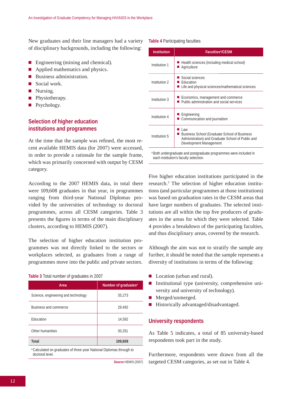New graduates and their line managers had a variety of disciplinary backgrounds, including the following:

- Engineering (mining and chemical).
- Applied mathematics and physics.
- Business administration.
- Social work
- Nursing.
- Physiotherapy.
- Psychology.

#### **Selection of higher education institutions and programmes**

At the time that the sample was refined, the most recent available HEMIS data (for 2007) were accessed, in order to provide a rationale for the sample frame, which was primarily concerned with output by CESM category.

According to the 2007 HEMIS data, in total there were 109,608 graduates in that year, in programmes ranging from third-year National Diplomas provided by the universities of technology to doctoral programmes, across all CESM categories. Table 3 presents the figures in terms of the main disciplinary clusters, according to HEMIS (2007).

The selection of higher education institution programmes was not directly linked to the sectors or workplaces selected, as graduates from a range of programmes move into the public and private sectors.

#### **Table 3** Total number of graduates in 2007

| Area                                                                                         | Number of graduates <sup>a</sup> |  |
|----------------------------------------------------------------------------------------------|----------------------------------|--|
| Science, engineering and technology                                                          | 35.273                           |  |
| Business and commerce                                                                        | 29,492                           |  |
| Education                                                                                    | 14,592                           |  |
| Other humanities                                                                             | 30.251                           |  |
| <b>Total</b>                                                                                 | 109,608                          |  |
| 4 Octobril et al. en angeles i en en la filma estas en Maltana el Dintensa estilado de la fe |                                  |  |

a Calculated on graduates of three-year National Diplomas through to doctoral level.

**Source** HEMIS (2007)

#### **Table 4** Participating faculties

|  | <b>Institution</b>                                                                                         | Faculties <sup>a</sup> /CESM                                                                                                           |  |
|--|------------------------------------------------------------------------------------------------------------|----------------------------------------------------------------------------------------------------------------------------------------|--|
|  | Institution 1                                                                                              | Health sciences (including medical school)<br>Agriculture                                                                              |  |
|  | Institution 2                                                                                              | Social sciences<br><b>Education</b><br>Life and physical sciences/mathematical sciences                                                |  |
|  | Institution 3                                                                                              | ■ Economics, management and commerce<br>Public administration and social services                                                      |  |
|  | Institution 4                                                                                              | ■ Engineering<br>Communication and journalism                                                                                          |  |
|  | Institution 5                                                                                              | ∎ Law<br>■ Business School (Graduate School of Business<br>Administration) and Graduate School of Public and<br>Development Management |  |
|  | a Both undergraduate and postgraduate programmes were included in<br>each institution's faculty selection. |                                                                                                                                        |  |

Five higher education institutions participated in the research.3 The selection of higher education institutions (and particular programmes at those institutions) was based on graduation rates in the CESM areas that have larger numbers of graduates. The selected institutions are all within the top five producers of graduates in the areas for which they were selected. Table 4 provides a breakdown of the participating faculties, and thus disciplinary areas, covered by the research.

Although the aim was not to stratify the sample any further, it should be noted that the sample represents a diversity of institutions in terms of the following:

- Location (urban and rural).
- Institutional type (university, comprehensive university and university of technology).
- Merged/unmerged.
- Historically advantaged/disadvantaged.

#### **University respondents**

As Table 5 indicates, a total of 85 university-based respondents took part in the study.

Furthermore, respondents were drawn from all the targeted CESM categories, as set out in Table 4.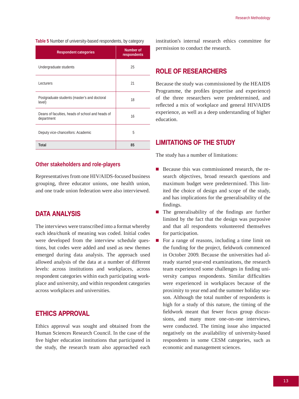| <b>Respondent categories</b>                                   | Number of<br>respondents |
|----------------------------------------------------------------|--------------------------|
| Undergraduate students                                         | 25                       |
| Lecturers                                                      | 21                       |
| Postgraduate students (master's and doctoral<br>level)         | 18                       |
| Deans of faculties, heads of school and heads of<br>department | 16                       |
| Deputy vice-chancellors: Academic                              | 5                        |
| Total                                                          | 85                       |

**Table 5** Number of university-based respondents, by category

#### **Other stakeholders and role-players**

Representatives from one HIV/AIDS-focused business grouping, three educator unions, one health union, and one trade union federation were also interviewed.

### **DATA ANALYSIS**

The interviews were transcribed into a format whereby each idea/chunk of meaning was coded. Initial codes were developed from the interview schedule questions, but codes were added and used as new themes emerged during data analysis. The approach used allowed analysis of the data at a number of different levels: across institutions and workplaces, across respondent categories within each participating workplace and university, and within respondent categories across workplaces and universities.

## **ETHICS APPROVAL**

Ethics approval was sought and obtained from the Human Sciences Research Council. In the case of the five higher education institutions that participated in the study, the research team also approached each

institution's internal research ethics committee for permission to conduct the research.

#### **ROLE OF RESEARCHERS**

Because the study was commissioned by the HEAIDS Programme, the profiles (expertise and experience) of the three researchers were predetermined, and reflected a mix of workplace and general HIV/AIDS experience, as well as a deep understanding of higher education.

## **LIMITATIONS OF THE STUDY IMITATIONS THE STUDY**

The study has a number of limitations:

- Because this was commissioned research, the research objectives, broad research questions and maximum budget were predetermined. This limited the choice of design and scope of the study, and has implications for the generalisability of the findings.
- $\blacksquare$  The generalisability of the findings are further limited by the fact that the design was purposive and that all respondents volunteered themselves for participation.
- For a range of reasons, including a time limit on the funding for the project, fieldwork commenced in October 2009. Because the universities had already started year-end examinations, the research team experienced some challenges in finding university campus respondents. Similar difficulties were experienced in workplaces because of the proximity to year end and the summer holiday season. Although the total number of respondents is high for a study of this nature, the timing of the fieldwork meant that fewer focus group discussions, and many more one-on-one interviews, were conducted. The timing issue also impacted negatively on the availability of university-based respondents in some CESM categories, such as economic and management sciences.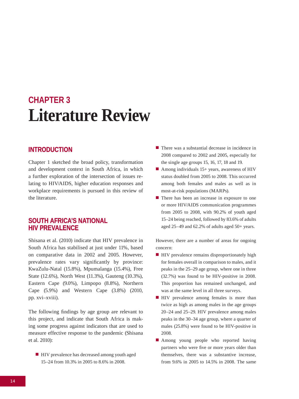# **CHAPTER 3 HAPTER Literature Review**

## **INTRODUCTION NTRODUCTION**

Chapter 1 sketched the broad policy, transformation and development context in South Africa, in which a further exploration of the intersection of issues relating to HIV/AIDS, higher education responses and workplace requirements is pursued in this review of the literature.

#### **SOUTH AFRICA'S NATIONAL HIV PREVALENCE**

Shisana et al. (2010) indicate that HIV prevalence in South Africa has stabilised at just under 11%, based on comparative data in 2002 and 2005. However, prevalence rates vary significantly by province: KwaZulu-Natal (15.8%), Mpumalanga (15.4%), Free State (12.6%), North West (11.3%), Gauteng (10.3%), Eastern Cape (9.0%), Limpopo (8.8%), Northern Cape (5.9%) and Western Cape (3.8%) (2010, pp. xvi–xviii).

The following findings by age group are relevant to this project, and indicate that South Africa is making some progress against indicators that are used to measure effective response to the pandemic (Shisana et al. 2010):

■ HIV prevalence has decreased among youth aged 15–24 from 10.3% in 2005 to 8.6% in 2008.

- There was a substantial decrease in incidence in 2008 compared to 2002 and 2005, especially for the single age groups 15, 16, 17, 18 and 19.
- Among individuals 15+ years, awareness of HIV status doubled from 2005 to 2008. This occurred among both females and males as well as in most-at-risk populations (MARPs).
- There has been an increase in exposure to one or more HIV/AIDS communication programmes from 2005 to 2008, with 90.2% of youth aged 15–24 being reached, followed by 83.6% of adults aged 25–49 and 62.2% of adults aged 50+ years.

However, there are a number of areas for ongoing concern:

- HIV prevalence remains disproportionately high for females overall in comparison to males, and it peaks in the 25–29 age group, where one in three (32.7%) was found to be HIV-positive in 2008. This proportion has remained unchanged, and was at the same level in all three surveys.
- HIV prevalence among females is more than twice as high as among males in the age groups 20–24 and 25–29. HIV prevalence among males peaks in the 30–34 age group, where a quarter of males (25.8%) were found to be HIV-positive in 2008.
- Among young people who reported having partners who were five or more years older than themselves, there was a substantive increase, from 9.6% in 2005 to 14.5% in 2008. The same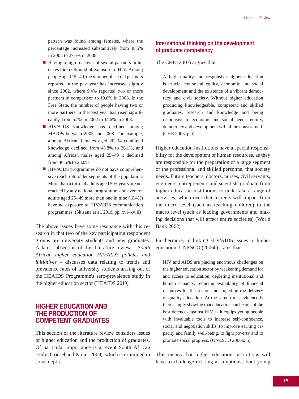pattern was found among females, where the percentage increased substantively from 18.5% in 2005 to 27.6% in 2008.

- Having a high turnover of sexual partners influences the likelihood of exposure to HIV. Among people aged 15–49, the number of sexual partners reported in the past year has increased slightly since 2002, where 9.4% reported two or more partners in comparison to 10.6% in 2008. In the Free State, the number of people having two or more partners in the past year has risen significantly, from 5.7% in 2002 to 14.6% in 2008.
- HIV/AIDS knowledge has declined among MARPs between 2005 and 2008. For example, among African females aged 20–34 combined knowledge declined from 43.8% to 26.1%, and among African males aged 25–49 it declined from 40.6% to 28.0%.
- HIV/AIDS programmes do not have comprehensive reach into older segments of the population. More than a third of adults aged 50+ years are not reached by any national programme, and even for adults aged 25–49 more than one in nine (16.4%) have no exposure to HIV/AIDS communication programmes. (Shisana et al. 2010, pp. xvi–xviii)

The above issues have some resonance with this research in that two of the key participating respondent groups are university students and new graduates. A later subsection of this literature review – *South African higher education HIV/AIDS policies and initiatives* – discusses data relating to trends and prevalence rates of university students arising out of the HEAIDS Programme's sero-prevalence study in the higher education sector (HEAIDS 2010).

#### **HIGHER EDUCATION AND THE PRODUCTION OF COMPETENT GRADUATES OMPETENT**

This section of the literature review considers issues of higher education and the production of graduates. Of particular importance is a recent South African study (Griesel and Parker 2009), which is examined in some depth.

#### **International thinking on the development of graduate competency**

#### The CHE (2003) argues that

A high quality and responsive higher education is crucial for social equity, economic and social development and the existence of a vibrant democracy and civil society. Without higher education producing knowledgeable, competent and skilled graduates, research and knowledge and being responsive to economic and social needs, equity, democracy and development will all be constrained. (CHE 2003, p. i)

Higher education institutions have a special responsibility for the development of human resources, as they are responsible for the preparation of a large segment of the professional and skilled personnel that society needs. Future teachers, doctors, nurses, civil servants, engineers, entrepreneurs and scientists graduate from higher education institutions to undertake a range of activities, which over their careers will impact from the micro level (such as teaching children) to the macro level (such as leading governments and making decisions that will affect entire societies) (World Bank 2002).

Furthermore, in linking HIV/AIDS issues to higher education, UNESCO (2006b) states that

HIV and AIDS are placing enormous challenges on the higher education sector by weakening demand for and access to education, depleting institutional and human capacity, reducing availability of financial resources for the sector, and impeding the delivery of quality education. At the same time, evidence is increasingly showing that education can be one of the best defences against HIV as it equips young people with invaluable tools to increase self-confidence, social and negotiation skills, to improve earning capacity and family well-being, to fight poverty and to promote social progress. (UNESCO 2006b: ii)

This means that higher education institutions will have to challenge existing assumptions about young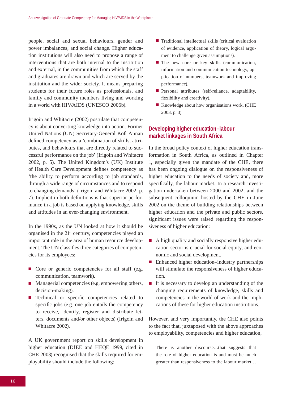people, social and sexual behaviours, gender and power imbalances, and social change. Higher education institutions will also need to propose a range of interventions that are both internal to the institution and external, in the communities from which the staff and graduates are drawn and which are served by the institution and the wider society. It means preparing students for their future roles as professionals, and family and community members living and working in a world with HIV/AIDS (UNESCO 2006b).

Irigoin and Whitacre (2002) postulate that competency is about converting knowledge into action. Former United Nations (UN) Secretary-General Kofi Annan defined competency as a 'combination of skills, attributes, and behaviours that are directly related to successful performance on the job' (Irigoin and Whitacre 2002, p. 5). The United Kingdom's (UK) Institute of Health Care Development defines competency as 'the ability to perform according to job standards, through a wide range of circumstances and to respond to changing demands' (Irigoin and Whitacre 2002, p. 7). Implicit in both definitions is that superior performance in a job is based on applying knowledge, skills and attitudes in an ever-changing environment.

In the 1990s, as the UN looked at how it should be organised in the 21<sup>st</sup> century, competencies played an important role in the area of human resource development. The UN classifies three categories of competencies for its employees:

- Core or generic competencies for all staff (e.g. communication, teamwork).
- Managerial competencies (e.g. empowering others, decision-making).
- Technical or specific competencies related to specific jobs (e.g. one job entails the competency to receive, identify, register and distribute letters, documents and/or other objects) (Irigoin and Whitacre 2002).

A UK government report on skills development in higher education (DfEE and HEQE 1999, cited in CHE 2003) recognised that the skills required for employability should include the following:

- Traditional intellectual skills (critical evaluation of evidence, application of theory, logical argument to challenge given assumptions).
- The new core or key skills (communication, information and communication technology, application of numbers, teamwork and improving performance).
- Personal attributes (self-reliance, adaptability, flexibility and creativity).
- Knowledge about how organisations work. (CHE 2003, p. 3)

#### **Developing higher education–labour market linkages in South Africa**

In the broad policy context of higher education transformation in South Africa, as outlined in Chapter 1, especially given the mandate of the CHE, there has been ongoing dialogue on the responsiveness of higher education to the needs of society and, more specifically, the labour market. In a research investigation undertaken between 2000 and 2002, and the subsequent colloquium hosted by the CHE in June 2002 on the theme of building relationships between higher education and the private and public sectors, significant issues were raised regarding the responsiveness of higher education:

- A high quality and socially responsive higher education sector is crucial for social equity, and economic and social development.
- Enhanced higher education–industry partnerships will stimulate the responsiveness of higher education.
- It is necessary to develop an understanding of the changing requirements of knowledge, skills and competencies in the world of work and the implications of these for higher education institutions.

However, and very importantly, the CHE also points to the fact that, juxtaposed with the above approaches to employability, competencies and higher education,

There is another discourse…that suggests that the role of higher education is and must be much greater than responsiveness to the labour market…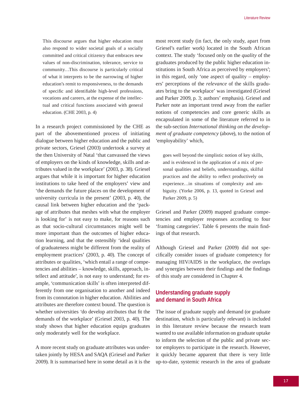This discourse argues that higher education must also respond to wider societal goals of a socially committed and critical citizenry that embraces new values of non-discrimination, tolerance, service to community…This discourse is particularly critical of what it interprets to be the narrowing of higher education's remit to responsiveness, to the demands of specific and identifiable high-level professions, vocations and careers, at the expense of the intellectual and critical functions associated with general education. (CHE 2003, p. 4)

In a research project commissioned by the CHE as part of the abovementioned process of initiating dialogue between higher education and the public and private sectors, Griesel (2003) undertook a survey at the then University of Natal 'that canvassed the views of employers on the kinds of knowledge, skills and attributes valued in the workplace' (2003, p. 38). Griesel argues that while it is important for higher education institutions to take heed of the employers' view and 'the demands the future places on the development of university curricula in the present' (2003, p. 40), the causal link between higher education and the 'package of attributes that meshes with what the employer is looking for' is not easy to make, for reasons such as that socio-cultural circumstances might well be more important than the outcomes of higher education learning, and that the ostensibly 'ideal qualities of graduateness might be different from the reality of employment practices' (2003, p. 40). The concept of attributes or qualities, 'which entail a range of competencies and abilities – knowledge, skills, approach, intellect and attitude', is not easy to understand; for example, 'communication skills' is often interpreted differently from one organisation to another and indeed from its connotation in higher education. Abilities and attributes are therefore context bound. The question is whether universities 'do develop attributes that fit the demands of the workplace' (Griesel 2003, p. 40). The study shows that higher education equips graduates only moderately well for the workplace.

A more recent study on graduate attributes was undertaken jointly by HESA and SAQA (Griesel and Parker 2009). It is summarised here in some detail as it is the most recent study (in fact, the only study, apart from Griesel's earlier work) located in the South African context. The study 'focused only on the *quality* of the graduates produced by the public higher education institutions in South Africa as perceived by employers'; in this regard, only 'one aspect of quality – employers' perceptions of the *relevance* of the skills graduates bring to the workplace' was investigated (Griesel and Parker 2009, p. 3; authors' emphasis). Griesel and Parker note an important trend away from the earlier notions of competencies and core generic skills as encapsulated in some of the literature referred to in the sub-section *International thinking on the development of graduate competency* (above), to the notion of 'employability' which,

goes well beyond the simplistic notion of key skills, and is evidenced in the application of a mix of personal qualities and beliefs, understandings, skilful practices and the ability to reflect productively on experience…in situations of complexity and ambiguity. (Yorke 2006, p. 13, quoted in Griesel and Parker 2009, p. 5)

Griesel and Parker (2009) mapped graduate competencies and employer responses according to four 'framing categories'. Table 6 presents the main findings of that research.

Although Griesel and Parker (2009) did not specifically consider issues of graduate competency for managing HIV/AIDS in the workplace, the overlaps and synergies between their findings and the findings of this study are considered in Chapter 4.

#### **Understanding graduate supply and demand in South Africa**

The issue of graduate supply and demand (or graduate destination, which is particularly relevant) is included in this literature review because the research team wanted to use available information on graduate uptake to inform the selection of the public and private sector employers to participate in the research. However, it quickly became apparent that there is very little up-to-date, systemic research in the area of graduate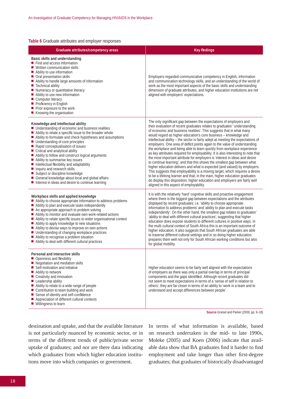#### **Table 6** Graduate attributes and employer responses

| Graduate attributes/competency areas                                                                                                                                                                                                                                                                                                                                                                                                                                                                                                                                                                                                                                         | <b>Key findings</b>                                                                                                                                                                                                                                                                                                                                                                                                                                                                                                                                                                                                                                                                                                                                                                                                                                                                                                                                                                                                                                                                                                                                           |
|------------------------------------------------------------------------------------------------------------------------------------------------------------------------------------------------------------------------------------------------------------------------------------------------------------------------------------------------------------------------------------------------------------------------------------------------------------------------------------------------------------------------------------------------------------------------------------------------------------------------------------------------------------------------------|---------------------------------------------------------------------------------------------------------------------------------------------------------------------------------------------------------------------------------------------------------------------------------------------------------------------------------------------------------------------------------------------------------------------------------------------------------------------------------------------------------------------------------------------------------------------------------------------------------------------------------------------------------------------------------------------------------------------------------------------------------------------------------------------------------------------------------------------------------------------------------------------------------------------------------------------------------------------------------------------------------------------------------------------------------------------------------------------------------------------------------------------------------------|
| Basic skills and understanding<br>■ Find and access information<br>■ Written communication skills<br>Ability to use information<br>■ Oral presentation skills<br>Ability to handle large amounts of information<br>Technical ability<br>■ Numeracy or quantitative literacy<br>Ability to use new information<br>Computer literacy<br>Proficiency in English<br>■ Prior exposure to the work<br>■ Knowing the organisation                                                                                                                                                                                                                                                   | Employers regarded communicative competency in English, information<br>and communication technology skills, and an understanding of the world of<br>work as the most important aspects of the basic skills and understanding<br>dimension of graduate attributes, and higher education institutions are not<br>aligned with employers' expectations.                                                                                                                                                                                                                                                                                                                                                                                                                                                                                                                                                                                                                                                                                                                                                                                                          |
| Knowledge and intellectual ability<br>■ Understanding of economic and business realities<br>Ability to relate a specific issue to the broader whole<br>Ability to formulate and check hypotheses and assumptions<br>$\blacksquare$ Understanding of core principles<br>Rapid conceptualisation of issues<br>Critical and analytical ability<br>Ability to follow and construct logical arguments<br>Ability to summarise key issues<br>$\blacksquare$ Intellectual flexibility and adaptability<br>Inquiry and research skills<br>■ Subject or discipline knowledge<br>General knowledge about local and global affairs<br>Interest in ideas and desire to continue learning | The only significant gap between the expectations of employers and<br>their evaluation of recent graduates relates to graduates' 'understanding<br>of economic and business realities'. This suggests that in what many<br>would regard as higher education's core business - knowledge and<br>intellectual ability – the sector is fairly adept at meeting the expectations of<br>employers. One area of deficit points again to the value of understanding<br>the workplace and being able to learn quickly from workplace experience<br>as key attributes required for employability. It is also interesting to note that<br>the most important attribute for employers is 'interest in ideas and desire<br>to continue learning', and that this shows the smallest gap between what<br>higher education delivers and what is expected (and valued) by employers.<br>This suggests that employability is a moving target, which requires a desire<br>to be a lifelong learner and that, in the main, higher education graduates<br>do display this disposition; higher education and employers are fairly well<br>aligned in this aspect of employability. |
| Workplace skills and applied knowledge<br>Ability to choose appropriate information to address problems<br>Ability to plan and execute tasks independently<br>■ An appropriate approach to problem solving<br>Ability to monitor and evaluate own work-related actions<br>Ability to relate specific issues to wider organisational context<br>Ability to apply knowledge to new situations<br>Ability to devise ways to improve on own actions<br>■ Understanding of changing workplace practices<br>Ability to recognise a problem situation<br>Ability to deal with different cultural practices                                                                          | It is with the relatively 'hard' cognitive skills and proactive engagement<br>where there is the biggest gap between expectations and the attributes<br>displayed by recent graduates; i.e. 'ability to choose appropriate<br>information to address problems' and 'ability to plan and execute tasks<br>independently'. On the other hand, the smallest gap relates to graduates'<br>'ability to deal with different cultural practices', suggesting that higher<br>education does expose students to different cultures in positive ways. In<br>the multi-cultural context of South Africa this is an important outcome of<br>higher education. It also suggests that South African graduates are able<br>to traverse different cultural settings and in so doing higher education<br>prepares them well not only for South African working conditions but also<br>for global mobility.                                                                                                                                                                                                                                                                     |
| Personal and interactive skills<br>■ Openness and flexibility<br>■ Negotiation and mediation skills<br>■ Self-motivation and initiative<br>Ability to network<br>■ Creativity and innovation<br>Leadership ability<br>Ability to relate to a wide range of people<br>■ Contribution to team building and work<br>■ Sense of identity and self-confidence<br>Appreciation of different cultural contexts<br>■ Willingness to learn                                                                                                                                                                                                                                            | Higher education seems to be fairly well aligned with the expectations<br>of employers as there was only a partial overlap in terms of principal<br>components and the gaps identified. Although recent graduates did<br>not seem to meet expectations in terms of a 'sense of self in relation to<br>others', they are far closer in terms of an ability to 'work in a team and to<br>understand and accept differences between people'.                                                                                                                                                                                                                                                                                                                                                                                                                                                                                                                                                                                                                                                                                                                     |

**Source** Griesel and Parker (2009, pp. 9–18)

destination and uptake, and that the available literature is not particularly nuanced by economic sector, or in terms of the different trends of public/private sector uptake of graduates; and nor are there data indicating which graduates from which higher education institutions move into which companies or government.

In terms of what information is available, based on research undertaken in the mid- to late 1990s, Moleke (2005) and Koen (2006) indicate that available data show that BA graduates find it harder to find employment and take longer than other first-degree graduates; that graduates of historically disadvantaged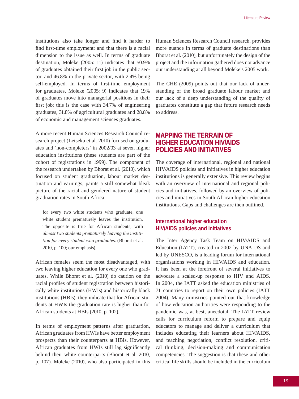institutions also take longer and find it harder to find first-time employment; and that there is a racial dimension to the issue as well. In terms of graduate destination, Moleke (2005: 11) indicates that 50.9% of graduates obtained their first job in the public sector, and 46.8% in the private sector, with 2.4% being self-employed. In terms of first-time employment for graduates, Moleke (2005: 9) indicates that 19% of graduates move into managerial positions in their first job; this is the case with  $34.7\%$  of engineering graduates, 31.8% of agricultural graduates and 28.8% of economic and management sciences graduates.

A more recent Human Sciences Research Council research project (Letseka et al. 2010) focused on graduates and 'non-completers' in 2002/03 at seven higher education institutions (these students are part of the cohort of registrations in 1999). The component of the research undertaken by Bhorat et al. (2010), which focused on student graduation, labour market destination and earnings, paints a still somewhat bleak picture of the racial and gendered nature of student graduation rates in South Africa:

for every two white students who graduate, one white student prematurely leaves the institution. The opposite is true for African students, with *almost two students prematurely leaving the institition for every student who graduates*. (Bhorat et al. 2010, p. 100; our emphasis).

African females seem the most disadvantaged, with two leaving higher education for every one who graduates. While Bhorat et al. (2010) do caution on the racial profiles of student registration between historically white institutions (HWIs) and historically black institutions (HBIs), they indicate that for African students at HWIs the graduation rate is higher than for African students at HBIs (2010, p. 102).

In terms of employment patterns after graduation, African graduates from HWIs have better employment prospects than their counterparts at HBIs. However, African graduates from HWIs still lag significantly behind their white counterparts (Bhorat et al. 2010, p. 107). Moleke (2010), who also participated in this Human Sciences Research Council research, provides more nuance in terms of graduate destinations than Bhorat et al. (2010), but unfortunately the design of the project and the information gathered does not advance our understanding at all beyond Moleke's 2005 work.

The CHE (2009) points out that our lack of understanding of the broad graduate labour market and our lack of a deep understanding of the quality of graduates constitute a gap that future research needs to address.

#### **MAPPING THE TERRAIN OF HIGHER EDUCATION HIV/AIDS POLICIES AND INITIATIVES**

The coverage of international, regional and national HIV/AIDS policies and initiatives in higher education institutions is generally extensive. This review begins with an overview of international and regional policies and initiatives, followed by an overview of policies and initiatives in South African higher education institutions. Gaps and challenges are then outlined.

#### **International higher education HIV/AIDS policies and initiatives**

The Inter Agency Task Team on HIV/AIDS and Education (IATT), created in 2002 by UNAIDS and led by UNESCO, is a leading forum for international organisations working in HIV/AIDS and education. It has been at the forefront of several initiatives to advocate a scaled-up response to HIV and AIDS. In 2004, the IATT asked the education ministries of 71 countries to report on their own policies (IATT 2004). Many ministries pointed out that knowledge of how education authorities were responding to the pandemic was, at best, anecdotal. The IATT review calls for curriculum reform to prepare and equip educators to manage and deliver a curriculum that includes educating their learners about HIV/AIDS, and teaching negotiation, conflict resolution, critical thinking, decision-making and communication competencies. The suggestion is that these and other critical life skills should be included in the curriculum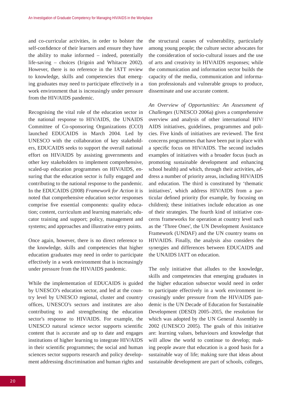and co-curricular activities, in order to bolster the self-confidence of their learners and ensure they have the ability to make informed – indeed, potentially life-saving – choices (Irigoin and Whitacre 2002). However, there is no reference in the IATT review to knowledge, skills and competencies that emerging graduates may need to participate effectively in a work environment that is increasingly under pressure from the HIV/AIDS pandemic.

Recognising the vital role of the education sector in the national response to HIV/AIDS, the UNAIDS Committee of Co-sponsoring Organizations (CCO) launched EDUCAIDS in March 2004. Led by UNESCO with the collaboration of key stakeholders, EDUCAIDS seeks to support the overall national effort on HIV/AIDS by assisting governments and other key stakeholders to implement comprehensive, scaled-up education programmes on HIV/AIDS, ensuring that the education sector is fully engaged and contributing to the national response to the pandemic. In the EDUCAIDS (2008) *Framework for Action* it is noted that comprehensive education sector responses comprise five essential components: quality education; content, curriculum and learning materials; educator training and support; policy, management and systems; and approaches and illustrative entry points.

Once again, however, there is no direct reference to the knowledge, skills and competencies that higher education graduates may need in order to participate effectively in a work environment that is increasingly under pressure from the HIV/AIDS pandemic.

While the implementation of EDUCAIDS is guided by UNESCO's education sector, and led at the country level by UNESCO regional, cluster and country offices, UNESCO's sectors and institutes are also contributing to and strengthening the education sector's response to HIV/AIDS. For example, the UNESCO natural science sector supports scientific content that is accurate and up to date and engages institutions of higher learning to integrate HIV/AIDS in their scientific programmes; the social and human sciences sector supports research and policy development addressing discrimination and human rights and the structural causes of vulnerability, particularly among young people; the culture sector advocates for the consideration of socio-cultural issues and the use of arts and creativity in HIV/AIDS responses; while the communication and information sector builds the capacity of the media, communication and information professionals and vulnerable groups to produce, disseminate and use accurate content.

*An Overview of Opportunities: An Assessment of Challenges* (UNESCO 2006a) gives a comprehensive overview and analysis of other international HIV/ AIDS initiatives, guidelines, programmes and policies. Five kinds of initiatives are reviewed. The first concerns programmes that have been put in place with a specific focus on HIV/AIDS. The second includes examples of initiatives with a broader focus (such as promoting sustainable development and enhancing school health) and which, through their activities, address a number of priority areas, including HIV/AIDS and education. The third is constituted by 'thematic initiatives', which address HIV/AIDS from a particular defined priority (for example, by focusing on children); these initiatives include education as one of their strategies. The fourth kind of initiative concerns frameworks for operation at country level such as the 'Three Ones', the UN Development Assistance Framework (UNDAF) and the UN country teams on HIV/AIDS. Finally, the analysis also considers the synergies and differences between EDUCAIDS and the UNAIDS IATT on education.

The only initiative that alludes to the knowledge, skills and competencies that emerging graduates in the higher education subsector would need in order to participate effectively in a work environment increasingly under pressure from the HIV/AIDS pandemic is the UN Decade of Education for Sustainable Development (DESD) 2005–2015, the resolution for which was adopted by the UN General Assembly in 2002 (UNESCO 2005). The goals of this initiative are: learning values, behaviours and knowledge that will allow the world to continue to develop; making people aware that education is a good basis for a sustainable way of life; making sure that ideas about sustainable development are part of schools, colleges,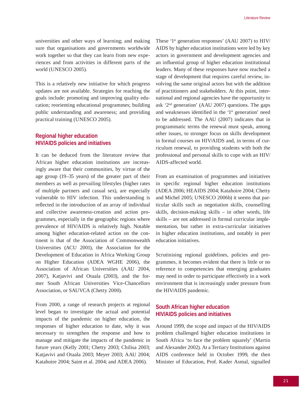universities and other ways of learning; and making sure that organisations and governments worldwide work together so that they can learn from new experiences and from activities in different parts of the world (UNESCO 2005).

This is a relatively new initiative for which progress updates are not available. Strategies for reaching the goals include: promoting and improving quality education; reorienting educational programmes; building public understanding and awareness; and providing practical training (UNESCO 2005).

#### **Regional higher education HIV/AIDS policies and initiatives**

It can be deduced from the literature review that African higher education institutions are increasingly aware that their communities, by virtue of the age group (19–35 years) of the greater part of their members as well as prevailing lifestyles (higher rates of multiple partners and casual sex), are especially vulnerable to HIV infection. This understanding is reflected in the introduction of an array of individual and collective awareness-creation and action programmes, especially in the geographic regions where prevalence of HIV/AIDS is relatively high. Notable among higher education-related action on the continent is that of the Association of Commonwealth Universities (ACU 2001), the Association for the Development of Education in Africa Working Group on Higher Education (ADEA WGHE 2006), the Association of African Universities (AAU 2004, 2007), Katjavivi and Otaala (2003), and the former South African Universities Vice-Chancellors Association, or SAUVCA (Chetty 2000).

From 2000, a range of research projects at regional level began to investigate the actual and potential impacts of the pandemic on higher education, the responses of higher education to date, why it was necessary to strengthen the response and how to manage and mitigate the impacts of the pandemic in future years (Kelly 2001; Chetty 2003; Chilisa 2003; Katjavivi and Otaala 2003; Meyer 2003; AAU 2004; Katahoire 2004; Saint et al. 2004; and ADEA 2006).

These '1<sup>st</sup> generation responses' (AAU 2007) to HIV/ AIDS by higher education institutions were led by key actors in government and development agencies and an influential group of higher education institutional leaders. Many of these responses have now reached a stage of development that requires careful review, involving the same original actors but with the addition of practitioners and stakeholders. At this point, international and regional agencies have the opportunity to ask '2nd generation' (AAU 2007) questions. The gaps and weaknesses identified in the '1<sup>st</sup> generation' need to be addressed. The AAU (2007) indicates that in programmatic terms the renewal must speak, among other issues, to stronger focus on skills development in formal courses on HIV/AIDS and, in terms of curriculum renewal, to providing students with both the professional and personal skills to cope with an HIV/ AIDS-affected world.

From an examination of programmes and initiatives in specific regional higher education institutions (ADEA 2006; HEAIDS 2004; Katahoire 2004; Chetty and Michel 2005; UNESCO 2006b) it seems that particular skills such as negotiation skills, counselling skills, decision-making skills – in other words, life skills – are not addressed in formal curricular implementation, but rather in extra-curricular initiatives in higher education institutions, and notably in peer education initiatives.

Scrutinising regional guidelines, policies and programmes, it becomes evident that there is little or no reference to competencies that emerging graduates may need in order to participate effectively in a work environment that is increasingly under pressure from the HIV/AIDS pandemic.

#### **South African higher education HIV/AIDS policies and initiatives**

Around 1999, the scope and impact of the HIV/AIDS problem challenged higher education institutions in South Africa 'to face the problem squarely' (Martin and Alexander 2002). At a Tertiary Institutions against AIDS conference held in October 1999, the then Minister of Education, Prof. Kader Asmal, signalled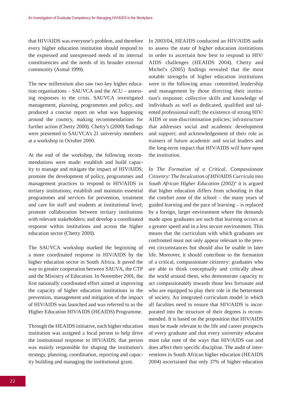that HIV/AIDS was everyone's problem, and therefore every higher education institution should respond to the expressed and unexpressed needs of its internal constituencies and the needs of its broader external community (Asmal 1999).

The new millennium also saw two key higher education organisations – SAUVCA and the ACU – assessing responses to the crisis. SAUVCA investigated management, planning, programmes and policy, and produced a concise report on what was happening around the country, making recommendations for further action (Chetty 2000). Chetty's (2000) findings were presented to SAUVCA's 21 university members at a workshop in October 2000.

At the end of the workshop, the following recommendations were made: establish and build capacity to manage and mitigate the impact of HIV/AIDS; promote the development of policy, programmes and management practices to respond to HIV/AIDS in tertiary institutions; establish and maintain essential programmes and services for prevention, treatment and care for staff and students at institutional level; promote collaboration between tertiary institutions with relevant stakeholders; and develop a coordinated response within institutions and across the higher education sector (Chetty 2000).

The SAUVCA workshop marked the beginning of a more coordinated response to HIV/AIDS by the higher education sector in South Africa. It paved the way to greater cooperation between SAUVA, the CTP and the Ministry of Education. In November 2001, the first nationally coordinated effort aimed at improving the capacity of higher education institutions in the prevention, management and mitigation of the impact of HIV/AIDS was launched and was referred to as the Higher Education HIV/AIDS (HEAIDS) Programme.

Through the HEAIDS initiative, each higher education institution was assigned a focal person to help drive the institutional response to HIV/AIDS; that person was mainly responsible for shaping the institution's strategy, planning, coordination, reporting and capacity building and managing the institutional grant.

In 2003/04, HEAIDS conducted an HIV/AIDS audit to assess the state of higher education institutions in order to ascertain how best to respond to HIV/ AIDS challenges (HEAIDS 2004). Chetty and Michel's (2005) findings revealed that the most notable strengths of higher education institutions were in the following areas: committed leadership and management by those directing their institution's response; collective skills and knowledge of individuals as well as dedicated, qualified and talented professional staff; the existence of strong HIV/ AIDS or non-discrimination policies; infrastructure that addresses social and academic development and support; and acknowledgement of their role as trainers of future academic and social leaders and the long-term impact that HIV/AIDS will have upon the institution.

In *The Formation of a Critical, Compassionate Citizenry: The Inculcation of HIV/AIDS Curricula into*  South African Higher Education (2002)<sup>4</sup> it is argued that higher education differs from schooling in that the comfort zone of the school – the many years of guided learning and the pace of learning – is replaced by a foreign, larger environment where the demands made upon graduates are such that learning occurs at a greater speed and in a less secure environment. This means that the curriculum with which graduates are confronted must not only appear relevant to the present circumstances but should also be usable in later life. Moreover, it should contribute to the formation of a critical, compassionate citizenry: graduates who are able to think conceptually and critically about the world around them, who demonstrate capacity to act compassionately towards those less fortunate and who are equipped to play their role in the betterment of society. An integrated curriculum model in which all faculties need to ensure that HIV/AIDS is incorporated into the structure of their degrees is recommended. It is based on the proposition that HIV/AIDS must be made relevant to the life and career prospects of every graduate and that every university educator must take note of the ways that HIV/AIDS can and does affect their specific discipline. The audit of interventions in South African higher education (HEAIDS 2004) ascertained that only 37% of higher education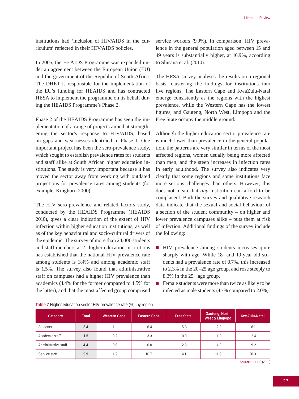institutions had 'inclusion of HIV/AIDS in the curriculum' reflected in their HIV/AIDS policies.

In 2005, the HEAIDS Programme was expanded under an agreement between the European Union (EU) and the government of the Republic of South Africa. The DHET is responsible for the implementation of the EU's funding for HEAIDS and has contracted HESA to implement the programme on its behalf during the HEAIDS Programme's Phase 2.

Phase 2 of the HEAIDS Programme has seen the implementation of a range of projects aimed at strengthening the sector's response to HIV/AIDS, based on gaps and weaknesses identified in Phase 1. One important project has been the sero-prevalence study, which sought to establish prevalence rates for students and staff alike at South African higher education institutions. The study is very important because it has moved the sector away from working with outdated projections for prevalence rates among students (for example, Kinghorn 2000).

The HIV sero-prevalence and related factors study, conducted by the HEAIDS Programme (HEAIDS 2010), gives a clear indication of the extent of HIV infection within higher education institutions, as well as of the key behavioural and socio-cultural drivers of the epidemic. The survey of more than 24,000 students and staff members at 21 higher education institutions has established that the national HIV prevalence rate among students is 3.4% and among academic staff is 1.5%. The survey also found that administrative staff on campuses had a higher HIV prevalence than academics (4.4% for the former compared to 1.5% for the latter), and that the most affected group comprised

service workers (9.9%). In comparison, HIV prevalence in the general population aged between 15 and 49 years is substantially higher, at 16.9%, according to Shisana et al. (2010).

The HESA survey analyses the results on a regional basis, clustering the findings for institutions into five regions. The Eastern Cape and KwaZulu-Natal emerge consistently as the regions with the highest prevalence, while the Western Cape has the lowest figures, and Gauteng, North West, Limpopo and the Free State occupy the middle ground.

Although the higher education sector prevalence rate is much lower than prevalence in the general population, the patterns are very similar in terms of the most affected regions, women usually being more affected than men, and the steep increases in infection rates in early adulthood. The survey also indicates very clearly that some regions and some institutions face more serious challenges than others. However, this does not mean that *any* institution can afford to be complacent. Both the survey and qualitative research data indicate that the sexual and social behaviour of a section of the student community – on higher and lower prevalence campuses alike – puts them at risk of infection. Additional findings of the survey include the following:

- HIV prevalence among students increases quite sharply with age. While 18- and 19-year-old students had a prevalence rate of 0.7%, this increased to 2.3% in the 20–25 age group, and rose steeply to 8.3% in the 25+ age group.
- Female students were more than twice as likely to be infected as male students (4.7% compared to 2.0%).

| Category             | <b>Total</b> | <b>Western Cape</b> | <b>Eastern Cape</b> | <b>Free State</b> | Gauteng, North<br>West & Limpopo | KwaZulu-Natal |
|----------------------|--------------|---------------------|---------------------|-------------------|----------------------------------|---------------|
| <b>Students</b>      | 3.4          | 1.1                 | 6.4                 | 5.3               | 2.2                              | 6.1           |
| Academic staff       | 1.5          | 0.2                 | 3.3                 | 0.0               | 1.2                              | 2.4           |
| Administrative staff | 4.4          | 0.9                 | 6.0                 | 2.9               | 4.3                              | 9.2           |
| Service staff        | 9.9          | 1.2                 | 10.7                | 14.1              | 11.9                             | 20.3          |

**Table 7** Higher education sector HIV prevalence rate (%), by region

**Source** HEAIDS (2010)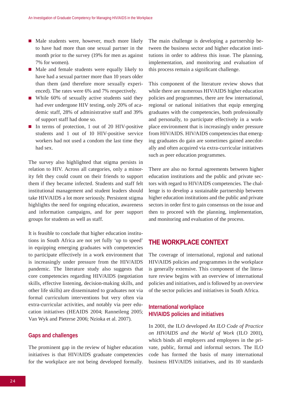- Male students were, however, much more likely to have had more than one sexual partner in the month prior to the survey (19% for men as against 7% for women).
- Male and female students were equally likely to have had a sexual partner more than 10 years older than them (and therefore more sexually experienced). The rates were 6% and 7% respectively.
- While 60% of sexually active students said they had ever undergone HIV testing, only 20% of academic staff, 28% of administrative staff and 39% of support staff had done so.
- In terms of protection, 1 out of 20 HIV-positive students and 1 out of 10 HIV-positive service workers had not used a condom the last time they had sex.

The survey also highlighted that stigma persists in relation to HIV. Across all categories, only a minority felt they could count on their friends to support them if they became infected. Students and staff felt institutional management and student leaders should take HIV/AIDS a lot more seriously. Persistent stigma highlights the need for ongoing education, awareness and information campaigns, and for peer support groups for students as well as staff.

It is feasible to conclude that higher education institutions in South Africa are not yet fully 'up to speed' in equipping emerging graduates with competencies to participate effectively in a work environment that is increasingly under pressure from the HIV/AIDS pandemic. The literature study also suggests that core competencies regarding HIV/AIDS (negotiation skills, effective listening, decision-making skills, and other life skills) are disseminated to graduates not via formal curriculum interventions but very often via extra-curricular activities, and notably via peer education initiatives (HEAIDS 2004; Ranneileng 2005; Van Wyk and Pieterse 2006; Nzioka et al. 2007).

#### **Gaps and challenges**

The prominent gap in the review of higher education initiatives is that HIV/AIDS graduate competencies for the workplace are not being developed formally. The main challenge is developing a partnership between the business sector and higher education institutions in order to address this issue. The planning, implementation, and monitoring and evaluation of this process remain a significant challenge.

This component of the literature review shows that while there are numerous HIV/AIDS higher education policies and programmes, there are few international, regional or national initiatives that equip emerging graduates with the competencies, both professionally and personally, to participate effectively in a workplace environment that is increasingly under pressure from HIV/AIDS. HIV/AIDS competencies that emerging graduates do gain are sometimes gained anecdotally and often acquired via extra-curricular initiatives such as peer education programmes.

There are also no formal agreements between higher education institutions and the public and private sectors with regard to HIV/AIDS competencies. The challenge is to develop a sustainable partnership between higher education institutions and the public and private sectors in order first to gain consensus on the issue and then to proceed with the planning, implementation, and monitoring and evaluation of the process.

# **THE WORKPLACE CONTEXT**

The coverage of international, regional and national HIV/AIDS policies and programmes in the workplace is generally extensive. This component of the literature review begins with an overview of international policies and initiatives, and is followed by an overview of the sector policies and initiatives in South Africa.

## **International workplace HIV/AIDS policies and initiatives**

In 2001, the ILO developed *An ILO Code of Practice on HIV/AIDS and the World of Work* (ILO 2001), which binds all employers and employees in the private, public, formal and informal sectors. The ILO code has formed the basis of many international business HIV/AIDS initiatives, and its 10 standards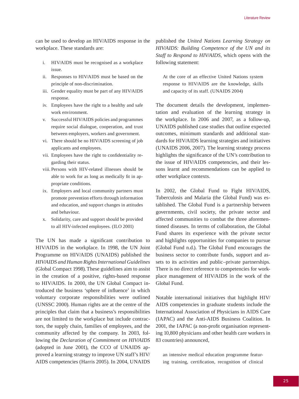can be used to develop an HIV/AIDS response in the workplace. These standards are:

- i. HIV/AIDS must be recognised as a workplace issue.
- ii. Responses to HIV/AIDS must be based on the principle of non-discrimination.
- iii. Gender equality must be part of any HIV/AIDS response.
- iv. Employees have the right to a healthy and safe work environment.
- v. Successful HIV/AIDS policies and programmes require social dialogue, cooperation, and trust between employers, workers and government.
- vi. There should be no HIV/AIDS screening of job applicants and employees.
- vii. Employees have the right to confidentiality regarding their status.
- viii. Persons with HIV-related illnesses should be able to work for as long as medically fit in appropriate conditions.
- ix. Employers and local community partners must promote prevention efforts through information and education, and support changes in attitudes and behaviour.
- x. Solidarity, care and support should be provided to all HIV-infected employees. (ILO 2001)

The UN has made a significant contribution to HIV/AIDS in the workplace. In 1998, the UN Joint Programme on HIV/AIDS (UNAIDS) published the *HIV/AIDS and Human Rights International Guidelines*  (Global Compact 1998).These guidelines aim to assist in the creation of a positive, rights-based response to HIV/AIDS. In 2000, the UN Global Compact introduced the business 'sphere of influence' in which voluntary corporate responsibilities were outlined (UNSSC 2000). Human rights are at the centre of the principles that claim that a business's responsibilities are not limited to the workplace but include contractors, the supply chain, families of employees, and the community affected by the company. In 2003, following the *Declaration of Commitment on HIV/AIDS* (adopted in June 2001), the CCO of UNAIDS approved a learning strategy to improve UN staff's HIV/ AIDS competencies (Harris 2005). In 2004, UNAIDS

published the *United Nations Learning Strategy on HIV/AIDS: Building Competence of the UN and its Staff to Respond to HIV/AIDS*, which opens with the following statement:

At the core of an effective United Nations system response to HIV/AIDS are the knowledge, skills and capacity of its staff. (UNAIDS 2004)

The document details the development, implementation and evaluation of the learning strategy in the workplace. In 2006 and 2007, as a follow-up, UNAIDS published case studies that outline expected outcomes, minimum standards and additional standards for HIV/AIDS learning strategies and initiatives (UNAIDS 2006, 2007). The learning strategy process highlights the significance of the UN's contribution to the issue of HIV/AIDS competencies, and their lessons learnt and recommendations can be applied to other workplace contexts.

In 2002, the Global Fund to Fight HIV/AIDS, Tuberculosis and Malaria (the Global Fund) was established. The Global Fund is a partnership between governments, civil society, the private sector and affected communities to combat the three aforementioned diseases. In terms of collaboration, the Global Fund shares its experience with the private sector and highlights opportunities for companies to pursue (Global Fund n.d.). The Global Fund encourages the business sector to contribute funds, support and assets to its activities and public–private partnerships. There is no direct reference to competencies for workplace management of HIV/AIDS in the work of the Global Fund.

Notable international initiatives that highlight HIV/ AIDS competencies in graduate students include the International Association of Physicians in AIDS Care (IAPAC) and the Anti-AIDS Business Coalition. In 2001, the IAPAC (a non-profit organisation representing 10,800 physicians and other health care workers in 83 countries) announced,

an intensive medical education programme featuring training, certification, recognition of clinical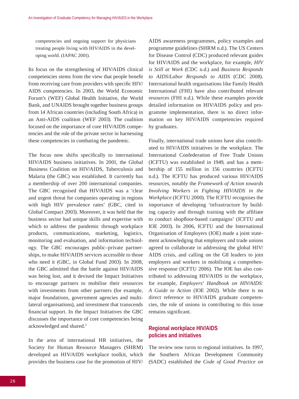competencies and ongoing support for physicians treating people living with HIV/AIDS in the developing world. (IAPAC 2001).

Its focus on the strengthening of HIV/AIDS clinical competencies stems from the view that people benefit from receiving care from providers with specific HIV/ AIDS competencies. In 2003, the World Economic Forum's (WEF) Global Health Initiative, the World Bank, and UNAIDS brought together business groups from 14 African countries (including South Africa) in an Anti-AIDS coalition (WEF 2003). The coalition focused on the importance of core HIV/AIDS competencies and the role of the private sector in harnessing these competencies in combating the pandemic.

The focus now shifts specifically to international HIV/AIDS business initiatives. In 2001, the Global Business Coalition on HIV/AIDS, Tuberculosis and Malaria (the GBC) was established. It currently has a membership of over 200 international companies. The GBC recognised that HIV/AIDS was a 'clear and urgent threat for companies operating in regions with high HIV prevalence rates' (GBC, cited in Global Compact 2003). Moreover, it was held that the business sector had unique skills and expertise with which to address the pandemic through workplace products, communications, marketing, logistics, monitoring and evaluation, and information technology. The GBC encourages public–private partnerships, to make HIV/AIDS services accessible to those who need it (GBC, in Global Fund 2003). In 2008, the GBC admitted that the battle against HIV/AIDS was being lost, and it devised the Impact Initiatives to encourage partners to mobilise their resources with investments from other partners (for example, major foundations, government agencies and multilateral organisations), and investment that transcends financial support. In the Impact Initiatives the GBC discusses the importance of core competencies being acknowledged and shared.5

In the area of international HR initiatives, the Society for Human Resource Managers (SHRM) developed an HIV/AIDS workplace toolkit, which provides the business case for the promotion of HIV/ AIDS awareness programmes, policy examples and programme guidelines (SHRM n.d.). The US Centers for Disease Control (CDC) produced relevant guides for HIV/AIDS and the workplace, for example, *HIV is Still at Work* (CDC n.d.) and *Business Responds to AIDS*/*Labor Responds to AIDS* (CDC 2008). International health organisations like Family Health International (FHI) have also contributed relevant resources (FHI n.d.). While these examples provide detailed information on HIV/AIDS policy and programme implementation, there is no direct information on key HIV/AIDS competencies required by graduates.

Finally, international trade unions have also contributed to HIV/AIDS initiatives in the workplace. The International Confederation of Free Trade Unions (ICFTU) was established in 1949, and has a membership of 155 million in 156 countries (ICFTU n.d.). The ICFTU has produced various HIV/AIDS resources, notably the *Framework of Action towards Involving Workers in Fighting HIV/AIDS in the Workplace* (ICFTU 2000). The ICFTU recognises the importance of developing 'infrastructure by building capacity and through training with the affiliate to conduct shopfloor-based campaigns' (ICFTU and IOE 2003). In 2006, ICFTU and the International Organisation of Employers (IOE) made a joint statement acknowledging that employers and trade unions agreed to collaborate in addressing the global HIV/ AIDS crisis, and calling on the G8 leaders to join employers and workers in mobilising a comprehensive response (ICFTU 2006). The IOE has also contributed to addressing HIV/AIDS in the workplace, for example, *Employers' Handbook on HIV/AIDS: A Guide to Action* (IOE 2002). While there is no direct reference to HIV/AIDS graduate competencies, the role of unions in contributing to this issue remains significant.

# **Regional workplace HIV/AIDS policies and initiatives**

The review now turns to regional initiatives. In 1997, the Southern African Development Community (SADC) established the *Code of Good Practice on*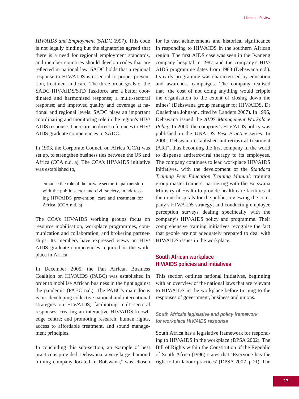*HIV/AIDS and Employment* (SADC 1997). This code is not legally binding but the signatories agreed that there is a need for regional employment standards, and member countries should develop codes that are reflected in national law. SADC holds that a regional response to HIV/AIDS is essential to proper prevention, treatment and care. The three broad goals of the SADC HIV/AIDS/STD Taskforce are: a better coordinated and harmonised response; a multi-sectoral response; and improved quality and coverage at national and regional levels. SADC plays an important coordinating and monitoring role in the region's HIV/ AIDS response. There are no direct references to HIV/ AIDS graduate competencies in SADC.

In 1993, the Corporate Council on Africa (CCA) was set up, to strengthen business ties between the US and Africa (CCA n.d. a). The CCA's HIV/AIDS initiative was established to,

enhance the role of the private sector, in partnership with the public sector and civil society, in addressing HIV/AIDS prevention, care and treatment for Africa. (CCA n.d. b)

The CCA's HIV/AIDS working groups focus on resource mobilisation, workplace programmes, communication and collaboration, and brokering partnerships. Its members have expressed views on HIV/ AIDS graduate competencies required in the workplace in Africa.

In December 2005, the Pan African Business Coalition on HIV/AIDS (PABC) was established in order to mobilise African business in the fight against the pandemic (PABC n.d.). The PABC's main focus is on: developing collective national and international strategies on HIV/AIDS; facilitating multi-sectoral responses; creating an interactive HIV/AIDS knowledge centre; and promoting research, human rights, access to affordable treatment, and sound management principles.

In concluding this sub-section, an example of best practice is provided. Debswana, a very large diamond mining company located in Botswana,<sup>6</sup> was chosen for its vast achievements and historical significance in responding to HIV/AIDS in the southern African region. The first AIDS case was seen in the Jwaneng company hospital in 1987, and the company's HIV/ AIDS programme dates from 1988 (Debswana n.d.). Its early programme was characterised by education and awareness campaigns. The company realised that 'the cost of not doing anything would cripple the organisation to the extent of closing down the mines' (Debswana group manager for HIV/AIDS, Dr Onalethata Johnson, cited by Landers 2007). In 1996, Debswana issued the *AIDS Management Workplace Policy*. In 2000, the company's HIV/AIDS policy was published in the UNAIDS *Best Practice* series. In 2000, Debswana established antiretroviral treatment (ART), thus becoming the first company in the world to dispense antiretroviral therapy to its employees. The company continues to lead workplace HIV/AIDS initiatives, with the development of the *Standard Training Peer Education Training Manual*; training group master trainers; partnering with the Botswana Ministry of Health to provide health care facilities at the mine hospitals for the public; reviewing the company's HIV/AIDS strategy; and conducting employee perception surveys dealing specifically with the company's HIV/AIDS policy and programme. Their comprehensive training initiatives recognise the fact that people are not adequately prepared to deal with HIV/AIDS issues in the workplace.

# **South African workplace HIV/AIDS policies and initiatives**

This section outlines national initiatives, beginning with an overview of the national laws that are relevant to HIV/AIDS in the workplace before turning to the responses of government, business and unions.

## *South Africa's legislative and policy framework for workplace HIV/AIDS response*

South Africa has a legislative framework for responding to HIV/AIDS in the workplace (DPSA 2002). The Bill of Rights within the Constitution of the Republic of South Africa (1996) states that 'Everyone has the right to fair labour practices' (DPSA 2002, p 21). The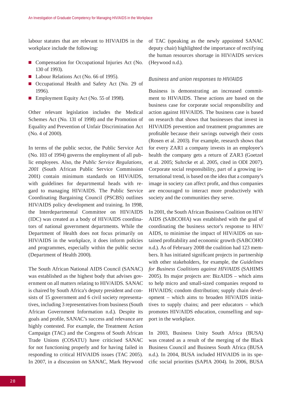labour statutes that are relevant to HIV/AIDS in the workplace include the following:

- Compensation for Occupational Injuries Act (No. 130 of 1993).
- Labour Relations Act (No. 66 of 1995).
- Occupational Health and Safety Act (No. 29 of 1996).
- Employment Equity Act (No. 55 of 1998).

Other relevant legislation includes the Medical Schemes Act (No. 131 of 1998) and the Promotion of Equality and Prevention of Unfair Discrimination Act (No. 4 of 2000).

In terms of the public sector, the Public Service Act (No. 103 of 1994) governs the employment of all public employees. Also, the *Public Service Regulations, 2001* (South African Public Service Commission 2001) contain minimum standards on HIV/AIDS, with guidelines for departmental heads with regard to managing HIV/AIDS. The Public Service Coordinating Bargaining Council (PSCBS) outlines HIV/AIDS policy development and training. In 1998, the Interdepartmental Committee on HIV/AIDS (IDC) was created as a body of HIV/AIDS coordinators of national government departments. While the Department of Health does not focus primarily on HIV/AIDS in the workplace, it does inform policies and programmes, especially within the public sector (Department of Health 2000).

The South African National AIDS Council (SANAC) was established as the highest body that advises government on all matters relating to HIV/AIDS. SANAC is chaired by South Africa's deputy president and consists of 15 government and 6 civil society representatives, including 3 representatives from business (South African Government Information n.d.). Despite its goals and profile, SANAC's success and relevance are highly contested. For example, the Treatment Action Campaign (TAC) and the Congress of South African Trade Unions (COSATU) have criticised SANAC for not functioning properly and for having failed in responding to critical HIV/AIDS issues (TAC 2005). In 2007, in a discussion on SANAC, Mark Heywood

of TAC (speaking as the newly appointed SANAC deputy chair) highlighted the importance of rectifying the human resources shortage in HIV/AIDS services (Heywood n.d.).

### *Business and union responses to HIV/AIDS*

Business is demonstrating an increased commitment to HIV/AIDS. These actions are based on the business case for corporate social responsibility and action against HIV/AIDS. The business case is based on research that shows that businesses that invest in HIV/AIDS prevention and treatment programmes are profitable because their savings outweigh their costs (Rosen et al. 2003). For example, research shows that for every ZAR1 a company invests in an employee's health the company gets a return of ZAR3 (Goetzel et al. 2005; Suhrcke et al. 2005, cited in ODI 2007). Corporate social responsibility, part of a growing international trend, is based on the idea that a company's image in society can affect profit, and thus companies are encouraged to interact more productively with society and the communities they serve.

In 2001, the South African Business Coalition on HIV/ AIDS (SABCOHA) was established with the goal of coordinating the business sector's response to HIV/ AIDS, to minimise the impact of HIV/AIDS on sustained profitability and economic growth (SABCOHO n.d.). As of February 2008 the coalition had 123 members. It has initiated significant projects in partnership with other stakeholders, for example, the *Guidelines for Business Coalitions against HIV/AIDS* (SAHIMS 2005). Its major projects are: BizAIDS – which aims to help micro and small-sized companies respond to HIV/AIDS; condom distribution; supply chain development – which aims to broaden HIV/AIDS initiatives to supply chains; and peer educators – which promotes HIV/AIDS education, counselling and support in the workplace.

In 2003, Business Unity South Africa (BUSA) was created as a result of the merging of the Black Business Council and Business South Africa (BUSA n.d.). In 2004, BUSA included HIV/AIDS in its specific social priorities (SAPIA 2004). In 2006, BUSA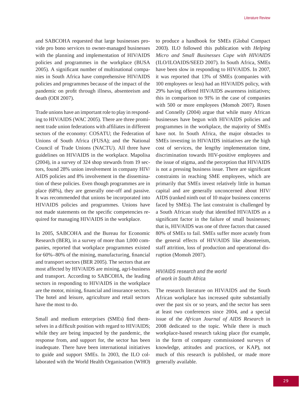and SABCOHA requested that large businesses provide pro bono services to owner-managed businesses with the planning and implementation of HIV/AIDS policies and programmes in the workplace (BUSA 2005). A significant number of multinational companies in South Africa have comprehensive HIV/AIDS policies and programmes because of the impact of the pandemic on profit through illness, absenteeism and death (ODI 2007).

Trade unions have an important role to play in responding to HIV/AIDS (WAC 2005). There are three prominent trade union federations with affiliates in different sectors of the economy: COSATU; the Federation of Unions of South Africa (FUSA); and the National Council of Trade Unions (NACTU). All three have guidelines on HIV/AIDS in the workplace. Mapolisa (2004), in a survey of 324 shop stewards from 19 sectors, found 28% union involvement in company HIV/ AIDS policies and 8% involvement in the dissemination of these policies. Even though programmes are in place (68%), they are generally one-off and passive. It was recommended that unions be incorporated into HIV/AIDS policies and programmes. Unions have not made statements on the specific competencies required for managing HIV/AIDS in the workplace.

In 2005, SABCOHA and the Bureau for Economic Research (BER), in a survey of more than 1,000 companies, reported that workplace programmes existed for  $60\% - 80\%$  of the mining, manufacturing, financial and transport sectors (BER 2005). The sectors that are most affected by HIV/AIDS are mining, agri-business and transport. According to SABCOHA, the leading sectors in responding to HIV/AIDS in the workplace are the motor, mining, financial and insurance sectors. The hotel and leisure, agriculture and retail sectors have the most to do.

Small and medium enterprises (SMEs) find themselves in a difficult position with regard to HIV/AIDS; while they are being impacted by the pandemic, the response from, and support for, the sector has been inadequate. There have been international initiatives to guide and support SMEs. In 2003, the ILO collaborated with the World Health Organisation (WHO) to produce a handbook for SMEs (Global Compact 2003). ILO followed this publication with *Helping Micro and Small Businesses Cope with HIV/AIDS* (ILO/ILOAIDS/SEED 2007). In South Africa, SMEs have been slow in responding to HIV/AIDS. In 2007, it was reported that 13% of SMEs (companies with 100 employees or less) had an HIV/AIDS policy, with 29% having offered HIV/AIDS awareness initiatives; this in comparison to 91% in the case of companies with 500 or more employees (Momoh 2007). Rosen and Connelly (2004) argue that while many African businesses have begun with HIV/AIDS policies and programmes in the workplace, the majority of SMEs have not. In South Africa, the major obstacles to SMEs investing in HIV/AIDS initiatives are the high cost of services, the lengthy implementation time, discrimination towards HIV-positive employees and the issue of stigma, and the perception that HIV/AIDS is not a pressing business issue. There are significant constraints in reaching SME employees, which are primarily that SMEs invest relatively little in human capital and are generally unconcerned about HIV/ AIDS (ranked ninth out of 10 major business concerns faced by SMEs). The last constraint is challenged by a South African study that identified HIV/AIDS as a significant factor in the failure of small businesses; that is, HIV/AIDS was one of three factors that caused 80% of SMEs to fail. SMEs suffer more acutely from the general effects of HIV/AIDS like absenteeism, staff attrition, loss of production and operational disruption (Momoh 2007).

## *HIV/AIDS research and the world of work in South Africa*

The research literature on HIV/AIDS and the South African workplace has increased quite substantially over the past six or so years, and the sector has seen at least two conferences since 2004, and a special issue of the *African Journal of AIDS Research* in 2008 dedicated to the topic. While there is much workplace-based research taking place (for example, in the form of company commissioned surveys of knowledge, attitudes and practices, or KAP), not much of this research is published, or made more generally available.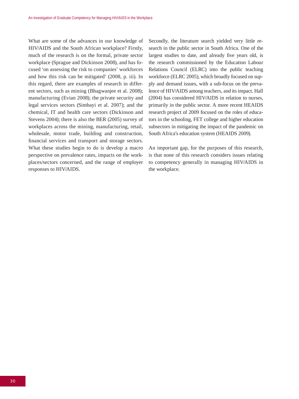What are some of the advances in our knowledge of HIV/AIDS and the South African workplace? Firstly, much of the research is on the formal, private sector workplace (Sprague and Dickinson 2008), and has focused 'on assessing the risk to companies' workforces and how this risk can be mitigated' (2008, p. iii). In this regard, there are examples of research in different sectors, such as mining (Bhagwanjee et al. 2008); manufacturing (Evian 2008); the private security and legal services sectors (Simbayi et al. 2007); and the chemical, IT and health care sectors (Dickinson and Stevens 2004); there is also the BER (2005) survey of workplaces across the mining, manufacturing, retail, wholesale, motor trade, building and construction, financial services and transport and storage sectors. What these studies begin to do is develop a macro perspective on prevalence rates, impacts on the workplaces/sectors concerned, and the range of employer responses to HIV/AIDS.

Secondly, the literature search yielded very little research in the public sector in South Africa. One of the largest studies to date, and already five years old, is the research commissioned by the Education Labour Relations Council (ELRC) into the public teaching workforce (ELRC 2005), which broadly focused on supply and demand issues, with a sub-focus on the prevalence of HIV/AIDS among teachers, and its impact. Hall (2004) has considered HIV/AIDS in relation to nurses, primarily in the public sector. A more recent HEAIDS research project of 2009 focused on the roles of educators in the schooling, FET college and higher education subsectors in mitigating the impact of the pandemic on South Africa's education system (HEAIDS 2009).

An important gap, for the purposes of this research, is that none of this research considers issues relating to competency generally in managing HIV/AIDS in the workplace.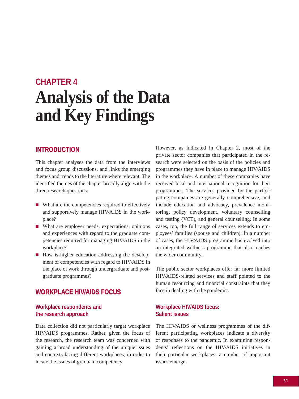# **CHAPTER 4 HAPTER Analysis of the Data and Key Findings**

# **INTRODUCTION**

This chapter analyses the data from the interviews and focus group discussions, and links the emerging themes and trends to the literature where relevant. The identified themes of the chapter broadly align with the three research questions:

- What are the competencies required to effectively and supportively manage HIV/AIDS in the workplace?
- What are employer needs, expectations, opinions and experiences with regard to the graduate competencies required for managing HIV/AIDS in the workplace?
- How is higher education addressing the development of competencies with regard to HIV/AIDS in the place of work through undergraduate and postgraduate programmes?

# **WORKPLACE HIV/AIDS FOCUS**

# **Workplace respondents and the research approach**

Data collection did not particularly target workplace HIV/AIDS programmes. Rather, given the focus of the research, the research team was concerned with gaining a broad understanding of the unique issues and contexts facing different workplaces, in order to locate the issues of graduate competency.

However, as indicated in Chapter 2, most of the private sector companies that participated in the research were selected on the basis of the policies and programmes they have in place to manage HIV/AIDS in the workplace. A number of these companies have received local and international recognition for their programmes. The services provided by the participating companies are generally comprehensive, and include education and advocacy, prevalence monitoring, policy development, voluntary counselling and testing (VCT), and general counselling. In some cases, too, the full range of services extends to employees' families (spouse and children). In a number of cases, the HIV/AIDS programme has evolved into an integrated wellness programme that also reaches the wider community.

The public sector workplaces offer far more limited HIV/AIDS-related services and staff pointed to the human resourcing and financial constraints that they face in dealing with the pandemic.

## **Workplace HIV/AIDS focus: Salient issues**

The HIV/AIDS or wellness programmes of the different participating workplaces indicate a diversity of responses to the pandemic. In examining respondents' reflections on the HIV/AIDS initiatives in their particular workplaces, a number of important issues emerge.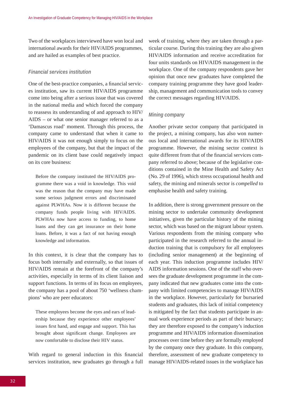Two of the workplaces interviewed have won local and international awards for their HIV/AIDS programmes, and are hailed as examples of best practice.

#### *Financial services institution*

One of the best-practice companies, a financial services institution, saw its current HIV/AIDS programme come into being after a serious issue that was covered in the national media and which forced the company to reassess its understanding of and approach to HIV/ AIDS – or what one senior manager referred to as a 'Damascus road' moment. Through this process, the company came to understand that when it came to HIV/AIDS it was not enough simply to focus on the employees of the company, but that the impact of the pandemic on its client base could negatively impact on its core business:

Before the company instituted the HIV/AIDS programme there was a void in knowledge. This void was the reason that the company may have made some serious judgment errors and discriminated against PLWHAs. Now it is different because the company funds people living with HIV/AIDS. PLWHAs now have access to funding, to home loans and they can get insurance on their home loans. Before, it was a fact of not having enough knowledge and information.

In this context, it is clear that the company has to focus both internally and externally, so that issues of HIV/AIDS remain at the forefront of the company's activities, especially in terms of its client liaison and support functions. In terms of its focus on employees, the company has a pool of about 750 'wellness champions' who are peer educators:

These employees become the eyes and ears of leadership because they experience other employees' issues first hand, and engage and support. This has brought about significant change. Employees are now comfortable to disclose their HIV status.

With regard to general induction in this financial services institution, new graduates go through a full week of training, where they are taken through a particular course. During this training they are also given HIV/AIDS information and receive accreditation for four units standards on HIV/AIDS management in the workplace. One of the company respondents gave her opinion that once new graduates have completed the company training programme they have good leadership, management and communication tools to convey the correct messages regarding HIV/AIDS.

#### *Mining company*

Another private sector company that participated in the project, a mining company, has also won numerous local and international awards for its HIV/AIDS programme. However, the mining sector context is quite different from that of the financial services company referred to above; because of the legislative conditions contained in the Mine Health and Safety Act (No. 29 of 1996), which stress occupational health and safety, the mining and minerals sector is *compelled* to emphasise health and safety training.

In addition, there is strong government pressure on the mining sector to undertake community development initiatives, given the particular history of the mining sector, which was based on the migrant labour system. Various respondents from the mining company who participated in the research referred to the annual induction training that is compulsory for all employees (including senior management) at the beginning of each year. This induction programme includes HIV/ AIDS information sessions. One of the staff who oversees the graduate development programme in the company indicated that new graduates come into the company with limited competencies to manage HIV/AIDS in the workplace. However, particularly for bursaried students and graduates, this lack of initial competency is mitigated by the fact that students participate in annual work experience periods as part of their bursary; they are therefore exposed to the company's induction programme and HIV/AIDS information dissemination processes over time before they are formally employed by the company once they graduate. In this company, therefore, assessment of new graduate competency to manage HIV/AIDS-related issues in the workplace has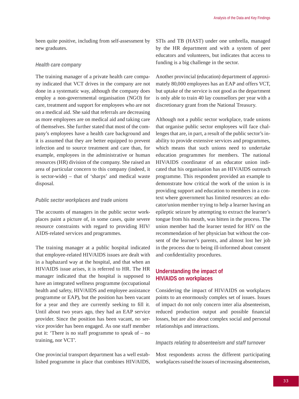been quite positive, including from self-assessment by new graduates.

#### *Health care company*

The training manager of a private health care company indicated that VCT drives in the company are not done in a systematic way, although the company does employ a non-governmental organisation (NGO) for care, treatment and support for employees who are not on a medical aid. She said that referrals are decreasing as more employees are on medical aid and taking care of themselves. She further stated that most of the company's employees have a health care background and it is assumed that they are better equipped to prevent infection and to source treatment and care than, for example, employees in the administrative or human resources (HR) division of the company. She raised an area of particular concern to this company (indeed, it is sector-wide) – that of 'sharps' and medical waste disposal.

#### *Public sector workplaces and trade unions*

The accounts of managers in the public sector workplaces paint a picture of, in some cases, quite severe resource constraints with regard to providing HIV/ AIDS-related services and programmes.

The training manager at a public hospital indicated that employee-related HIV/AIDS issues are dealt with in a haphazard way at the hospital, and that when an HIV/AIDS issue arises, it is referred to HR. The HR manager indicated that the hospital is supposed to have an integrated wellness programme (occupational health and safety, HIV/AIDS and employee assistance programme or EAP), but the position has been vacant for a year and they are currently seeking to fill it. Until about two years ago, they had an EAP service provider. Since the position has been vacant, no service provider has been engaged. As one staff member put it: 'There is no staff programme to speak of – no training, nor VCT'.

One provincial transport department has a well established programme in place that combines HIV/AIDS,

STIs and TB (HAST) under one umbrella, managed by the HR department and with a system of peer educators and volunteers, but indicates that access to funding is a big challenge in the sector.

Another provincial (education) department of approximately 80,000 employees has an EAP and offers VCT, but uptake of the service is not good as the department is only able to train 40 lay counsellors per year with a discretionary grant from the National Treasury.

Although not a public sector workplace, trade unions that organise public sector employees will face challenges that are, in part, a result of the public sector's inability to provide extensive services and programmes, which means that such unions need to undertake education programmes for members. The national HIV/AIDS coordinator of an educator union indicated that his organisation has an HIV/AIDS outreach programme. This respondent provided an example to demonstrate how critical the work of the union is in providing support and education to members in a context where government has limited resources: an educator/union member trying to help a learner having an epileptic seizure by attempting to extract the learner's tongue from his mouth, was bitten in the process. The union member had the learner tested for HIV on the recommendation of her physician but without the consent of the learner's parents, and almost lost her job in the process due to being ill-informed about consent and confidentiality procedures.

# **Understanding the impact of HIV/AIDS on workplaces**

Considering the impact of HIV/AIDS on workplaces points to an enormously complex set of issues. Issues of impact do not only concern inter alia absenteeism, reduced production output and possible financial losses, but are also about complex social and personal relationships and interactions.

#### *Impacts relating to absenteeism and staff turnover*

Most respondents across the different participating workplaces raised the issues of increasing absenteeism,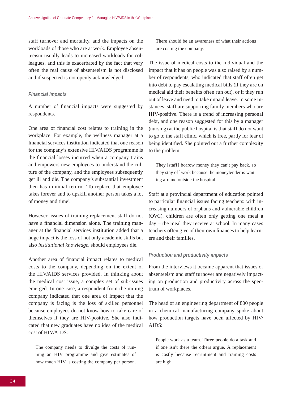staff turnover and mortality, and the impacts on the workloads of those who are at work. Employee absenteeism usually leads to increased workloads for colleagues, and this is exacerbated by the fact that very often the real cause of absenteeism is not disclosed and if suspected is not openly acknowledged.

#### *Financial impacts*

A number of financial impacts were suggested by respondents.

One area of financial cost relates to training in the workplace. For example, the wellness manager at a financial services institution indicated that one reason for the company's extensive HIV/AIDS programme is the financial losses incurred when a company trains and empowers new employees to understand the culture of the company, and the employees subsequently get ill and die. The company's substantial investment then has minimal return: 'To replace that employee takes forever and to upskill another person takes a lot of money and time'.

However, issues of training replacement staff do not have a financial dimension alone. The training manager at the financial services institution added that a huge impact is the loss of not only academic skills but also *institutional knowledge*, should employees die.

Another area of financial impact relates to medical costs to the company, depending on the extent of the HIV/AIDS services provided. In thinking about the medical cost issue, a complex set of sub-issues emerged. In one case, a respondent from the mining company indicated that one area of impact that the company is facing is the loss of skilled personnel because employees do not know how to take care of themselves if they are HIV-positive. She also indicated that new graduates have no idea of the medical cost of HIV/AIDS:

The company needs to divulge the costs of running an HIV programme and give estimates of how much HIV is costing the company per person.

There should be an awareness of what their actions are costing the company.

The issue of medical costs to the individual and the impact that it has on people was also raised by a number of respondents, who indicated that staff often get into debt to pay escalating medical bills (if they are on medical aid their benefits often run out), or if they run out of leave and need to take unpaid leave. In some instances, staff are supporting family members who are HIV-positive. There is a trend of increasing personal debt, and one reason suggested for this by a manager (nursing) at the public hospital is that staff do not want to go to the staff clinic, which is free, partly for fear of being identified. She pointed out a further complexity to the problem:

They [staff] borrow money they can't pay back, so they stay off work because the moneylender is waiting around outside the hospital.

Staff at a provincial department of education pointed to particular financial issues facing teachers: with increasing numbers of orphans and vulnerable children (OVC), children are often only getting one meal a day – the meal they receive at school. In many cases teachers often give of their own finances to help learners and their families.

#### *Production and productivity impacts*

From the interviews it became apparent that issues of absenteeism and staff turnover are negatively impacting on production and productivity across the spectrum of workplaces.

The head of an engineering department of 800 people in a chemical manufacturing company spoke about how production targets have been affected by HIV/ AIDS:

People work as a team. Three people do a task and if one isn't there the others argue. A replacement is costly because recruitment and training costs are high.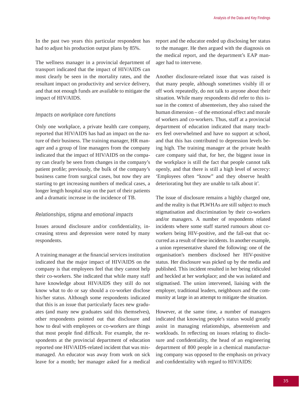In the past two years this particular respondent has had to adjust his production output plans by 85%.

The wellness manager in a provincial department of transport indicated that the impact of HIV/AIDS can most clearly be seen in the mortality rates, and the resultant impact on productivity and service delivery, and that not enough funds are available to mitigate the impact of HIV/AIDS.

#### *Impacts on workplace core functions*

Only one workplace, a private health care company, reported that HIV/AIDS has had an impact on the nature of their business. The training manager, HR manager and a group of line managers from the company indicated that the impact of HIV/AIDS on the company can clearly be seen from changes in the company's patient profile; previously, the bulk of the company's business came from surgical cases, but now they are starting to get increasing numbers of medical cases, a longer length hospital stay on the part of their patients and a dramatic increase in the incidence of TB.

#### *Relationships, stigma and emotional impacts*

Issues around disclosure and/or confidentiality, increasing stress and depression were noted by many respondents.

A training manager at the financial services institution indicated that the major impact of HIV/AIDS on the company is that employees feel that they cannot help their co-workers. She indicated that while many staff have knowledge about HIV/AIDS they still do not know what to do or say should a co-worker disclose his/her status. Although some respondents indicated that this is an issue that particularly faces new graduates (and many new graduates said this themselves), other respondents pointed out that disclosure and how to deal with employees or co-workers are things that most people find difficult. For example, the respondents at the provincial department of education reported one HIV/AIDS-related incident that was mismanaged. An educator was away from work on sick leave for a month; her manager asked for a medical report and the educator ended up disclosing her status to the manager. He then argued with the diagnosis on the medical report, and the department's EAP manager had to intervene.

Another disclosure-related issue that was raised is that many people, although sometimes visibly ill or off work repeatedly, do not talk to anyone about their situation. While many respondents did refer to this issue in the context of absenteeism, they also raised the human dimension – of the emotional effect and morale of workers and co-workers. Thus, staff at a provincial department of education indicated that many teachers feel overwhelmed and have no support at school, and that this has contributed to depression levels being high. The training manager at the private health care company said that, for her, the biggest issue in the workplace is still the fact that people cannot talk openly, and that there is still a high level of secrecy: 'Employees often "know" and they observe health deteriorating but they are unable to talk about it'.

The issue of disclosure remains a highly charged one, and the reality is that PLWHAs are still subject to much stigmatisation and discrimination by their co-workers and/or managers. A number of respondents related incidents where some staff started rumours about coworkers being HIV-positive, and the fall-out that occurred as a result of these incidents. In another example, a union representative shared the following: one of the organisation's members disclosed her HIV-positive status. Her disclosure was picked up by the media and published. This incident resulted in her being ridiculed and heckled at her workplace; and she was isolated and stigmatised. The union intervened, liaising with the employer, traditional leaders, neighbours and the community at large in an attempt to mitigate the situation.

However, at the same time, a number of managers indicated that knowing people's status would greatly assist in managing relationships, absenteeism and workloads. In reflecting on issues relating to disclosure and confidentiality, the head of an engineering department of 800 people in a chemical manufacturing company was opposed to the emphasis on privacy and confidentiality with regard to HIV/AIDS: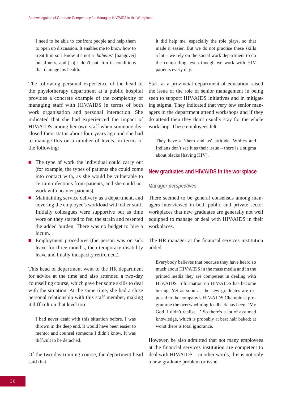I need to be able to confront people and help them to open up discussion. It enables me to know how to treat him so I know it's not a '*babelas*' [hangover] but illness, and [so] I don't put him in conditions that damage his health.

The following personal experience of the head of the physiotherapy department at a public hospital provides a concrete example of the complexity of managing staff with HIV/AIDS in terms of both work organisation and personal interaction. She indicated that she had experienced the impact of HIV/AIDS among her own staff when someone disclosed their status about four years ago and she had to manage this on a number of levels, in terms of the following:

- The type of work the individual could carry out (for example, the types of patients she could come into contact with, as she would be vulnerable to certain infections from patients, and she could not work with heavier patients).
- Maintaining service delivery as a department, and covering the employee's workload with other staff. Initially colleagues were supportive but as time wore on they started to feel the strain and resented the added burden. There was no budget to hire a locum.
- Employment procedures (the person was on sick leave for three months, then temporary disability leave and finally incapacity retirement).

This head of department went to the HR department for advice at the time and also attended a two-day counselling course, which gave her some skills to deal with the situation. At the same time, she had a close personal relationship with this staff member, making it difficult on that level too:

I had never dealt with this situation before. I was thrown in the deep end. It would have been easier to mentor and counsel someone I didn't know. It was difficult to be detached.

Of the two-day training course, the department head said that

it did help me, especially the role plays, so that made it easier. But we do not practise these skills a lot – we rely on the social work department to do the counselling, even though we work with HIV patients every day.

Staff at a provincial department of education raised the issue of the role of senior management in being seen to support HIV/AIDS initiatives and in mitigating stigma. They indicated that very few senior managers in the department attend workshops and if they do attend then they don't usually stay for the whole workshop. These employees felt:

They have a 'them and us' attitude. Whites and Indians don't see it as their issue – there is a stigma about blacks [having HIV].

#### **New graduates and HIV/AIDS in the workplace**

#### *Manager perspectives*

There seemed to be general consensus among managers interviewed in both public and private sector workplaces that new graduates are generally not well equipped to manage or deal with HIV/AIDS in their workplaces.

The HR manager at the financial services institution added:

Everybody believes that because they have heard so much about HIV/AIDS in the mass media and in the printed media they are competent in dealing with HIV/AIDS. Information on HIV/AIDS has become boring. Yet as soon as the new graduates are exposed to the company's HIV/AIDS Champions programme the overwhelming feedback has been: 'My God, I didn't realise…' So there's a lot of assumed knowledge, which is probably at best half baked; at worst there is total ignorance.

However, he also admitted that not many employees at the financial services institution are competent to deal with HIV/AIDS – in other words, this is not only a new graduate problem or issue.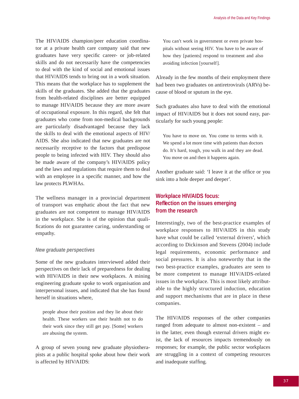The HIV/AIDS champion/peer education coordinator at a private health care company said that new graduates have very specific career- or job-related skills and do not necessarily have the competencies to deal with the kind of social and emotional issues that HIV/AIDS tends to bring out in a work situation. This means that the workplace has to supplement the skills of the graduates. She added that the graduates from health-related disciplines are better equipped to manage HIV/AIDS because they are more aware of occupational exposure. In this regard, she felt that graduates who come from non-medical backgrounds are particularly disadvantaged because they lack the skills to deal with the emotional aspects of HIV/ AIDS. She also indicated that new graduates are not necessarily receptive to the factors that predispose people to being infected with HIV. They should also be made aware of the company's HIV/AIDS policy and the laws and regulations that require them to deal with an employee in a specific manner, and how the law protects PLWHAs.

The wellness manager in a provincial department of transport was emphatic about the fact that new graduates are not competent to manage HIV/AIDS in the workplace. She is of the opinion that qualifications do not guarantee caring, understanding or empathy.

#### *New graduate perspectives*

Some of the new graduates interviewed added their perspectives on their lack of preparedness for dealing with HIV/AIDS in their new workplaces. A mining engineering graduate spoke to work organisation and interpersonal issues, and indicated that she has found herself in situations where,

people abuse their position and they lie about their health. These workers use their health not to do their work since they still get pay. [Some] workers are abusing the system.

A group of seven young new graduate physiotherapists at a public hospital spoke about how their work is affected by HIV/AIDS:

You can't work in government or even private hospitals without seeing HIV. You have to be aware of how they [patients] respond to treatment and also avoiding infection [yourself].

Already in the few months of their employment there had been two graduates on antiretrovirals (ARVs) because of blood or sputum in the eye.

Such graduates also have to deal with the emotional impact of HIV/AIDS but it does not sound easy, particularly for such young people:

You have to move on. You come to terms with it. We spend a lot more time with patients than doctors do. It's hard, tough, you walk in and they are dead. You move on and then it happens again.

Another graduate said: 'I leave it at the office or you sink into a hole deeper and deeper'.

# **Workplace HIV/AIDS focus: Refl ection on the issues emerging from the research**

Interestingly, two of the best-practice examples of workplace responses to HIV/AIDS in this study have what could be called 'external drivers', which according to Dickinson and Stevens (2004) include legal requirements, economic performance and social pressures. It is also noteworthy that in the two best-practice examples, graduates are seen to be more competent to manage HIV/AIDS-related issues in the workplace. This is most likely attributable to the highly structured induction, education and support mechanisms that are in place in these companies.

The HIV/AIDS responses of the other companies ranged from adequate to almost non-existent – and in the latter, even though external drivers might exist, the lack of resources impacts tremendously on responses; for example, the public sector workplaces are struggling in a context of competing resources and inadequate staffing.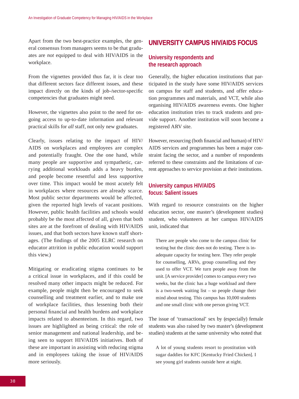Apart from the two best-practice examples, the general consensus from managers seems to be that graduates are *not* equipped to deal with HIV/AIDS in the workplace.

From the vignettes provided thus far, it is clear too that different sectors face different issues, and these impact directly on the kinds of job-/sector-specific competencies that graduates might need.

However, the vignettes also point to the need for ongoing access to up-to-date information and relevant practical skills for *all* staff, not only new graduates.

Clearly, issues relating to the impact of HIV/ AIDS on workplaces and employees are complex and potentially fraught. One the one hand, while many people are supportive and sympathetic, carrying additional workloads adds a heavy burden, and people become resentful and less supportive over time. This impact would be most acutely felt in workplaces where resources are already scarce. Most public sector departments would be affected, given the reported high levels of vacant positions. However, public health facilities and schools would probably be the most affected of all, given that both sites are at the forefront of dealing with HIV/AIDS issues, and that both sectors have known staff shortages. (The findings of the 2005 ELRC research on educator attrition in public education would support this view.)

Mitigating or eradicating stigma continues to be a critical issue in workplaces, and if this could be resolved many other impacts might be reduced. For example, people might then be encouraged to seek counselling and treatment earlier, and to make use of workplace facilities, thus lessening both their personal financial and health burdens and workplace impacts related to absenteeism. In this regard, two issues are highlighted as being critical: the role of senior management and national leadership, and being seen to support HIV/AIDS initiatives. Both of these are important in assisting with reducing stigma and in employees taking the issue of HIV/AIDS more seriously.

# **UNIVERSITY CAMPUS HIV/AIDS FOCUS**

# **University respondents and the research approach**

Generally, the higher education institutions that participated in the study have some HIV/AIDS services on campus for staff and students, and offer education programmes and materials, and VCT, while also organising HIV/AIDS awareness events. One higher education institution tries to track students and provide support. Another institution will soon become a registered ARV site.

However, resourcing (both financial and human) of HIV/ AIDS services and programmes has been a major constraint facing the sector, and a number of respondents referred to these constraints and the limitations of current approaches to service provision at their institutions.

# **University campus HIV/AIDS focus: Salient issues**

With regard to resource constraints on the higher education sector, one master's (development studies) student, who volunteers at her campus HIV/AIDS unit, indicated that

There are people who come to the campus clinic for testing but the clinic does not do testing. There is inadequate capacity for testing here. They refer people for counselling, ARVs, group counselling and they used to offer VCT. We turn people away from the unit. [A service provider] comes to campus every two weeks, but the clinic has a huge workload and there is a two-week waiting list – so people change their mind about testing. This campus has 10,000 students and one small clinic with one person giving VCT.

The issue of 'transactional' sex by (especially) female students was also raised by two master's (development studies) students at the same university who noted that

A lot of young students resort to prostitution with sugar daddies for KFC [Kentucky Fried Chicken]. I see young girl students outside here at night.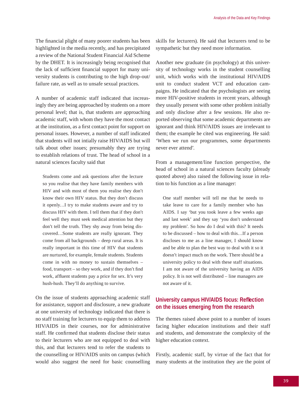The financial plight of many poorer students has been highlighted in the media recently, and has precipitated a review of the National Student Financial Aid Scheme by the DHET. It is increasingly being recognised that the lack of sufficient financial support for many university students is contributing to the high drop-out/ failure rate, as well as to unsafe sexual practices.

A number of academic staff indicated that increasingly they are being approached by students on a more personal level; that is, that students are approaching academic staff, with whom they have the most contact at the institution, as a first contact point for support on personal issues. However, a number of staff indicated that students will not intially raise HIV/AIDS but will talk about other issues; presumably they are trying to establish relations of trust. The head of school in a natural sciences faculty said that

Students come and ask questions after the lecture so you realise that they have family members with HIV and with most of them you realise they don't know their own HIV status. But they don't discuss it openly…I try to make students aware and try to discuss HIV with them. I tell them that if they don't feel well they must seek medical attention but they don't tell the truth. They shy away from being discovered…Some students are really ignorant. They come from all backgrounds – deep rural areas. It is really important in this time of HIV that students are nurtured, for example, female students. Students come in with no money to sustain themselves – food, transport – so they work, and if they don't find work, affluent students pay a price for sex. It's very hush-hush. They'll do anything to survive.

On the issue of students approaching academic staff for assistance, support and disclosure, a new graduate at one university of technology indicated that there is no staff training for lecturers to equip them to address HIV/AIDS in their courses, nor for administrative staff. He confirmed that students disclose their status to their lecturers who are not equipped to deal with this, and that lecturers tend to refer the students to the counselling or HIV/AIDS units on campus (which would also suggest the need for basic counselling

skills for lecturers). He said that lecturers tend to be sympathetic but they need more information.

Another new graduate (in psychology) at this university of technology works in the student counselling unit, which works with the institutional HIV/AIDS unit to conduct student VCT and education campaigns. He indicated that the psychologists are seeing more HIV-positive students in recent years, although they usually present with some other problem initially and only disclose after a few sessions. He also reported observing that some academic departments are ignorant and think HIV/AIDS issues are irrelevant to them; the example he cited was engineering. He said: 'When we run our programmes, some departments never ever attend'.

From a management/line function perspective, the head of school in a natural sciences faculty (already quoted above) also raised the following issue in relation to his function as a line manager:

One staff member will tell me that he needs to take leave to care for a family member who has AIDS. I say 'but you took leave a few weeks ago and last week' and they say 'you don't understand my problem'. So how do I deal with this? It needs to be discussed – how to deal with this…If a person discloses to me as a line manager, I should know and be able to plan the best way to deal with it so it doesn't impact much on the work. There should be a university policy to deal with these staff situations. I am not aware of the university having an AIDS policy. It is not well distributed – line managers are not aware of it.

# **University campus HIV/AIDS focus: Reflection on the issues emerging from the research**

The themes raised above point to a number of issues facing higher education institutions and their staff and students, and demonstrate the complexity of the higher education context.

Firstly, academic staff, by virtue of the fact that for many students at the institution they are the point of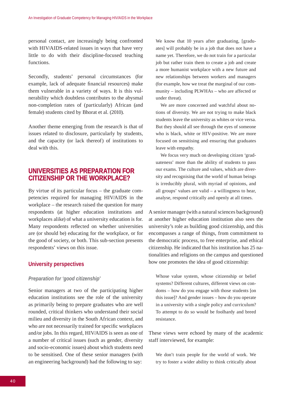personal contact, are increasingly being confronted with HIV/AIDS-related issues in ways that have very little to do with their discipline-focused teaching functions.

Secondly, students' personal circumstances (for example, lack of adequate financial resources) make them vulnerable in a variety of ways. It is this vulnerability which doubtless contributes to the abysmal non-completion rates of (particularly) African (and female) students cited by Bhorat et al. (2010).

Another theme emerging from the research is that of issues related to disclosure, particularly by students, and the capacity (or lack thereof) of institutions to deal with this.

# **UNIVERSITIES AS PREPARATION FOR NIVERSITIES AS PREPARATION CITIZENSHIP OR THE WORKPLACE?**

By virtue of its particular focus – the graduate competencies required for managing HIV/AIDS in the workplace – the research raised the question for many respondents (at higher education institutions and workplaces alike) of what a university education is for. Many respondents reflected on whether universities are (or should be) educating for the workplace, or for the good of society, or both. This sub-section presents respondents' views on this issue.

## **University perspectives**

#### *Preparation for 'good citizenship'*

Senior managers at two of the participating higher education institutions see the role of the university as primarily being to prepare graduates who are well rounded, critical thinkers who understand their social milieu and diversity in the South African context, and who are not necessarily trained for specific workplaces and/or jobs. In this regard, HIV/AIDS is seen as one of a number of critical issues (such as gender, diversity and socio-economic issues) about which students need to be sensitised. One of these senior managers (with an engineering background) had the following to say:

We know that 10 years after graduating, [graduates] will probably be in a job that does not have a name yet. Therefore, we do not train for a particular job but rather train them to create a job and create a more humanist workplace with a new future and new relationships between workers and managers (for example, how we treat the marginal of our community – including PLWHAs – who are affected or under threat).

 We are more concerned and watchful about notions of diversity. We are not trying to make black students leave the university as whites or vice versa. But they should all see through the eyes of someone who is black, white or HIV-positive. We are more focused on sensitising and ensuring that graduates leave with empathy.

 We focus very much on developing citizen 'graduateness' more than the ability of students to pass our exams. The culture and values, which are diversity and recognising that the world of human beings is irreducibly plural, with myriad of opinions, and all groups' values are valid – a willingness to hear, analyse, respond critically and openly at all times.

A senior manager (with a natural sciences background) at another higher education institution also sees the university's role as building good citizenship, and this encompasses a range of things, from commitment to the democratic process, to free enterprise, and ethical citizenship. He indicated that his institution has 25 nationalities and religions on the campus and questioned how one promotes the idea of good citizenship:

Whose value system, whose citizenship or belief systems? Different cultures, different views on condoms – how do you engage with those students [on this issue]? And gender issues – how do you operate in a university with a single policy and curriculum? To attempt to do so would be foolhardy and breed resistance.

These views were echoed by many of the academic staff interviewed, for example:

We don't train people for the world of work. We try to foster a wider ability to think critically about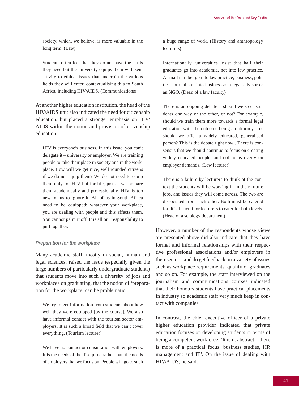society, which, we believe, is more valuable in the long term. (Law)

Students often feel that they do not have the skills they need but the university equips them with sensitivity to ethical issues that underpin the various fields they will enter, contextualising this to South Africa, including HIV/AIDS. (Communications)

At another higher education institution, the head of the HIV/AIDS unit also indicated the need for citizenship education, but placed a stronger emphasis on HIV/ AIDS within the notion and provision of citizenship education:

HIV is everyone's business. In this issue, you can't delegate it – university or employer. We are training people to take their place in society and in the workplace. How will we get nice, well rounded citizens if we do not equip them? We do not need to equip them only for HIV but for life, just as we prepare them academically and professionally. HIV is too new for us to ignore it. All of us in South Africa need to be equipped; whatever your workplace, you are dealing with people and this affects them. You cannot palm it off. It is all our responsibility to pull together.

#### *Preparation for the workplace*

Many academic staff, mostly in social, human and legal sciences, raised the issue (especially given the large numbers of particularly undergraduate students) that students move into such a diversity of jobs and workplaces on graduating, that the notion of 'preparation for the workplace' can be problematic:

We try to get information from students about how well they were equipped [by the course]. We also have informal contact with the tourism sector employers. It is such a broad field that we can't cover everything. (Tourism lecturer)

We have no contact or consultation with employers. It is the needs of the discipline rather than the needs of employers that we focus on. People will go to such a huge range of work. (History and anthropology lecturers)

Internationally, universities insist that half their graduates go into academia, not into law practice. A small number go into law practice, business, politics, journalism, into business as a legal advisor or an NGO. (Dean of a law faculty)

There is an ongoing debate – should we steer students one way or the other, or not? For example, should we train them more towards a formal legal education with the outcome being an attorney – or should we offer a widely educated, generalised person? This is the debate right now…There is consensus that we should continue to focus on creating widely educated people, and not focus overly on employer demands. (Law lecturer)

There is a failure by lecturers to think of the context the students will be working in in their future jobs, and issues they will come across. The two are dissociated from each other. Both must be catered for. It's difficult for lecturers to cater for both levels. (Head of a sciology department)

However, a number of the respondents whose views are presented above did also indicate that they have formal and informal relationships with their respective professional associations and/or employers in their sectors, and do get feedback on a variety of issues such as workplace requirements, quality of graduates and so on. For example, the staff interviewed on the journalism and communications courses indicated that their honours students have practical placements in industry so academic staff very much keep in contact with companies.

In contrast, the chief executive officer of a private higher education provider indicated that private education focuses on developing students in terms of being a competent workforce: 'It isn't abstract – there is more of a practical focus: business studies, HR management and IT'. On the issue of dealing with HIV/AIDS, he said: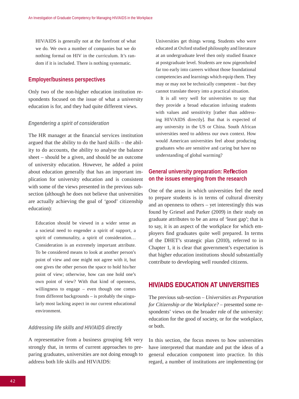HIV/AIDS is generally not at the forefront of what we do. We own a number of companies but we do nothing formal on HIV in the curriculum. It's random if it is included. There is nothing systematic.

### **Employer/business perspectives**

Only two of the non-higher education institution respondents focused on the issue of what a university education is for, and they had quite different views.

#### *Engendering a spirit of consideration*

The HR manager at the financial services institution argued that the ability to do the hard skills – the ability to do accounts, the ability to analyse the balance sheet – should be a given, and should be an outcome of university education. However, he added a point about education generally that has an important implication for university education and is consistent with some of the views presented in the previous subsection (although he does not believe that universities are actually achieving the goal of 'good' citizenship education):

Education should be viewed in a wider sense as a societal need to engender a spirit of support, a spirit of communality, a spirit of consideration… Consideration is an extremely important attribute. To be considered means to look at another person's point of view and one might not agree with it, but one gives the other person the space to hold his/her point of view; otherwise, how can one hold one's own point of view? With that kind of openness, willingness to engage – even though one comes from different backgrounds – is probably the singularly most lacking aspect in our current educational environment.

#### *Addressing life skills and HIV/AIDS directly*

A representative from a business grouping felt very strongly that, in terms of current approaches to preparing graduates, universities are not doing enough to address both life skills and HIV/AIDS:

Universities get things wrong. Students who were educated at Oxford studied philosophy and literature at an undergraduate level then only studied finance at postgraduate level. Students are now pigeonholed far too early into careers without those foundational competencies and learnings which equip them. They may or may not be technically competent – but they cannot translate theory into a practical situation.

 It is all very well for universities to say that they provide a broad education infusing students with values and sensitivity [rather than addressing HIV/AIDS directly]. But that is expected of any university in the US or China. South African universities need to address our own context. How would American universities feel about producing graduates who are sensitive and caring but have no understanding of global warming?

### **General university preparation: Refl ection on the issues emerging from the research**

One of the areas in which universities feel the need to prepare students is in terms of cultural diversity and an openness to others – yet interestingly this was found by Griesel and Parker (2009) in their study on graduate attributes to be an area of 'least gap'; that is to say, it is an aspect of the workplace for which employers find graduates quite well prepared. In terms of the DHET's strategic plan (2010), referred to in Chapter 1, it is clear that government's expectation is that higher education institutions should substantially contribute to developing well rounded citizens.

# **HIV/AIDS EDUCATION AT UNIVERSITIES**

The previous sub-section – *Universities as Preparation for Citizenship or the Workplace?* – presented some respondents' views on the broader role of the university: education for the good of society, or for the workplace, or both.

In this section, the focus moves to how universities have interpreted that mandate and put the ideas of a general education component into practice. In this regard, a number of institutions are implementing (or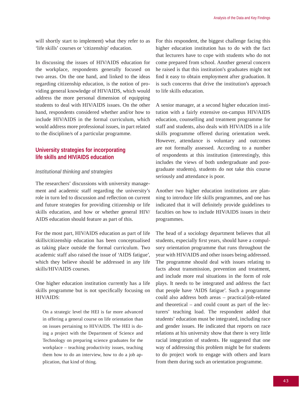will shortly start to implement) what they refer to as 'life skills' courses or 'citizenship' education.

In discussing the issues of HIV/AIDS education for the workplace, respondents generally focused on two areas. On the one hand, and linked to the ideas regarding citizenship education, is the notion of providing general knowledge of HIV/AIDS, which would address the more personal dimension of equipping students to deal with HIV/AIDS issues. On the other hand, respondents considered whether and/or how to include HIV/AIDS in the formal curriculum, which would address more professional issues, in part related to the discipline/s of a particular programme.

# **University strategies for incorporating life skills and HIV/AIDS education**

#### *Institutional thinking and strategies*

The researchers' discussions with university management and academic staff regarding the university's role in turn led to discussion and reflection on current and future strategies for providing citizenship or life skills education, and how or whether general HIV/ AIDS education should feature as part of this.

For the most part, HIV/AIDS education as part of life skills/citizenship education has been conceptualised as taking place outside the formal curriculum. Two academic staff also raised the issue of 'AIDS fatigue', which they believe should be addressed in any life skills/HIV/AIDS courses.

One higher education institution currently has a life skills programme but is not specifically focusing on HIV/AIDS:

On a strategic level the HEI is far more advanced in offering a general course on life orientation than on issues pertaining to HIV/AIDS. The HEI is doing a project with the Department of Science and Technology on preparing science graduates for the workplace – teaching productivity issues, teaching them how to do an interview, how to do a job application, that kind of thing.

For this respondent, the biggest challenge facing this higher education institution has to do with the fact that lecturers have to cope with students who do not come prepared from school. Another general concern he raised is that this institution's graduates might not find it easy to obtain employment after graduation. It is such concerns that drive the institution's approach to life skills education.

A senior manager, at a second higher education institution with a fairly extensive on-campus HIV/AIDS education, counselling and treatment programme for staff and students, also deals with HIV/AIDS in a life skills programme offered during orientation week. However, attendance is voluntary and outcomes are not formally assessed. According to a number of respondents at this institution (interestingly, this includes the views of both undergraduate and postgraduate students), students do not take this course seriously and attendance is poor.

Another two higher education institutions are planning to introduce life skills programmes, and one has indicated that it will definitely provide guidelines to faculties on how to include HIV/AIDS issues in their programmes.

The head of a sociology department believes that all students, especially first years, should have a compulsory orientation programme that runs throughout the year with HIV/AIDS and other issues being addressed. The programme should deal with issues relating to facts about transmission, prevention and treatment, and include more real situations in the form of role plays. It needs to be integrated and address the fact that people have 'AIDS fatigue'. Such a programme could also address both areas – practical/job-related and theoretical – and could count as part of the lecturers' teaching load. The respondent added that students' education must be integrated, including race and gender issues. He indicated that reports on race relations at his university show that there is very little racial integration of students. He suggested that one way of addressing this problem might be for students to do project work to engage with others and learn from them during such an orientation programme.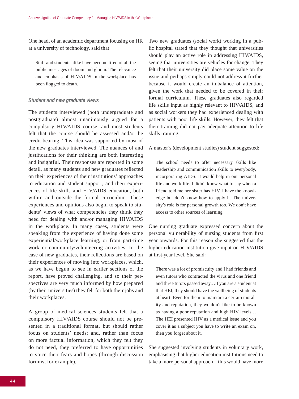One head, of an academic department focusing on HR at a university of technology, said that

Staff and students alike have become tired of all the public messages of doom and gloom. The relevance and emphasis of HIV/AIDS in the workplace has been flogged to death.

#### *Student and new graduate views*

The students interviewed (both undergraduate and postgraduate) almost unanimously argued for a compulsory HIV/AIDS course, and most students felt that the course should be assessed and/or be credit-bearing. This idea was supported by most of the new graduates interviewed. The nuances of and justifications for their thinking are both interesting and insightful. Their responses are reported in some detail, as many students and new graduates reflected on their experiences of their institutions' approaches to education and student support, and their experiences of life skills and HIV/AIDS education, both within and outside the formal curriculum. These experiences and opinions also begin to speak to students' views of what competencies they think they need for dealing with and/or managing HIV/AIDS in the workplace. In many cases, students were speaking from the experience of having done some experiential/workplace learning, or from part-time work or community/volunteering activities. In the case of new graduates, their reflections are based on their experiences of moving into workplaces, which, as we have begun to see in earlier sections of the report, have proved challenging, and so their perspectives are very much informed by how prepared (by their universities) they felt for both their jobs and their workplaces.

A group of medical sciences students felt that a compulsory HIV/AIDS course should not be presented in a traditional format, but should rather focus on students' needs; and, rather than focus on more factual information, which they felt they do not need, they preferred to have opportunities to voice their fears and hopes (through discussion forums, for example).

Two new graduates (social work) working in a public hospital stated that they thought that universities should play an active role in addressing HIV/AIDS, seeing that universities are vehicles for change. They felt that their university did place some value on the issue and perhaps simply could not address it further because it would create an imbalance of attention, given the work that needed to be covered in their formal curriculum. These graduates also regarded life skills input as highly relevant to HIV/AIDS, and as social workers they had experienced dealing with patients with poor life skills. However, they felt that their training did not pay adequate attention to life skills training.

#### A master's (development studies) student suggested:

The school needs to offer necessary skills like leadership and communication skills to everybody, incorporating AIDS. It would help in our personal life and work life. I didn't know what to say when a friend told me her sister has HIV. I have the knowledge but don't know how to apply it. The university's role is for personal growth too. We don't have access to other sources of learning.

One nursing graduate expressed concern about the personal vulnerability of nursing students from first year onwards. For this reason she suggested that the higher education institution give input on HIV/AIDS at first-year level. She said:

There was a lot of promiscuity and I had friends and even tutors who contracted the virus and one friend and three tutors passed away…If you are a student at that HEI, they should have the wellbeing of students at heart. Even for them to maintain a certain morality and reputation, they wouldn't like to be known as having a poor reputation and high HIV levels… The HEI presented HIV as a medical issue and you cover it as a subject you have to write an exam on, then you forget about it.

She suggested involving students in voluntary work, emphasising that higher education institutions need to take a more personal approach – this would have more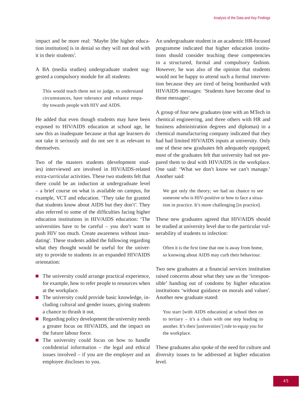impact and be more real: 'Maybe [the higher education institution] is in denial so they will not deal with it in their students'.

A BA (media studies) undergraduate student suggested a compulsory module for all students:

This would teach them not to judge, to understand circumstances, have tolerance and enhance empathy towards people with HIV and AIDS.

He added that even though students may have been exposed to HIV/AIDS education at school age, he saw this as inadequate because at that age learners do not take it seriously and do not see it as relevant to themselves.

Two of the masters students (development studies) interviewed are involved in HIV/AIDS-related extra-curricular activities. These two students felt that there could be an induction at undergraduate level – a brief course on what is available on campus, for example, VCT and education. 'They take for granted that students know about AIDS but they don't'. They also referred to some of the difficulties facing higher education institutions in HIV/AIDS education: 'The universities have to be careful – you don't want to push HIV too much. Create awareness without inundating'. These students added the following regarding what they thought would be useful for the university to provide to students in an expanded HIV/AIDS orientation:

- The university could arrange practical experience, for example, how to refer people to resources when at the workplace.
- The university could provide basic knowledge, including cultural and gender issues, giving students a chance to thrash it out.
- Regarding policy development the university needs a greater focus on HIV/AIDS, and the impact on the future labour force.
- The university could focus on how to handle confidential information  $-$  the legal and ethical issues involved – if you are the employer and an employee discloses to you.

An undergraduate student in an academic HR-focused programme indicated that higher education institutions should consider teaching these competencies in a structured, formal and compulsory fashion. However, he was also of the opinion that students would not be happy to attend such a formal intervention because they are tired of being bombarded with HIV/AIDS messages: 'Students have become deaf to those messages'.

A group of four new graduates (one with an MTech in chemical engineering, and three others with HR and business administration degrees and diplomas) in a chemical manufacturing company indicated that they had had limited HIV/AIDS inputs at university. Only one of these new graduates felt adequately equipped; most of the graduates felt that university had not prepared them to deal with HIV/AIDS in the workplace. One said: 'What we don't know we can't manage.' Another said:

We got only the theory; we had no chance to see someone who is HIV-positive or how to face a situation in practice. It's more challenging [in practice].

These new graduates agreed that HIV/AIDS should be studied at university level due to the particular vulnerability of students to infection:

Often it is the first time that one is away from home, so knowing about AIDS may curb their behaviour.

Two new graduates at a financial services institution raised concerns about what they saw as the 'irresponsible' handing out of condoms by higher education institutions 'without guidance on morals and values'. Another new graduate stated:

You start [with AIDS education] at school then on to tertiary – it's a chain with one step leading to another. It's their [universities'] role to equip you for the workplace.

These graduates also spoke of the need for culture and diversity issues to be addressed at higher education level.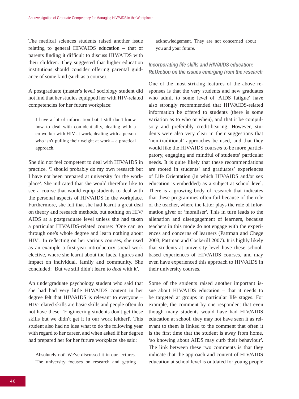The medical sciences students raised another issue relating to general HIV/AIDS education – that of parents finding it difficult to discuss HIV/AIDS with their children. They suggested that higher education institutions should consider offering parental guidance of some kind (such as a course).

A postgraduate (master's level) sociology student did not find that her studies equipped her with HIV-related competencies for her future workplace:

I have a lot of information but I still don't know how to deal with confidentiality, dealing with a co-worker with HIV at work, dealing with a person who isn't pulling their weight at work – a practical approach.

She did not feel competent to deal with HIV/AIDS in practice. 'I should probably do my own research but I have not been prepared at university for the workplace'. She indicated that she would therefore like to see a course that would equip students to deal with the personal aspects of HIV/AIDS in the workplace. Furthermore, she felt that she had learnt a great deal on theory and research methods, but nothing on HIV/ AIDS at a postgraduate level unless she had taken a particular HIV/AIDS-related course: 'One can go through one's whole degree and learn nothing about HIV'. In reflecting on her various courses, she used as an example a first-year introductory social work elective, where she learnt about the facts, figures and impact on individual, family and community. She concluded: 'But we still didn't learn to *deal* with it'.

An undergraduate psychology student who said that she had had very little HIV/AIDS content in her degree felt that HIV/AIDS is relevant to everyone – HIV-related skills are basic skills and people often do not have these: 'Engineering students don't get these skills but we didn't get it in our work [either]'. This student also had no idea what to do the following year with regard to her career, and when asked if her degree had prepared her for her future workplace she said:

Absolutely not! We've discussed it in our lectures. The university focuses on research and getting acknowledgement. They are not concerned about you and your future.

## *Incorporating life skills and HIV/AIDS education: Refl ection on the issues emerging from the research*

One of the most striking features of the above responses is that the very students and new graduates who admit to some level of 'AIDS fatigue' have also strongly recommended that HIV/AIDS-related information be offered to students (there is some variation as to who or when), and that it be compulsory and preferably credit-bearing. However, students were also very clear in their suggestions that 'non-traditional' approaches be used, and that they would like the HIV/AIDS course/s to be more participatory, engaging and mindful of students' particular needs. It is quite likely that these recommendations are rooted in students' and graduates' experiences of Life Orientation (in which HIV/AIDS and/or sex education is embedded) as a subject at school level. There is a growing body of research that indicates that these programmes often fail because of the role of the teacher, where the latter plays the role of information giver or 'moraliser'. This in turn leads to the alienation and disengagement of learners, because teachers in this mode do not engage with the experiences and concerns of learners (Pattman and Chege 2003; Pattman and Cockerill 2007). It is highly likely that students at university level have these schoolbased experiences of HIV/AIDS courses, and may even have experienced this approach to HIV/AIDS in their university courses.

Some of the students raised another important issue about HIV/AIDS education – that it needs to be targeted at groups in particular life stages. For example, the comment by one respondent that even though many students would have had HIV/AIDS education at school, they may not have seen it as relevant to them is linked to the comment that often it is the first time that the student is away from home, 'so knowing about AIDS may curb their behaviour'. The link between these two comments is that they indicate that the approach and content of HIV/AIDS education at school level is outdated for young people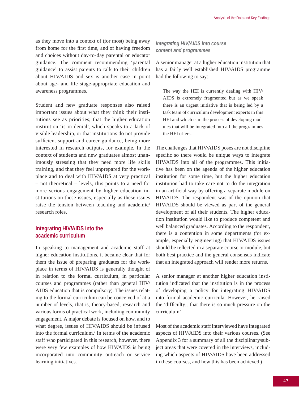as they move into a context of (for most) being away from home for the first time, and of having freedom and choices without day-to-day parental or educator guidance. The comment recommending 'parental guidance' to assist parents to talk to their children about HIV/AIDS and sex is another case in point about age- and life stage-appropriate education and awareness programmes.

Student and new graduate responses also raised important issues about what they think their institutions see as priorities; that the higher education institution 'is in denial', which speaks to a lack of visible leadership, or that institutions do not provide sufficient support and career guidance, being more interested in research outputs, for example. In the context of students and new graduates almost unanimously stressing that they need more life skills training, and that they feel unprepared for the workplace and to deal with HIV/AIDS at very practical – not theoretical – levels, this points to a need for more serious engagement by higher education institutions on these issues, especially as these issues raise the tension between teaching and academic/ research roles.

## **Integrating HIV/AIDS into the academic curriculum**

In speaking to management and academic staff at higher education institutions, it became clear that for them the issue of preparing graduates for the workplace in terms of HIV/AIDS is generally thought of in relation to the formal curriculum, in particular courses and programmes (rather than general HIV/ AIDS education that is compulsory). The issues relating to the formal curriculum can be conceived of at a number of levels, that is, theory-based, research and various forms of practical work, including community engagement. A major debate is focused on how, and to what degree, issues of HIV/AIDS should be infused into the formal curriculum.<sup>7</sup> In terms of the academic staff who participated in this research, however, there were very few examples of how HIV/AIDS is being incorporated into community outreach or service learning initiatives.

## *Integrating HIV/AIDS into course content and programmes*

A senior manager at a higher education institution that has a fairly well established HIV/AIDS programme had the following to say:

The way the HEI is currently dealing with HIV/ AIDS is extremely fragmented but as we speak there is an urgent initiative that is being led by a task team of curriculum development experts in this HEI and which is in the process of developing modules that will be integrated into all the programmes the HEI offers.

The challenges that HIV/AIDS poses are not discipline specific so there would be unique ways to integrate HIV/AIDS into all of the programmes. This initiative has been on the agenda of the higher education institution for some time, but the higher education institution had to take care not to do the integration in an artificial way by offering a separate module on HIV/AIDS. The respondent was of the opinion that HIV/AIDS should be viewed as part of the general development of all their students. The higher education institution would like to produce competent and well balanced graduates. According to the respondent, there is a contention in some departments (for example, especially engineering) that HIV/AIDS issues should be reflected in a separate course or module, but both best practice and the general consensus indicate that an integrated approach will render more returns.

A senior manager at another higher education institution indicated that the institution is in the process of developing a policy for integrating HIV/AIDS into formal academic curricula. However, he raised the 'difficulty...that there is so much pressure on the curriculum'.

Most of the academic staff interviewed have integrated aspects of HIV/AIDS into their various courses. (See Appendix 3 for a summary of all the disciplinary/subject areas that were covered in the interviews, including which aspects of HIV/AIDS have been addressed in these courses, and how this has been achieved.)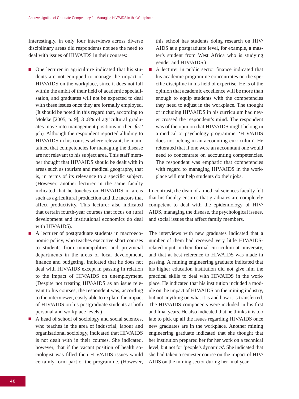Interestingly, in only four interviews across diverse disciplinary areas did respondents not see the need to deal with issues of HIV/AIDS in their courses:

- One lecturer in agriculture indicated that his students are not equipped to manage the impact of HIV/AIDS on the workplace, since it does not fall within the ambit of their field of academic specialisation, and graduates will not be expected to deal with these issues once they are formally employed. (It should be noted in this regard that, according to Moleke [2005, p. 9], 31.8% of agricultural graduates move into management positions in their *first* job). Although the respondent reported alluding to HIV/AIDS in his courses where relevant, he maintained that competencies for managing the disease are not relevant to his subject area. This staff member thought that HIV/AIDS should be dealt with in areas such as tourism and medical geography, that is, in terms of its relevance to a specific subject. (However, another lecturer in the same faculty indicated that he touches on HIV/AIDS in areas such as agricultural production and the factors that affect productivity. This lecturer also indicated that certain fourth-year courses that focus on rural development and institutional economics do deal with HIV/AIDS).
- A lecturer of postgraduate students in macroeconomic policy, who teaches executive short courses to students from municipalities and provincial departments in the areas of local development, finance and budgeting, indicated that he does not deal with HIV/AIDS except in passing in relation to the impact of HIV/AIDS on unemployment. (Despite not treating HIV/AIDS as an issue relevant to his courses, the respondent was, according to the interviewer, easily able to explain the impact of HIV/AIDS on his postgraduate students at both personal and workplace levels.)
- A head of school of sociology and social sciences, who teaches in the area of industrial, labour and organisational sociology, indicated that HIV/AIDS is not dealt with in their courses. She indicated, however, that if the vacant position of health sociologist was filled then HIV/AIDS issues would certainly form part of the programme. (However,

this school has students doing research on HIV/ AIDS at a postgraduate level, for example, a master's student from West Africa who is studying gender and HIV/AIDS.)

■ A lecturer in public sector finance indicated that his academic programme concentrates on the specific discipline in his field of expertise. He is of the opinion that academic excellence will be more than enough to equip students with the competencies they need to adjust in the workplace. The thought of including HIV/AIDS in his curriculum had never crossed the respondent's mind. The respondent was of the opinion that HIV/AIDS might belong in a medical or psychology programme: 'HIV/AIDS does not belong in an accounting curriculum'. He reiterated that if one were an accountant one would need to concentrate on accounting competencies. The respondent was emphatic that competencies with regard to managing HIV/AIDS in the workplace will not help students do their jobs.

In contrast, the dean of a medical sciences faculty felt that his faculty ensures that graduates are completely competent to deal with the epidemiology of HIV/ AIDS, managing the disease, the psychological issues, and social issues that affect family members.

The interviews with new graduates indicated that a number of them had received very little HIV/AIDSrelated input in their formal curriculum at university, and that at best reference to HIV/AIDS was made in passing. A mining engineering graduate indicated that his higher education institution did not give him the practical skills to deal with HIV/AIDS in the workplace. He indicated that his institution included a module on the impact of HIV/AIDS on the mining industry, but not anything on what it is and how it is transferred. The HIV/AIDS components were included in his first and final years. He also indicated that he thinks it is too late to pick up all the issues regarding HIV/AIDS once new graduates are in the workplace. Another mining engineering graduate indicated that she thought that her institution prepared her for her work on a technical level, but not for 'people's dynamics'. She indicated that she had taken a semester course on the impact of HIV/ AIDS on the mining sector during her final year.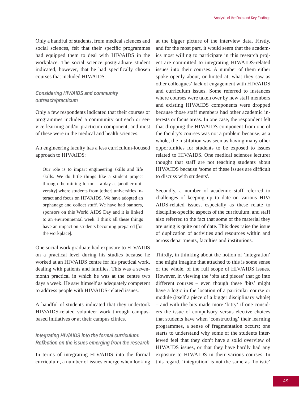Only a handful of students, from medical sciences and social sciences, felt that their specific programmes had equipped them to deal with HIV/AIDS in the workplace. The social science postgraduate student indicated, however, that he had specifically chosen courses that included HIV/AIDS.

### *Considering HIV/AIDS and community outreach/practicum*

Only a few respondents indicated that their courses or programmes included a community outreach or service learning and/or practicum component, and most of these were in the medical and health sciences.

An engineering faculty has a less curriculum-focused approach to HIV/AIDS:

Our role is to impart engineering skills and life skills. We do little things like a student project through the mining forum – a day at [another university] where students from [other] universities interact and focus on HIV/AIDS. We have adopted an orphanage and collect stuff. We have had banners, sponsors on this World AIDS Day and it is linked to an environmental week. I think all these things have an impact on students becoming prepared [for the workplace].

One social work graduate had exposure to HIV/AIDS on a practical level during his studies because he worked at an HIV/AIDS centre for his practical work, dealing with patients and families. This was a sevenmonth practical in which he was at the centre two days a week. He saw himself as adequately competent to address people with HIV/AIDS-related issues.

A handful of students indicated that they undertook HIV/AIDS-related volunteer work through campusbased initiatives or at their campus clinics.

## *Integrating HIV/AIDS into the formal curriculum: Refl ection on the issues emerging from the research*

In terms of integrating HIV/AIDS into the formal curriculum, a number of issues emerge when looking at the bigger picture of the interview data. Firstly, and for the most part, it would seem that the academics most willing to participate in this research project are committed to integrating HIV/AIDS-related issues into their courses. A number of them either spoke openly about, or hinted at, what they saw as other colleagues' lack of engagement with HIV/AIDS and curriculum issues. Some referred to instances where courses were taken over by new staff members and existing HIV/AIDS components were dropped because those staff members had other academic interests or focus areas. In one case, the respondent felt that dropping the HIV/AIDS component from one of the faculty's courses was not a problem because, as a whole, the institution was seen as having many other opportunities for students to be exposed to issues related to HIV/AIDS. One medical sciences lecturer thought that staff are not teaching students about HIV/AIDS because 'some of these issues are difficult to discuss with students'.

Secondly, a number of academic staff referred to challenges of keeping up to date on various HIV/ AIDS-related issues, especially as these relate to discipline-specific aspects of the curriculum, and staff also referred to the fact that some of the material they are using is quite out of date. This does raise the issue of duplication of activities and resources within and across departments, faculties and institutions.

Thirdly, in thinking about the notion of 'integration' one might imagine that attached to this is some sense of the whole, of the full scope of HIV/AIDS issues. However, in viewing the 'bits and pieces' that go into different courses – even though these 'bits' might have a logic in the location of a particular course or module (itself a piece of a bigger disciplinary whole) – and with the bits made more 'bitty' if one considers the issue of compulsory versus elective choices that students have when 'constructing' their learning programmes, a sense of fragmentation occurs; one starts to understand why some of the students interiewed feel that they don't have a solid overview of HIV/AIDS issues, or that they have hardly had any exposure to HIV/AIDS in their various courses. In this regard, 'integration' is not the same as 'holistic'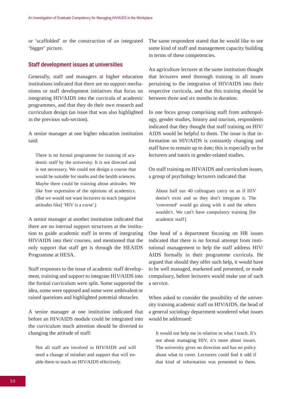or 'scaffolded' or the construction of an integrated 'bigger' picture.

#### **Staff development issues at universities**

Generally, staff and managers at higher education institutions indicated that there are no support mechanisms or staff development initiatives that focus on integrating HIV/AIDS into the curricula of academic programmes, and that they do their own research and curriculum design (an issue that was also highlighted in the previous sub-section).

A senior manager at one higher education institution said:

There is no formal programme for training of academic staff by the university. It is not directed and is not necessary. We could not design a course that would be suitable for maths and the health sciences. Maybe there could be training about attitudes. We like free expression of the opinions of academics. (But we would not want lecturers to teach [negative attitudes like] 'HIV is a curse'.)

A senior manager at another institution indicated that there are no internal support structures at the institution to guide academic staff in terms of integrating HIV/AIDS into their courses, and mentioned that the only support that staff get is through the HEAIDS Programme at HESA.

Staff responses to the issue of academic staff development, training and support to integrate HIV/AIDS into the formal curriculum were split. Some supported the idea, some were opposed and some were ambivalent or raised questions and highlighted potential obstacles.

A senior manager at one institution indicated that before an HIV/AIDS module could be integrated into the curriculum much attention should be diverted to changing the attitude of staff:

Not all staff are involved in HIV/AIDS and will need a change of mindset and support that will enable them to teach on HIV/AIDS effectively.

The same respondent stated that he would like to see some kind of staff and management capacity building in terms of these competencies.

An agriculture lecturer at the same institution thought that lecturers need thorough training in all issues pertaining to the integration of HIV/AIDS into their respective curricula, and that this training should be between three and six months in duration.

In one focus group comprising staff from anthropology, gender studies, history and tourism, respondents indicated that they thought that staff training on HIV/ AIDS would be helpful to them. The issue is that information on HIV/AIDS is constantly changing and staff have to remain up to date; this is especially so for lecturers and tutors in gender-related studies.

On staff training on HIV/AIDS and curriculum issues, a group of psychology lecturers indicated that

About half our 40 colleagues carry on as if HIV doesn't exist and so they don't integrate it. The 'converted' would go along with it and the others wouldn't. We can't have compulsory training [for academic staff].

One head of a department focusing on HR issues indicated that there is no formal attempt from institutional management to help the staff address HIV/ AIDS formally in their programme curricula. He argued that should they offer such help, it would have to be well managed, marketed and presented, or made compulsory, before lecturers would make use of such a service.

When asked to consider the possibility of the university training academic staff on HIV/AIDS, the head of a general sociology department wondered what issues would be addressed:

It would not help me in relation to what I teach. It's not about managing HIV, it's more about issues. The university gives no direction and has no policy about what to cover. Lecturers could find it odd if that kind of information was presented to them.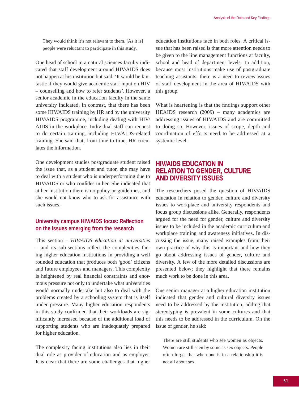They would think it's not relevant to them. [As it is] people were reluctant to participate in this study.

One head of school in a natural sciences faculty indicated that staff development around HIV/AIDS does not happen at his institution but said: 'It would be fantastic if they would give academic staff input on HIV – counselling and how to refer students'. However, a senior academic in the education faculty in the same university indicated, in contrast, that there has been some HIV/AIDS training by HR and by the university HIV/AIDS programme, including dealing with HIV/ AIDS in the workplace. Individual staff can request to do certain training, including HIV/AIDS-related training. She said that, from time to time, HR circulates the information.

One development studies postgraduate student raised the issue that, as a student and tutor, she may have to deal with a student who is underperforming due to HIV/AIDS or who confides in her. She indicated that at her institution there is no policy or guidelines, and she would not know who to ask for assistance with such issues.

# **University campus HIV/AIDS focus: Refl ection on the issues emerging from the research**

This section – *HIV/AIDS education at universities*  $-$  and its sub-sections reflect the complexities facing higher education institutions in providing a well rounded education that produces both 'good' citizens and future employees and managers. This complexity is heightened by real financial constraints and enormous pressure not only to undertake what universities would normally undertake but also to deal with the problems created by a schooling system that is itself under pressure. Many higher education respondents in this study confirmed that their workloads are significantly increased because of the additional load of supporting students who are inadequately prepared for higher education.

The complexity facing institutions also lies in their dual role as provider of education and as employer. It is clear that there are some challenges that higher education institutions face in both roles. A critical issue that has been raised is that more attention needs to be given to the line management functions at faculty, school and head of department levels. In addition, because most institutions make use of postgraduate teaching assistants, there is a need to review issues of staff development in the area of HIV/AIDS with this group.

What is heartening is that the findings support other HEAIDS research (2009) – many academics are addressing issues of HIV/AIDS and are committed to doing so. However, issues of scope, depth and coordination of efforts need to be addressed at a systemic level.

# **HIV/AIDS EDUCATION IN IV/AIDS RELATION TO GENDER, CULTURE AND DIVERSITY ISSUES**

The researchers posed the question of HIV/AIDS education in relation to gender, culture and diversity issues to workplace and university respondents and focus group discussions alike. Generally, respondents argued for the need for gender, culture and diversity issues to be included in the academic curriculum and workplace training and awareness initiatives. In discussing the issue, many raised examples from their own practice of why this is important and how they go about addressing issues of gender, culture and diversity. A few of the more detailed discussions are presented below; they highlight that there remains much work to be done in this area.

One senior manager at a higher education institution indicated that gender and cultural diversity issues need to be addressed by the institution, adding that stereotyping is prevalent in some cultures and that this needs to be addressed in the curriculum. On the issue of gender, he said:

There are still students who see women as objects. Women are still seen by some as sex objects. People often forget that when one is in a relationship it is not all about sex.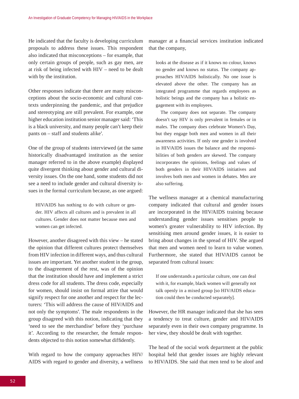He indicated that the faculty is developing curriculum proposals to address these issues. This respondent also indicated that misconceptions – for example, that only certain groups of people, such as gay men, are at risk of being infected with HIV – need to be dealt with by the institution.

Other responses indicate that there are many misconceptions about the socio-economic and cultural contexts underpinning the pandemic, and that prejudice and stereotyping are still prevalent. For example, one higher education institution senior manager said: 'This is a black university, and many people can't keep their pants on – staff and students alike'.

One of the group of students interviewed (at the same historically disadvantaged institution as the senior manager referred to in the above example) displayed quite divergent thinking about gender and cultural diversity issues. On the one hand, some students did not see a need to include gender and cultural diversity issues in the formal curriculum because, as one argued:

HIV/AIDS has nothing to do with culture or gender. HIV affects all cultures and is prevalent in all cultures. Gender does not matter because men and women can get infected.

However, another disagreed with this view – he stated the opinion that different cultures protect themselves from HIV infection in different ways, and thus cultural issues are important. Yet another student in the group, to the disagreement of the rest, was of the opinion that the institution should have and implement a strict dress code for all students. The dress code, especially for women, should insist on formal attire that would signify respect for one another and respect for the lecturers: 'This will address the cause of HIV/AIDS and not only the symptoms'. The male respondents in the group disagreed with this notion, indicating that they 'need to see the merchandise' before they 'purchase it'. According to the researcher, the female respondents objected to this notion somewhat diffidently.

With regard to how the company approaches HIV/ AIDS with regard to gender and diversity, a wellness manager at a financial services institution indicated that the company,

looks at the disease as if it knows no colour, knows no gender and knows no status. The company approaches HIV/AIDS holistically. No one issue is elevated above the other. The company has an integrated programme that regards employees as holistic beings and the company has a holistic engagement with its employees.

 The company does not separate. The company doesn't say HIV is only prevalent in females or in males. The company does celebrate Women's Day, but they engage both men and women in all their awareness activities. If only one gender is involved in HIV/AIDS issues the balance and the responsibilities of both genders are skewed. The company incorporates the opinions, feelings and values of both genders in their HIV/AIDS initiatives and involves both men and women in debates. Men are also suffering.

The wellness manager at a chemical manufacturing company indicated that cultural and gender issues are incorporated in the HIV/AIDS training because understanding gender issues sensitises people to women's greater vulnerability to HIV infection. By sensitising men around gender issues, it is easier to bring about changes in the spread of HIV. She argued that men and women need to learn to value women. Furthermore, she stated that HIV/AIDS cannot be separated from cultural issues:

If one understands a particular culture, one can deal with it, for example, black women will generally not talk openly in a mixed group [so HIV/AIDS education could then be conducted separately].

However, the HR manager indicated that she has seen a tendency to treat culture, gender and HIV/AIDS separately even in their own company programme. In her view, they should be dealt with together.

The head of the social work department at the public hospital held that gender issues are highly relevant to HIV/AIDS. She said that men tend to be aloof and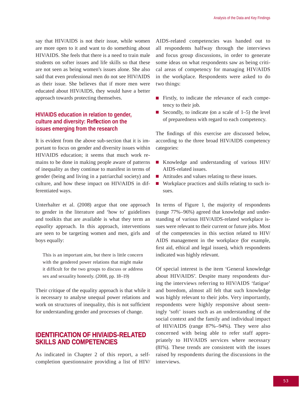say that HIV/AIDS is not their issue, while women are more open to it and want to do something about HIV/AIDS. She feels that there is a need to train male students on softer issues and life skills so that these are not seen as being women's issues alone. She also said that even professional men do not see HIV/AIDS as their issue. She believes that if more men were educated about HIV/AIDS, they would have a better approach towards protecting themselves.

# **HIV/AIDS education in relation to gender, culture and diversity: Reflection on the issues emerging from the research**

It is evident from the above sub-section that it is important to focus on gender and diversity issues within HIV/AIDS education; it seems that much work remains to be done in making people aware of patterns of inequality as they continue to manifest in terms of gender (being and living in a patriarchal society) and culture, and how these impact on HIV/AIDS in differentiated ways.

Unterhalter et al. (2008) argue that one approach to gender in the literature and 'how to' guidelines and toolkits that are available is what they term an *equality* approach. In this approach, interventions are seen to be targeting women and men, girls and boys equally:

This is an important aim, but there is little concern with the gendered power relations that might make it difficult for the two groups to discuss or address sex and sexuality honestly. (2008, pp. 18–19)

Their critique of the equality approach is that while it is necessary to analyse unequal power relations and work on structures of inequality, this is not sufficient for understanding gender and processes of change.

# **IDENTIFICATION OF HIV/AIDS-RELATED SKILLS AND COMPETENCIES**

As indicated in Chapter 2 of this report, a selfcompletion questionnaire providing a list of HIV/ AIDS-related competencies was handed out to all respondents halfway through the interviews and focus group discussions, in order to generate some ideas on what respondents saw as being critical areas of competency for managing HIV/AIDS in the workplace. Respondents were asked to do two things:

- Firstly, to indicate the relevance of each compe tency to their job.
- Secondly, to indicate (on a scale of  $1-5$ ) the level of preparedness with regard to each competency.

The findings of this exercise are discussed below, according to the three broad HIV/AIDS competency categories:

- Knowledge and understanding of various HIV/ AIDS-related issues.
- Attitudes and values relating to these issues.
- Workplace practices and skills relating to such issues.

In terms of Figure 1, the majority of respondents (range 77%–96%) agreed that knowledge and understanding of various HIV/AIDS-related workplace issues were relevant to their current or future jobs. Most of the competencies in this section related to HIV/ AIDS management in the workplace (for example, first aid, ethical and legal issues), which respondents indicated was highly relevant.

Of special interest is the item 'General knowledge about HIV/AIDS'. Despite many respondents during the interviews referring to HIV/AIDS 'fatigue' and boredom, almost all felt that such knowledge was highly relevant to their jobs. Very importantly, respondents were highly responsive about seemingly 'soft' issues such as an understanding of the social context and the family and individual impact of HIV/AIDS (range 87%–94%). They were also concerned with being able to refer staff appropriately to HIV/AIDS services where necessary (81%). These trends are consistent with the issues raised by respondents during the discussions in the interviews.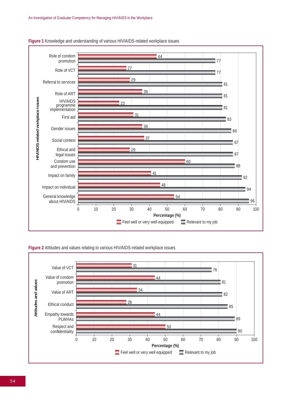



#### **Figure 2** Attitudes and values relating to various HIV/AIDS-related workplace issues

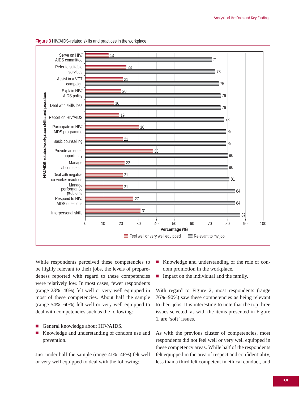

**Figure 3** HIV/AIDS-related skills and practices in the workplace

While respondents perceived these competencies to be highly relevant to their jobs, the levels of preparedeness reported with regard to these competencies were relatively low. In most cases, fewer respondents (range 23%–46%) felt well or very well equipped in most of these competencies. About half the sample (range 54%–60%) felt well or very well equipped to deal with competencies such as the following:

- General knowledge about HIV/AIDS.
- Knowledge and understanding of condom use and prevention.

Just under half the sample (range 41%–46%) felt well or very well equipped to deal with the following:

- Knowledge and understanding of the role of condom promotion in the workplace.
- Impact on the individual and the family.

With regard to Figure 2, most respondents (range 76%–90%) saw these competencies as being relevant to their jobs. It is interesting to note that the top three issues selected, as with the items presented in Figure 1, are 'soft' issues.

As with the previous cluster of competencies, most respondents did not feel well or very well equipped in these competency areas. While half of the respondents felt equipped in the area of respect and confidentiality, less than a third felt competent in ethical conduct, and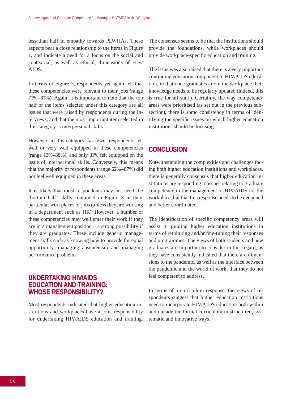less than half in empathy towards PLWHAs. These aspects bear a close relationship to the items in Figure 1, and indicate a need for a focus on the social and contextual, as well as ethical, dimensions of HIV/ AIDS.

In terms of Figure 3, respondents yet again felt that these competencies were relevant to their jobs (range 71%–87%). Again, it is important to note that the top half of the items selected under this category are all issues that were raised by respondents during the interviews; and that the most important item selected in this category is interpersonal skills.

However, in this category, far fewer respondents felt well or very well equipped in these competencies (range 13%–38%), and only 31% felt equipped on the issue of interpersonal skills. Conversely, this means that the majority of respondents (range 62%–87%) did not feel well equipped in these areas.

It is likely that most respondents may not need the 'bottom half' skills contained in Figure 3 in their particular workplaces or jobs (unless they are working in a department such as HR). However, a number of these competencies may well enter their work if they are in a management position – a strong possibility if they are graduates. These include generic management skills such as knowing how to provide for equal opportunity, managing absenteeism and managing performance problems.

# **UNDERTAKING HIV/AIDS EDUCATION AND TRAINING: WHOSE RESPONSIBILITY?**

Most respondents indicated that higher education institutions and workplaces have a joint responsibility for undertaking HIV/AIDS education and training. The consensus seems to be that the institutions should provide the foundations, while workplaces should provide workplace-specific education and training.

The issue was also raised that there is a very important continuing education component to HIV/AIDS education, in that once graduates are in the workplace their knowledge needs to be regularly updated (indeed, this is true for all staff). Certainly, the way competency areas were prioritised (as set out in the previous subsection), there is some consistency in terms of identif ving the specific issues on which higher education institutions should be focusing.

# **CONCLUSION ONCLUSION**

Notwithstanding the complexities and challenges facing both higher education instititions and workplaces, there is generally consensus that higher education institutions are responding to issues relating to graduate competency in the management of HIV/AIDS for the workplace, but that this response needs to be deepened and better coordinated.

The identification of specific competency areas will assist in guiding higher education institutions in terms of rethinking and/or fine-tuning their responses and programmes. The views of both students and new graduates are important to consider in this regard, as they have consistently indicated that there are dimensions to the pandemic, as well as the interface between the pandemic and the world of work, that they do not feel competent to address.

In terms of a curriculum response, the views of respondents suggest that higher education institutions need to incorporate HIV/AIDS education both within and outside the formal curriculum in structured, systematic and innovative ways.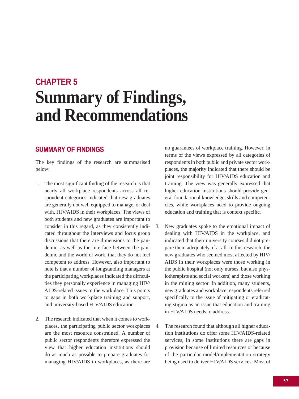# **CHAPTER 5 HAPTER Summary of Findings, and Recommendations**

# **SUMMARY OF FINDINGS**

The key findings of the research are summarised below:

- 1. The most significant finding of the research is that nearly all workplace respondents across all respondent categories indicated that new graduates are generally not well equipped to manage, or deal with, HIV/AIDS in their workplaces. The views of both students and new graduates are important to consider in this regard, as they consistently indicated throughout the interviews and focus group discussions that there are dimensions to the pandemic, as well as the interface between the pandemic and the world of work, that they do not feel competent to address. However, also important to note is that a number of longstanding managers at the participating workplaces indicated the difficulties they personally experience in managing HIV/ AIDS-related issues in the workplace. This points to gaps in both workplace training and support, and university-based HIV/AIDS education.
- 2. The research indicated that when it comes to workplaces, the participating public sector workplaces are the most resource constrained. A number of public sector respondents therefore expressed the view that higher education institutions should do as much as possible to prepare graduates for managing HIV/AIDS in workplaces, as there are

no guarantees of workplace training. However, in terms of the views expressed by all categories of respondents in both public and private sector workplaces, the majority indicated that there should be joint responsibility for HIV/AIDS education and training. The view was generally expressed that higher education institutions should provide general foundational knowledge, skills and competencies, while workplaces need to provide ongoing education and training that is context specific.

- 3. New graduates spoke to the emotional impact of dealing with HIV/AIDS in the workplace, and indicated that their university courses did not prepare them adequately, if at all. In this research, the new graduates who seemed most affected by HIV/ AIDS in their workplaces were those working in the public hospital (not only nurses, but also physiotherapists and social workers) and those working in the mining sector. In addition, many students, new graduates and workplace respondents referred specifically to the issue of mitigating or eradicating stigma as an issue that education and training in HIV/AIDS needs to address.
- 4. The research found that although all higher education institutions do offer some HIV/AIDS-related services, in some institutions there are gaps in provision because of limited resources or because of the particular model/implementation strategy being used to deliver HIV/AIDS services. Most of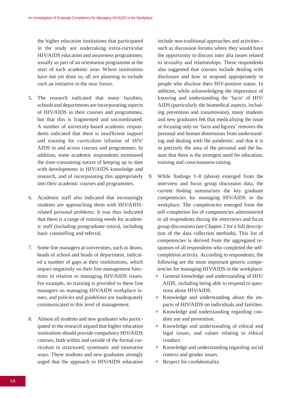the higher education institutions that participated in the study are undertaking extra-curricular HIV/AIDS education and awareness programmes, usually as part of an orientation programme at the start of each academic year. Where institutions have not yet done so, all are planning to include such an initiative in the near future.

- 5. The research indicated that many faculties, schools and departments are incorporating aspects of HIV/AIDS in their courses and programmes, but that this is fragmented and uncoordinated. A number of university-based academic respondents indicated that there is insufficient support and training for curriculum infusion of HIV/ AIDS in and across courses and programmes. In addition, some academic respondents mentioned the time-consuming nature of keeping up to date with developments in HIV/AIDS knowledge and research, and of incorporating this appropriately into their academic courses and programmes.
- 6. Academic staff also indicated that increasingly students are approaching them with HIV/AIDSrelated personal problems. It was thus indicated that there is a range of training needs for academic staff (including postgraduate tutors), including basic counselling and referral.
- 7. Some line managers at universities, such as deans, heads of school and heads of department, indicated a number of gaps at their instititutions, which impact negatively on their line management functions in relation to managing HIV/AIDS issues. For example, no training is provided to these line managers on managing HIV/AIDS workplace issues, and policies and guidelines are inadequately communicated to this level of management.
- 8. Almost all students and new graduates who participated in the research argued that higher education institutions should provide compulsory HIV/AIDS courses, both within and outside of the formal curriculum in structured, systematic and innovative ways. These students and new graduates strongly urged that the approach to HIV/AIDS education

include non-traditional approaches and activities – such as discussion forums where they would have the opportunity to discuss inter alia issues related to sexuality and relationships. These respondents also suggested that courses include dealing with disclosure and how to respond appropriately to people who disclose their HIV-positive status. In addition, while acknowledging the importance of knowing and understanding the 'facts' of HIV/ AIDS (particularly the biomedical aspects, including prevention and transmission), many students and new graduates felt that medicalising the issue or focusing only on 'facts and figures' removes the personal and human dimensions from understanding and dealing with the pandemic; and that it is in precisely the area of the personal and the human that there is the strongest need for education, training and consciousness-raising.

- 9. While findings  $1-8$  (above) emerged from the interview and focus group discussion data, the current finding summarises the key graduate competencies for managing HIV/AIDS in the workplace. The competencies emerged from the self-completion list of competencies administered to all respondents during the interviews and focus group discussions (see Chapter 2 for a full description of the data collection methods). This list of competencies is derived from the aggregated responses of all respondents who completed the selfcompletion activity. According to respondents, the following are the most important generic competencies for managing HIV/AIDS in the workplace:
	- General knowledge and understanding of HIV/ AIDS, including being able to respond to questions about HIV/AIDS.
	- Knowledge and understanding about the impacts of HIV/AIDS on individuals and families.
	- Knowledge and understanding regarding condom use and prevention.
	- Knowledge and understanding of ethical and legal issues, and values relating to ethical conduct.
	- Knowledge and understanding regarding social context and gender issues.
	- Respect for confidentiality.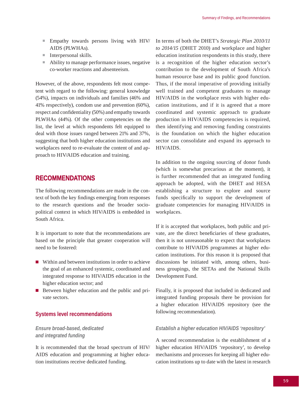- Empathy towards persons living with HIV/ AIDS (PLWHAs).
- Interpersonal skills.
- Ability to manage performance issues, negative co-worker reactions and absenteeism.

However, of the above, respondents felt most competent with regard to the following: general knowledge (54%), impacts on individuals and families (46% and 41% respectively), condom use and prevention (60%), respect and confidentiality (50%) and empathy towards PLWHAs (44%). Of the other competencies on the list, the level at which respondents felt equipped to deal with those issues ranged between 21% and 37%, suggesting that both higher education institutions and workplaces need to re-evaluate the content of and approach to HIV/AIDS education and training.

### **RECOMMENDATIONS ECOMMENDATIONS**

The following recommendations are made in the context of both the key findings emerging from responses to the research questions and the broader sociopolitical context in which HIV/AIDS is embedded in South Africa.

It is important to note that the recommendations are based on the principle that greater cooperation will need to be fostered:

- Within and between institutions in order to achieve the goal of an enhanced systemic, coordinated and integrated response to HIV/AIDS education in the higher education sector; and
- Between higher education and the public and private sectors.

#### **Systems level recommendations**

#### *Ensure broad-based, dedicated and integrated funding*

It is recommended that the broad spectrum of HIV/ AIDS education and programming at higher education institutions receive dedicated funding.

In terms of both the DHET's *Strategic Plan 2010/11 to 2014/15* (DHET 2010) and workplace and higher education institution respondents in this study, there is a recognition of the higher education sector's contribution to the development of South Africa's human resource base and its public good function. Thus, if the moral imperative of providing initially well trained and competent graduates to manage HIV/AIDS in the workplace rests with higher education institutions, and if it is agreed that a more coordinated and systemic approach to graduate production in HIV/AIDS competencies is required, then identifying and removing funding constraints is the foundation on which the higher education sector can consolidate and expand its approach to HIV/AIDS.

In addition to the ongoing sourcing of donor funds (which is somewhat precarious at the moment), it is further recommended that an integrated funding approach be adopted, with the DHET and HESA establishing a structure to explore and source funds specifically to support the development of graduate competencies for managing HIV/AIDS in workplaces.

If it is accepted that workplaces, both public and private, are the direct beneficiaries of these graduates, then it is not unreasonable to expect that workplaces contribute to HIV/AIDS programmes at higher education institutions. For this reason it is proposed that discussions be initiated with, among others, business groupings, the SETAs and the National Skills Development Fund.

Finally, it is proposed that included in dedicated and integrated funding proposals there be provision for a higher education HIV/AIDS repository (see the following recommendation).

#### *Establish a higher education HIV/AIDS 'repository'*

A second recommendation is the establishment of a higher education HIV/AIDS 'repository', to develop mechanisms and processes for keeping all higher education institutions up to date with the latest in research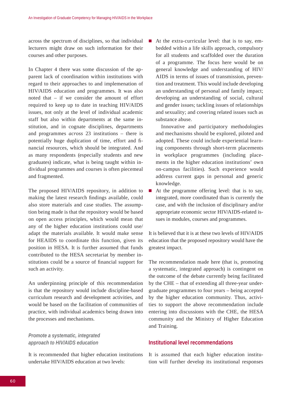across the spectrum of disciplines, so that individual lecturers might draw on such information for their courses and other purposes.

In Chapter 4 there was some discussion of the apparent lack of coordination within institutions with regard to their approaches to and implemenation of HIV/AIDS education and programmes. It was also noted that – if we consider the amount of effort required to keep up to date in teaching HIV/AIDS issues, not only at the level of individual academic staff but also within departments at the same institution, and in cognate disciplines, departments and programmes *across* 23 institutions – there is potentially huge duplication of time, effort and financial resources, which should be integrated. And as many respondents (especially students and new graduates) indicate, what is being taught within individual programmes and courses is often piecemeal and fragmented.

The proposed HIV/AIDS repository, in addition to making the latest research findings available, could also store materials and case studies. The assumption being made is that the repository would be based on open access principles, which would mean that any of the higher education institutions could use/ adapt the materials available. It would make sense for HEAIDS to coordinate this function, given its position in HESA. It is further assumed that funds contributed to the HESA secretariat by member institutions could be a source of financial support for such an activity.

An underpinning principle of this recommendation is that the repository would include discipline-based curriculum research and development activities, and would be based on the facilitation of communities of practice, with individual academics being drawn into the processes and mechanisms.

*Promote a systematic, integrated approach to HIV/AIDS education* 

It is recommended that higher education institutions undertake HIV/AIDS education at two levels:

■ At the extra-curricular level: that is to say, embedded within a life skills approach, compulsory for all students and scaffolded over the duration of a programme. The focus here would be on general knowledge and understanding of HIV/ AIDS in terms of issues of transmission, prevention and treatment. This would include developing an understanding of personal and family impact; developing an understanding of social, cultural and gender issues; tackling issues of relationships and sexuality; and covering related issues such as substance abuse.

 Innovative and participatory methodologies and mechanisms should be explored, piloted and adopted. These could include experiential learning components through short-term placements in workplace programmes (including placements in the higher education institutions' own on-campus facilities). Such experience would address current gaps in personal and generic knowledge.

■ At the programme offering level: that is to say, integrated, more coordinated than is currently the case, and with the inclusion of disciplinary and/or appropriate economic sector HIV/AIDS-related issues in modules, courses and programmes.

It is believed that it is at these two levels of HIV/AIDS education that the proposed repository would have the greatest impact.

The recommendation made here (that is, promoting a systematic, integrated approach) is contingent on the outcome of the debate currently being facilitated by the CHE – that of extending all three-year undergraduate programmes to four years – being accepted by the higher education community. Thus, activities to support the above recommendation include entering into discussions with the CHE, the HESA community and the Ministry of Higher Education and Training.

#### **Institutional level recommendations**

It is assumed that each higher education institution will further develop its institutional responses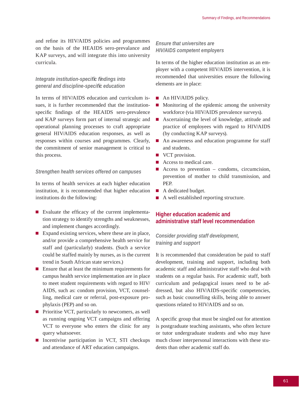and refine its HIV/AIDS policies and programmes on the basis of the HEAIDS sero-prevalance and KAP surveys, and will integrate this into university curricula.

#### *Integrate institution-specific findings into general and discipline-specifi c education*

In terms of HIV/AIDS education and curriculum issues, it is further recommended that the institutionspecific findings of the HEAIDS sero-prevalence and KAP surveys form part of internal strategic and operational planning processes to craft appropriate general HIV/AIDS education responses, as well as responses within courses and programmes. Clearly, the commitment of senior management is critical to this process.

#### *Strengthen health services offered on campuses*

In terms of health services at each higher education institution, it is recommended that higher education institutions do the following:

- $\blacksquare$  Evaluate the efficacy of the current implementation strategy to identify strengths and weaknesses, and implement changes accordingly.
- $\blacksquare$  Expand existing services, where these are in place, and/or provide a comprehensive health service for staff and (particularly) students. (Such a service could be staffed mainly by nurses, as is the current trend in South African state services.)
- Ensure that at least the minimum requirements for campus health service implementation are in place to meet student requirements with regard to HIV/ AIDS, such as: condom provision, VCT, counselling, medical care or referral, post-exposure prophylaxis (PEP) and so on.
- Prioritise VCT, particularly to newcomers, as well as running ongoing VCT campaigns and offering VCT to everyone who enters the clinic for any query whatsoever.
- Incentivise participation in VCT, STI checkups and attendance of ART education campaigns.

#### *Ensure that universites are HIV/AIDS competent employers*

In terms of the higher education institution as an employer with a competent HIV/AIDS intervention, it is recommended that universities ensure the following elements are in place:

- An HIV/AIDS policy.
- Monitoring of the epidemic among the university workforce (via HIV/AIDS prevalence surveys).
- Ascertaining the level of knowledge, attitude and practice of employees with regard to HIV/AIDS (by conducting KAP surveys).
- An awareness and education programme for staff and students.
- VCT provision.
- Access to medical care.
- Access to prevention condoms, circumcision, prevention of mother to child transmission, and PEP.
- A dedicated budget.
- A well established reporting structure.

#### **Higher education academic and administrative staff level recommendation**

#### *Consider providing staff development, training and support*

It is recommended that consideration be paid to staff development, training and support, including both academic staff and administrative staff who deal with students on a regular basis. For academic staff, both curriculum and pedagogical issues need to be addressed, but also HIV/AIDS-specific competencies, such as basic counselling skills, being able to answer questions related to HIV/AIDS and so on.

A specific group that must be singled out for attention is postgraduate teaching assistants, who often lecture or tutor undergraduate students and who may have much closer interpersonal interactions with these students than other academic staff do.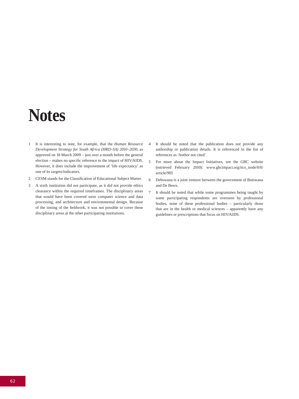# **Notes**

- 1 It is interesting to note, for example, that the *Human Resource Development Strategy for South Africa (HRD-SA) 2010*–*2030*, as approved on 18 March 2009 – just over a month before the general election – makes no specific reference to the impact of HIV/AIDS. However, it does include the improvement of 'life expectancy' as one of its targets/indicators.
- 2 CESM stands for the Classification of Educational Subject Matter.
- 3 A sixth institution did not participate, as it did not provide ethics clearance within the required timeframes. The disciplinary areas that would have been covered were computer science and data processing, and architecture and environmental design. Because of the timing of the fieldwork, it was not possible to cover these disciplinary areas at the other participating institutions.
- 4 It should be noted that the publication does not provide any authorship or publication details. It is referenced in the list of references as 'Author not cited'.
- 5 For more about the Impact Initiatives, see the GBC website (retrieved February 2010): www.gbcimpact.org/itcs\_node/0/0/ article/905
- 6 Debswana is a joint venture between the government of Botswana and De Beers.
- 7 It should be noted that while some programmes being taught by some participating respondents are overseen by professional bodies, none of these professional bodies – particularly those that are in the health or medical sciences – apparently have any guidelines or prescriptions that focus on HIV/AIDS.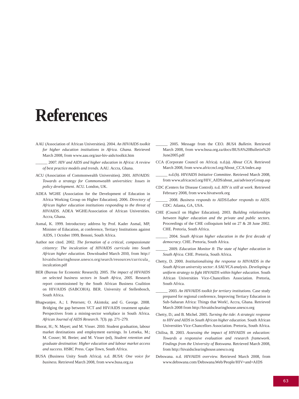# **References**

- AAU (Association of African Universities). 2004. *An HIV/AIDS toolkit for higher education institutions in Africa*. *Ghana.* Retrieved March 2008, from www.aau.org/aur-hiv-aids/toolkit.htm
- \_\_\_\_\_\_ 2007. *HIV and AIDS and higher education in Africa: A review of best practice models and trends.* AAU. Accra, Ghana.
- ACU (Association of Commonwealth Universities). 2001. *HIV/AIDS: Towards a strategy for Commonwealth universities: Issues in policy development*. ACU. London, UK.
- ADEA WGHE (Association for the Development of Education in Africa Working Group on Higher Education). 2006. *Directory of African higher education institutions responding to the threat of HIV/AIDS*. ADEA WGHE/Association of African Universities. Accra, Ghana.
- Asmal, K. 1999. Introductory address by Prof. Kader Asmal, MP, Minister of Education, at conference, Tertiary Institutions against AIDS, 1 October 1999, Benoni, South Africa.
- Author not cited. 2002. *The formation of a critical, compassionate citizenry: The inculcation of HIV/AIDS curricula into South African higher education.* Downloaded March 2010, from http:// hivaidsclearinghouse.unesco.org/search/resources/curricula\_ inculcation.pdf
- BER (Bureau for Economic Research). 2005. *The impact of HIV/AIDS on selected business sectors in South Africa, 2005.* Research report commissioned by the South African Business Coalition on HIV/AIDS (SABCOHA). BER. University of Stellenbosch, South Africa.
- Bhagwanjee, A.; I. Petersen; O. Akintola; and G. George. 2008. Bridging the gap between VCT and HIV/AIDS treatment uptake: Perspectives from a mining-sector workplace in South Africa. *African Journal of AIDS Research.* 7(3). pp. 271–279.
- Bhorat, H.; N. Mayet; and M. Visser. 2010. Student graduation, labour market destinations and employment earnings. In Letseka, M.; M. Cosser; M. Breier; and M. Visser (ed), *Student retention and graduate destination: Higher education and labour market access and success.* HSRC Press. Cape Town, South Africa.
- BUSA (Business Unity South Africa). n.d. *BUSA: One voice for business*. Retrieved March 2008, from www.busa.org.za
- \_\_\_\_\_\_ 2005. Message from the CEO. *BUSA Bulletin*. Retrieved March 2008, from www.busa.org.za/docs/BUSA%20Bulletin%20 June2005.pdf
- CCA (Corporate Council on Africa). n.d.(a). *About CCA*. Retrieved March 2008, from www.africcncl.org/About\_CCA/index.asp
- \_\_\_\_\_\_ n.d.(b). *HIV/AIDS Initiative Committee*. Retrieved March 2008, from www.africacncl.org/HIV\_AIDS/about\_aai/advisoryGroup.asp
- CDC (Centers for Disease Control). n.d. *HIV is still at work*. Retrieved February 2008, from www.hivatwork.org
- \_\_\_\_\_\_ 2008. *Business responds to AIDS*/*Labor responds to AIDS.*  CDC: Atlanta, GA, USA.
- CHE (Council on Higher Education). 2003. *Building relationships between higher education and the private and public sectors.*  Proceedings of the CHE colloquium held on 27 & 28 June 2002. CHE. Pretoria, South Africa.
- \_\_\_\_\_\_ 2004. *South African higher education in the fi rst decade of democracy.* CHE. Pretoria, South Africa.
- \_\_\_\_\_\_ 2009. *Education Monitor 8: The state of higher education in South Africa.* CHE. Pretoria, South Africa.
- Chetty, D. 2000. *Institutionalising the response to HIV/AIDS in the South African university sector: A SAUVCA analysis. Developing a uniform strategy to fight HIV/AIDS within higher education*. South African Universities Vice-Chancellors Association. Pretoria, South Africa.
- \_\_\_\_\_\_ 2003. *An HIV/AIDS toolkit for tertiary institutions*. Case study prepared for regional conference, Improving Tertiary Education in Sub-Saharan Africa: Things that Work!, Accra, Ghana. Retrieved March 2008 from http://hivaidsclearinghouse.unesco.org
- Chetty, D.; and B. Michel. 2005. *Turning the tide: A strategic response to HIV and AIDS in South African higher education.* South African Universities Vice-Chancellors Association. Pretoria, South Africa.
- Chilisa, B. 2003. *Assessing the impact of HIV/AIDS on education: Towards a responsive evaluation and research framework. Findings from the University of Botswana*. Retrieved March 2008, from http://hivaidsclearinghouse.unesco.org
- Debswana. n.d. *HIV/AIDS overview*. Retrieved March 2008, from www.debswana.com/Debswana.Web/People/HIV+and+AIDS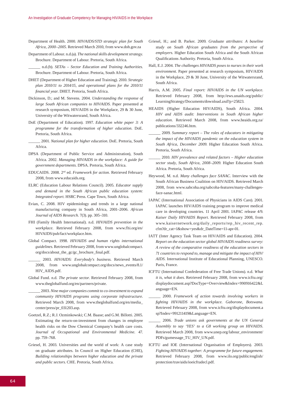- Department of Health. 2000. *HIV/AIDS/STD strategic plan for South Africa, 2000–2005*. Retrieved March 2010, from www.doh.gov.za
- Department of Labour. n.d.(a). *The national skills development strategy*. Brochure. Department of Labour. Pretoria, South Africa.
- \_\_\_\_\_\_ n.d.(b). *SETAs Sector Education and Training Authorities*. Brochure. Department of Labour. Pretoria, South Africa.
- DHET (Department of Higher Education and Training). 2010. *Strategic plan 2010/11 to 2014/15, and operational plans for the 2010/11 fi nancial year*. DHET. Pretoria, South Africa.
- Dickinson, D.; and M. Stevens. 2004. *Understanding the response of large South African companies to HIV/AIDS*. Paper presented at research symposium, HIV/AIDS in the Workplace, 29 & 30 June, University of the Witwatersrand, South Africa.
- DoE (Department of Education). 1997. *Education white paper 3: A programme for the transformation of higher education*. DoE. Pretoria, South Africa.
- \_\_\_\_\_\_ 2001. *National plan for higher education*. DoE. Pretoria, South Africa.
- DPSA (Department of Public Service and Administration), South Africa. 2002. *Managing HIV/AIDS in the workplace: A guide for government departments*. DPSA. Pretoria, South Africa.
- EDUCAIDS. 2008. 2nd ed. *Framework for action.* Retrieved February 2008, from www.educaids.org.
- ELRC (Education Labour Relations Council). 2005. *Educator supply and demand in the South African public education system: Integrated report.* HSRC Press. Cape Town, South Africa.
- Evian, C. 2008. HIV epidemiology and trends in a large national manufacturing company in South Africa, 2001–2006. *African Journal of AIDS Research*. 7(3). pp. 305–310.
- FHI (Family Health International). n.d. *HIV/AIDS prevention in the workplace*. Retrieved February 2008, from www.fhi.org/en/ HIVAIDS/pub/fact/workplace.htm.
- Global Compact. 1998. *HIV/AIDS and human rights international guidelines*. Retrieved February 2008, from www.unglobalcompact. org/docs/about\_the\_gc/gc\_brochure\_fi nal.pdf.
- \_\_\_\_\_\_ 2003. *HIV/AIDS: Everybody's business*. Retrieved March 2008, from www.unglobalcompact.org/docs/news\_events/8.1/ HIV\_AIDS.pdf.
- Global Fund. n.d. *The private sector*. Retrieved February 2008, from www.theglobalfund.org/en/partners/private.
- \_\_\_\_\_\_ 2003. *Nine major companies commit to co-investment to expand community HIV/AIDS programs using corporate infrastructure*. Retrieved March 2008, from www.theglobalfund.org/en/media\_ center/press/pr\_031203.asp.
- Goetzel, R.Z.; R.J. Ozminkowski; C.M. Baase; and G.M. Billotti. 2005. Estimating the return-on-investment from changes in employee health risks on the Dow Chemical Company's health care costs. *Journal of Occupational and Environmental Medicine*. 47. pp. 759–768.
- Griesel, H. 2003. Universities and the world of work: A case study on graduate attributes. In Council on Higher Education (CHE), *Building relationships between higher education and the private and public sectors*. CHE. Pretoria, South Africa.
- Griesel, H.; and B. Parker. 2009. *Graduate attributes: A baseline study on South African graduates from the perspective of employers.* Higher Education South Africa and the South African Qualifications Authority. Pretoria, South Africa.
- Hall, E.J. 2004. *The challenges HIV/AIDS poses to nurses in their work environment*. Paper presented at research symposium, HIV/AIDS in the Workplace, 29 & 30 June, University of the Witwatersrand, South Africa.
- Harris, A.M. 2005. *Final report: HIV/AIDS in the UN workplace*. Retrieved February 2008, from http://ews.unaids.org/public/ LearningStrategy/Documents/download.axd?p=25823.
- HEAIDS (Higher Education HIV/AIDS), South Africa. 2004. *HIV and AIDS audit: Interventions in South African higher education*. Retrieved March 2008, from www.heaids.org.za/ publications/332246.htm.
- \_\_\_\_\_\_ 2009. *Summary report The roles of educators in mitigating the impact of the HIV/AIDS pandemic on the education system in South Africa, December 2009*. Higher Education South Africa. Pretoria, South Africa.
- \_\_\_\_\_\_ 2010. *HIV prevalence and related factors Higher education sector study, South Africa, 2008–2009*. Higher Education South Africa. Pretoria, South Africa.
- Heywood, M. n.d. *Many challenges face SANAC*. Interview with the South African Business Coalition on HIV/AIDS. Retrieved March 2008, from www.sabcoha.org/sabcoha-features/many-challengesface-sanac.html.
- IAPAC (International Association of Physicians in AIDS Care). 2001. IAPAC launches HIV/AIDS training program to improve medical care in developing countries. 11 April 2001. IAPAC release 4/9. *Kaiser Daily HIV/AIDS Report*. Retrieved February 2008, from www.kaisernetwork.org/daily\_reports/rep\_hiv\_recent\_rep. cfm?dr\_cat=1&show=yes&dr\_DateTime=11-apr-01.
- IATT (Inter Agency Task Team on HIV/AIDS and Education). 2004. *Report on the education sector global HIV/AIDS readiness survey: A review of the comparative readiness of the education sectors in 71 countries to respond to, manage and mitigate the impact of HIV/ AIDS*. International Institute of Educational Planning, UNESCO. Paris, France.
- ICFTU (International Confederation of Free Trade Unions). n.d. *What it is, what it does*. Retrieved February 2008, from www.icftu.org/ displaydocument.asp?DocType=Overview&Index=990916422&L anguage=EN.
	- \_\_\_\_\_\_ 2000. *Framework of action towards involving workers in fi ghting HIV/AIDS in the workplace. Gaborone, Botswana*. Retrieved February 2008, from www.icftu.org/displaydocument.a sp?Index=991211419&Language=EN.
- \_\_\_\_\_\_ 2006. *Trade unions ask governments at the UN General Assembly to say 'YES' to a G8 working group on HIV/AIDS*. Retrieved March 2008, from www.unep.org/labour\_environment/ PDFs/gumessage\_TU\_HIV\_UN.pdf.
- ICFTU and IOE (International Organisation of Employers). 2003. *Fighting HIV/AIDS together: A programme for future engagement*. Retrieved February 2008, from www.ilo.org/public/english/ protection/trav/aids/ioeicftudecl.pdf.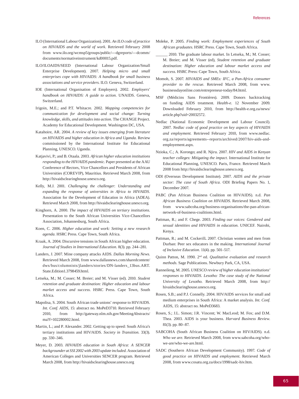- ILO (International Labour Organization). 2001. *An ILO code of practice on HIV/AIDS and the world of work*. Retrieved February 2008 from www.ilo.org/wcmsp5/groups/public/---dgreports/---dcomm/ documents/normativeinstrument/kd00015.pdf.
- ILO/ILOAIDS/SEED (International Labour Organization/Small Enterprise Development). 2007. *Helping micro and small enterprises cope with HIV/AIDS: A handbook for small business associations and service providers*. ILO. Geneva, Switzerland.
- IOE (International Organisation of Employers). 2002. *Employers' handbook on HIV/AIDS: A guide to action*. UNAIDS. Geneva, Switzerland.
- Irigoin, M.E.; and P.T. Whitacre. 2002. *Mapping competencies for communication for development and social change: Turning knowledge, skills, and attitudes into action.* The CHANGE Project. Academy for Educational Development. Washington DC, USA.
- Katahoire, AR. 2004. *A review of key issues emerging from literature on HIV/AIDS and higher education in Africa and Uganda.* Review commissioned by the International Institute for Educational Planning, UNESCO. Uganda.
- Katjavivi, P.; and B. Otaala. 2003. *African higher education institutions responding to the HIV/AIDS pandemic*. Paper presented at the AAU Conference of Rectors, Vice Chancellors and Presidents of African Universities (COREVIP), Mauritius. Retrieved March 2008, from http://hivaidsclearinghouse.unesco.org.
- Kelly, M.J. 2001. *Challenging the challenger*: *Understanding and expanding the response of universities in Africa to HIV/AIDS.*  Association for the Development of Education in Africa (ADEA). Retrieved March 2008, from http://hivaidsclearinghouse.unesco.org.
- Kinghorn, A. 2000. *The impact of HIV/AIDS on tertiary institutions*. Presentation to the South African Universities Vice-Chancellors Association, Johannesburg, South Africa.
- Koen, C. 2006. *Higher education and work: Setting a new research agenda.* HSRC Press. Cape Town, South Africa.
- Kraak, A. 2004. Discursive tensions in South African higher education. *Journal of Studies in International Education.* 8(3). pp. 244–281.
- Landers, J. 2007. Mine company attacks AIDS. *Dallas Morning News*. Retrieved March 2008, from www.dallasnews.com/sharedcontent/ dws/bus/columnists/jlanders/stories/DN-landers\_13bus.ART. State.Edition1.3798459.html.
- Letseka, M.; M. Cosser; M. Breier; and M. Visser (ed). 2010. *Student retention and graduate destination: Higher education and labour market access and success.* HSRC Press. Cape Town, South Africa.
- Mapolisa, S. 2004. South African trade unions' response to HIV/AIDS. *Int. Conf. AIDS*, 15: abstract no. MoPeD3710. Retrieved February 2010, from http://gateway.nlm.nih.gov/MeetingAbstracts/ ma?f=102280002.html.
- Martin, L.; and P. Alexander. 2002. Getting up to speed: South Africa's tertiary institutions and HIV/AIDS*. Society in Transition*. 33(3). pp. 330–346.
- Meyer, D. 2003. *HIV/AIDS education in South Africa: A SENCER backgrounder at SSI 2002 with 2003 update included.* Association of American Colleges and Universities SENCER program. Retrieved March 2008, from http://hivaidsclearinghouse.unesco.org
- Moleke, P. 2005. *Finding work: Employment experiences of South African graduates*. HSRC Press. Cape Town, South Africa.
- 2010. The graduate labour market. In Letseka, M.; M. Cosser; M. Breier; and M. Visser (ed), *Student retention and graduate destination: Higher education and labour market access and success.* HSRC Press: Cape Town, South Africa.
- Momoh, S. 2007. *HIV/AIDS and SMEs: IFC, a Pan-Africa consumer provider to the rescue*. Retrieved March 2008, from www. businessdayonline.com/entrepreneur-today/84.html.
- MSF (Médicins Sans Frontières). 2009. Donors backtracking on funding AIDS treatment. *Health-e*. 12 November 2009. Downloaded February 2010, from http://health-e.org.za/news/ article.php?uid+20032572.
- Nedlac (National Economic Development and Labour Council). 2007. *Nedlac code of good practice on key aspects of HIV/AIDS and employment.* Retrieved February 2010, from www.nedlac. org.za/reports/agreements--reports/archived/2007/hiv-aids-andemployement.aspx.
- Nzioka, C.; A. Korongo; and R. Njiru. 2007. *HIV and AIDS in Kenyan teacher colleges: Mitigating the impact.* International Institute for Educational Planning, UNESCO. Paris, France. Retrieved March 2008 from http://hivaidsclearinghouse.unesco.org.
- ODI (Overseas Development Institute). 2007. *AIDS and the private sector: The case of South Africa.* ODI Briefing Papers No. 1, December 2007.
- PABC (Pan African Business Coalition on HIV/AIDS). n.d. *Pan African Business Coalition on HIV/AIDS*. Retrieved March 2008, from www.sabcoha.org/business-organisations/the-pan-africannetwork-of-business-coalitions.html.
- Pattman, R.; and F. Chege. 2003. *Finding our voices: Gendered and sexual identities and HIV/AIDS in education*. UNICEF. Nairobi, Kenya.
- Pattman, R.; and M. Cockerill**.** 2007. Christian women and men from Durban: Peer sex educators in the making. *International Journal of Inclusive Education*. 11(4). pp. 501–517.
- Quinn Patton, M. 1990. 2nd ed. *Qualitative evaluation and research methods.* Sage Publications. Newbury Park, CA, USA.
- Ranneileng, M. 2005. *UNESCO review of higher education institutions' responses to HIV/AIDS. Lesotho: The case study of the National University of Lesotho*. Retrieved March 2008, from http:// hivaidsclearinghouse.unesco.org.
- Rosen, S.B.; and P.J. Connelly. 2004. HIV/AIDS services for small and medium enterprises in South Africa: A market analysis. *Int. Conf.*  AIDS, 15: abstract no. MoPeD3683.
- Rosen, S.; J.L. Simon; J.R. Vincent; W. MacLeod; M. Fox; and D.M. Thea. 2003. AIDS is your business. *Harvard Business Review.* 81(3). pp. 80–87.
- SABCOHA (South African Business Coalition on HIV/AIDS). n.d. *Who we are*. Retrieved March 2008, from www.sabcoha.org/whowe-are/who-we-are.html.
- SADC (Southern African Development Community). 1997. *Code of good practice on HIV/AIDS and employment*. Retrieved March 2008, from www.cosatu.org.za/docs/1998/sadc-hiv.htm.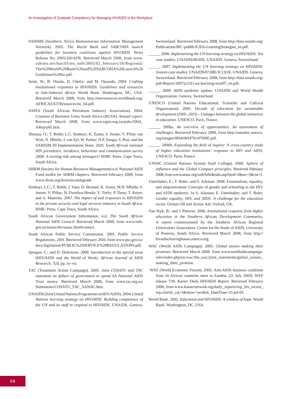- SAHIMS (Southern Africa Humanitarian Information Management Network). 2005. *The World Bank and SABCOHA launch guidelines for business coalitions against HIV/AIDS.* News Release No: 2005/326/AFR. Retrieved March 2008, from www. sahims.net/batchfiles\_web/2005/02\_february/16/Regional/ The%20World%20Bank%20and%20SABCOHA%20Launch%20 Guidelines%20for.pdf.
- Saint, W.; B. Otaala; D. Chetty; and M. Ojuando. 2004. *Crafting institutional responses to HIV/AIDS: Guidelines and resources in Sub-Saharan Africa*. World Bank. Washington, DC, USA. Retrieved March 2008, from http://siteresources.worldbank.org/ AFRICAEXT/Resources/no\_64.pdf.
- SAPIA (South African Petroleum Industry Association). 2004. Creation of Business Unity South Africa (BUSA). *Annual report*. Retrieved March 2008, from www.sapia.org.za/pubs/2004\_ ARep/p01.htm.
- Shisana, O.; T. Rehle; L.C. Simbayi; K. Zuma; S. Jooste; V. Pillay van Wyk; N. Mbelle; J. van Zyl; W. Parker; N.P. Zungu; S. Pezi; and the SABSSM III Implementation Team. 2010. *South African national HIV prevalence, incidence, behaviour and communication survey 2008: A turning tide among teenagers?* HSRC Press. Cape Town, South Africa.
- SHRM (Society for Human Resource Management) n.d. *National AIDS Fund toolkit for SHRM chapters*. Retrieved February 2008, from www.shrm.org/diversity/aidsguide.
- Simbayi, L.C.; T. Rehle; J. Vass; D. Skinner; K. Zuma; M.N. Mbelle; S. Jooste; V. Pillay; N. Dwadwa-Henda; Y. Toefy; P. Dana; T. Ketye; and A. Matevha. 2007. *The impact of and responses to HIV/AIDS in the private security and legal services industry in South Africa.*  HSRC Press. Cape Town, South Africa.
- South African Government Information. n.d*. The South African National AIDS Council*. Retrieved March 2008, from www.info. gov.za/issues/hiv/sanac.htm#contact.
- South African Public Service Commission. 2001. *Public Service Regulations, 2001*. Retrieved February 2010, from www.psc.gov.za/ docs/legislation/PUBLIC%20SERVICE%20REGULATIONS.pdf.
- Sprague, C.; and D. Dickinson. 2008. Introduction to the special issue (HIV/AIDS and the World of Work). *African Journal of AIDS Research.* 7(3). pp. iii–vii.
- TAC (Treatment Action Campaign). 2005. *Joint COSATU and TAC statement on failure of government to spend SA National AIDS Trust money*. Retrieved March 2008, from www.tac.org.za/ Statements/COSATU\_TAC\_SANAC.htm.
- UNAIDS (Joint United Nations Programme on HIV/AIDS). 2004. *United Nations learning strategy on HIV/AIDS: Building competence of the UN and its staff to respond to HIV/AIDS*. UNAIDS. Geneva,

Switzerland. Retrieved February 2008, from http://data.unaids.org/ Publications/IRC-pub06/JC816-LearningStrategies\_en.pdf.

- \_\_\_\_\_\_ 2006. *Implementing the UN learning strategy on HIV/AIDS: Ten case studies*. UNAIDS/06.05E. UNAIDS. Geneva, Switzerland.
- \_\_\_\_\_\_ 2007. *Implementing the UN learning strategy on HIV/AIDS: Sixteen case studies*. UNAIDS/07.08E/JC1311E. UNAIDS. Geneva, Switzerland. Retrieved February 2008, from http://data.unaids.org/ pub/Report/2007/jc1311-un-learning-strat07\_en.pdf.
- \_\_\_\_\_\_ 2009. *AIDS epidemic update*. UNAIDS and World Health Organization. Geneva, Switzerland.
- UNESCO (United Nations Educational, Scientific and Cultural Organization). 2005. *Decade of education for sustainable development (2005–2015) – Linkages between the global initiatives in education.* UNESCO. Paris, France.
- \_\_\_\_\_\_ 2006a. *An overview of opportunities: An assessment of challenges.* Retrieved February 2008, from http://unesdoc.unesco. org/images/0014/001479/147916E.pdf.
- \_\_\_\_\_\_ 2006b. *Expanding the fi eld of inquiry: A cross-country study of higher education institutions' response to HIV and AIDS.* UNESCO. Paris, France.
- UNSSC (United Nations System Staff College). 2000. *Sphere of infl uence and the Global Compact principles*. Retrieved February 2008, from www.unssc.org/web/hrb/details.asp?mod=2&sec=1&cur=1.
- Unterhalter, E.; T. Boler; and S. Aikman. 2008. Essentialism, equality, and empowerment: Concepts of gender and schooling in the HIV and AIDS epidemic. In S. Aikman; E. Unterhalter; and T. Boler, *Gender equality, HIV, and AIDS: A challenge for the education sector*. Oxfam GB and Action Aid. Oxford, UK.
- Van Wyk, B.; and J. Pieterse. 2006. *Institutional response from higher education in the Southern African Development Community.* A report commissioned by the Southern African Regional Universities Association. Centre for the Study of AIDS, University of Pretoria, South Africa. Retrieved March 2008, from http:// hivaidsclearinghouse.unesco.org.
- WAC (World AIDS Campaign). 2005. *Global unions making their promises*. Retrieved March 2008, from www.worldaidscampaign. info/index.php/en/wac/the\_wac/joint\_statements/global\_unions\_ making\_their\_promise.
- WEF (World Economic Forum). 2003. Anti-AIDS business coalitions from 14 African countries meet in Zambia. (21 July 2003). WEF release 7/18. *Kaiser Daily HIV/AIDS Report.* Retrieved February 2008, from www.kaisernetwork.org/daily\_reports/rep\_hiv\_recent\_ rep.cfm?dr\_cat=1&show=yes&dr\_DateTime=21-jul-03.
- World Bank. 2002. *Education and HIV/AIDS: A window of hope*. World Bank. Washington, DC, USA.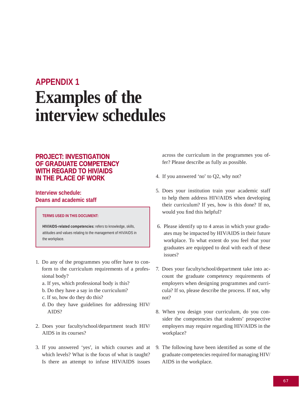## **APPENDIX 1 PPENDIX Examples of the interview schedules**

#### **PROJECT: INVESTIGATION OF GRADUATE COMPETENCY WITH REGARD TO HIV/AIDS IN THE PLACE OF WORK**

**Interview schedule: Deans and academic staff**

#### **TERMS USED IN THIS DOCUMENT:**

**HIV/AIDS-related competencies:** refers to knowledge, skills, attitudes and values relating to the management of HIV/AIDS in the workplace.

- 1. Do any of the programmes you offer have to conform to the curriculum requirements of a professional body?
	- a. If yes, which professional body is this?
	- b. Do they have a say in the curriculum?
	- c. If so, how do they do this?
	- d. Do they have guidelines for addressing HIV/ AIDS?
- 2. Does your faculty/school/department teach HIV/ AIDS in its courses?
- 3. If you answered 'yes', in which courses and at which levels? What is the focus of what is taught? Is there an attempt to infuse HIV/AIDS issues

across the curriculum in the programmes you offer? Please describe as fully as possible.

- 4. If you answered 'no' to Q2, why not?
- 5. Does your institution train your academic staff to help them address HIV/AIDS when developing their curriculum? If yes, how is this done? If no, would you find this helpful?
- 6. Please identify up to 4 areas in which your graduates may be impacted by HIV/AIDS in their future workplace. To what extent do you feel that your graduates are equipped to deal with each of these issues?
- 7. Does your faculty/school/department take into account the graduate competency requirements of employers when designing programmes and curricula? If so, please describe the process. If not, why not?
- 8. When you design your curriculum, do you consider the competencies that students' prospective employers may require regarding HIV/AIDS in the workplace?
- 9. The following have been identified as some of the graduate competencies required for managing HIV/ AIDS in the workplace.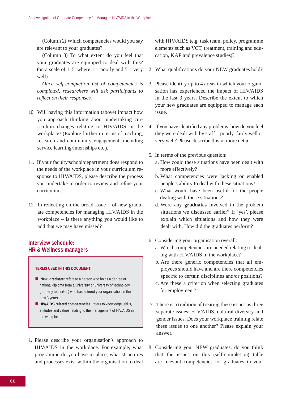(Column 2) Which competencies would you say are relevant to your graduates?

 (Column 3) To what extent do you feel that your graduates are equipped to deal with this? (on a scale of 1–5, where  $1 =$  poorly and  $5 =$  very well).

 *Once self-completion list of competencies is completed, researchers will ask participants to refl ect on their responses.*

- 10. Will having this information (above) impact how you approach thinking about undertaking curriculum changes relating to HIV/AIDS in the workplace? (Explore further in terms of teaching, research and community engagement, including service learning/internships etc.).
- 11. If your faculty/school/department does respond to the needs of the workplace in your curriculum response to HIV/AIDS, please describe the process you undertake in order to review and refine your curriculum.
- 12. In reflecting on the broad issue  $-$  of new graduate competencies for managing HIV/AIDS in the workplace – is there anything you would like to add that we may have missed?

#### **Interview schedule: HR & Wellness managers**

#### **TERMS USED IN THIS DOCUMENT:**

- 'New' graduate: refers to a person who holds a degree or national diploma from a university or university of technology (formerly technikon) who has entered your organisation in the past 3 years.
- **HIV/AIDS-related competencies: refers to knowledge, skills,** attitudes and values relating to the management of HIV/AIDS in the workplace.
- 1. Please describe your organisation's approach to HIV/AIDS in the workplace. For example, what programme do you have in place, what structures and processes exist within the organisation to deal

with HIV/AIDS (e.g. task team, policy, programme elements such as VCT, treatment, training and education, KAP and prevalence studies)?

- 2. What qualifications do your NEW graduates hold?
- 3. Please identify up to 4 areas in which your organisation has experienced the impact of HIV/AIDS in the last 3 years. Describe the extent to which your new graduates are equipped to manage each issue.
- 4. If you have identified any problems, how do you feel they were dealt with by staff – poorly, fairly well or very well? Please describe this in more detail.
- 5. In terms of the previous question:
	- a. How could these situations have been dealt with more effectively?
	- b. What competencies were lacking or enabled people's ability to deal with these situations?
	- c. What would have been useful for the people dealing with these situations?
	- d. Were any **graduates** involved in the problem situations we discussed earlier? If 'yes', please explain which situations and how they were dealt with. How did the graduates perform?
- 6. Considering your organisation overall:
	- a. Which competencies are needed relating to dealing with HIV/AIDS in the workplace?
	- b. Are there generic competencies that all employees should have and are there competencies specific to certain disciplines and/or positions?
	- c. Are these a criterion when selecting graduates for employment?
- 7. There is a tradition of treating these issues as three separate issues: HIV/AIDS, cultural diversity and gender issues. Does your workplace training relate these issues to one another? Please explain your answer.
- 8. Considering your NEW graduates, do you think that the issues on this (self-completion) table are relevant competencies for graduates in your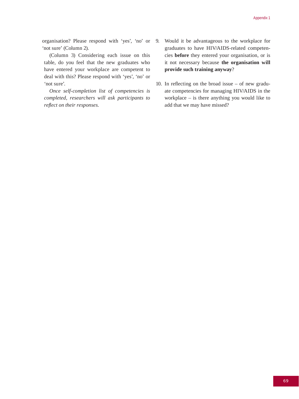organisation? Please respond with 'yes', 'no' or 'not sure' (Column 2).

 (Column 3) Considering each issue on this table, do you feel that the new graduates who have entered your workplace are competent to deal with this? Please respond with 'yes', 'no' or 'not sure'.

 *Once self-completion list of competencies is completed, researchers will ask participants to refl ect on their responses.*

- 9. Would it be advantageous to the workplace for graduates to have HIV/AIDS-related competencies **before** they entered your organisation, or is it not necessary because **the organisation will provide such training anyway**?
- 10. In reflecting on the broad issue  $-$  of new graduate competencies for managing HIV/AIDS in the workplace – is there anything you would like to add that we may have missed?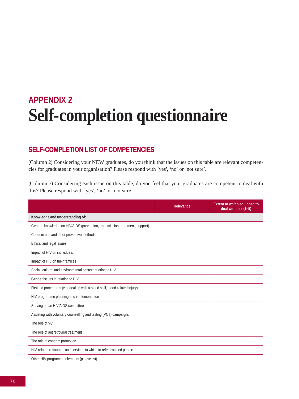## **APPENDIX 2 Self-completion questionnaire**

## **SELF-COMPLETION LIST OF COMPETENCIES**

(Column 2) Considering your NEW graduates, do you think that the issues on this table are relevant competencies for graduates in your organisation? Please respond with 'yes', 'no' or 'not sure'.

(Column 3) Considering each issue on this table, do you feel that your graduates are competent to deal with this? Please respond with 'yes', 'no' or 'not sure'

|                                                                              | Relevance | Extent to which equipped to<br>deal with this (1-5) |
|------------------------------------------------------------------------------|-----------|-----------------------------------------------------|
| Knowledge and understanding of:                                              |           |                                                     |
| General knowledge on HIV/AIDS (prevention, transmission, treatment, support) |           |                                                     |
| Condom use and other preventive methods                                      |           |                                                     |
| Ethical and legal issues                                                     |           |                                                     |
| Impact of HIV on individuals                                                 |           |                                                     |
| Impact of HIV on their families                                              |           |                                                     |
| Social, cultural and environmental context relating to HIV                   |           |                                                     |
| Gender issues in relation to HIV                                             |           |                                                     |
| First aid procedures (e.g. dealing with a blood spill, blood-related injury) |           |                                                     |
| HIV programme planning and implementation                                    |           |                                                     |
| Serving on an HIV/AIDS committee                                             |           |                                                     |
| Assisting with voluntary counselling and testing (VCT) campaigns             |           |                                                     |
| The role of VCT                                                              |           |                                                     |
| The role of antiretroviral treatment                                         |           |                                                     |
| The role of condom promotion                                                 |           |                                                     |
| HIV-related resources and services to which to refer troubled people         |           |                                                     |
| Other HIV programme elements (please list)                                   |           |                                                     |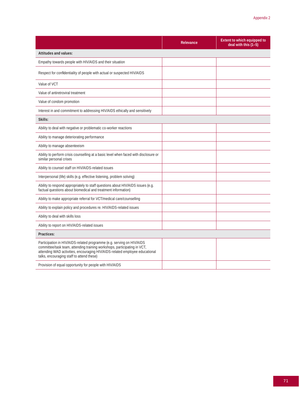|                                                                                                                                                                                                                                                                               | Relevance | Extent to which equipped to<br>deal with this (1-5) |  |
|-------------------------------------------------------------------------------------------------------------------------------------------------------------------------------------------------------------------------------------------------------------------------------|-----------|-----------------------------------------------------|--|
| Attitudes and values:                                                                                                                                                                                                                                                         |           |                                                     |  |
| Empathy towards people with HIV/AIDS and their situation                                                                                                                                                                                                                      |           |                                                     |  |
| Respect for confidentiality of people with actual or suspected HIV/AIDS                                                                                                                                                                                                       |           |                                                     |  |
| Value of VCT                                                                                                                                                                                                                                                                  |           |                                                     |  |
| Value of antiretroviral treatment                                                                                                                                                                                                                                             |           |                                                     |  |
| Value of condom promotion                                                                                                                                                                                                                                                     |           |                                                     |  |
| Interest in and commitment to addressing HIV/AIDS ethically and sensitively                                                                                                                                                                                                   |           |                                                     |  |
| Skills:                                                                                                                                                                                                                                                                       |           |                                                     |  |
| Ability to deal with negative or problematic co-worker reactions                                                                                                                                                                                                              |           |                                                     |  |
| Ability to manage deteriorating performance                                                                                                                                                                                                                                   |           |                                                     |  |
| Ability to manage absenteeism                                                                                                                                                                                                                                                 |           |                                                     |  |
| Ability to perform crisis counselling at a basic level when faced with disclosure or<br>similar personal crises                                                                                                                                                               |           |                                                     |  |
| Ability to counsel staff on HIV/AIDS-related issues                                                                                                                                                                                                                           |           |                                                     |  |
| Interpersonal (life) skills (e.g. effective listening, problem solving)                                                                                                                                                                                                       |           |                                                     |  |
| Ability to respond appropriately to staff questions about HIV/AIDS issues (e.g.<br>factual questions about biomedical and treatment information)                                                                                                                              |           |                                                     |  |
| Ability to make appropriate referral for VCT/medical care/counselling                                                                                                                                                                                                         |           |                                                     |  |
| Ability to explain policy and procedures re. HIV/AIDS-related issues                                                                                                                                                                                                          |           |                                                     |  |
| Ability to deal with skills loss                                                                                                                                                                                                                                              |           |                                                     |  |
| Ability to report on HIV/AIDS-related issues                                                                                                                                                                                                                                  |           |                                                     |  |
| Practices:                                                                                                                                                                                                                                                                    |           |                                                     |  |
| Participation in HIV/AIDS-related programme (e.g. serving on HIV/AIDS<br>committee/task team, attending training workshops, participating in VCT,<br>attending WAD activities, encouraging HIV/AIDS-related employee educational<br>talks, encouraging staff to attend these) |           |                                                     |  |
| Provision of equal opportunity for people with HIV/AIDS                                                                                                                                                                                                                       |           |                                                     |  |
|                                                                                                                                                                                                                                                                               |           |                                                     |  |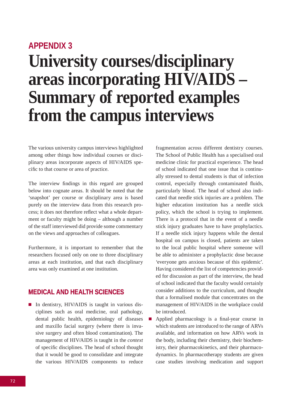# **APPENDIX 3 PPENDIX University courses/disciplinary areas incorporating HIV/AIDS – Summary of reported examples from the campus interviews**

The various university campus interviews highlighted among other things how individual courses or disciplinary areas incorporate aspects of HIV/AIDS specific to that course or area of practice.

The interview findings in this regard are grouped below into cognate areas. It should be noted that the 'snapshot' per course or disciplinary area is based purely on the interview data from this research process; it does not therefore reflect what a whole department or faculty might be doing – although a number of the staff interviewed did provide some commentary on the views and approaches of colleagues.

Furthermore, it is important to remember that the researchers focused only on one to three disciplinary areas at each institution, and that each disciplinary area was only examined at one institution.

## **MEDICAL AND HEALTH SCIENCES**

■ In dentistry, HIV/AIDS is taught in various disciplines such as oral medicine, oral pathology, dental public health, epidemiology of diseases and maxillo facial surgery (where there is invasive surgery and often blood contamination). The management of HIV/AIDS is taught in the *context*  of specific disciplines. The head of school thought that it would be good to consolidate and integrate the various HIV/AIDS components to reduce

fragmentation across different dentistry courses. The School of Public Health has a specialised oral medicine clinic for practical experience. The head of school indicated that one issue that is continually stressed to dental students is that of infection control, especially through contaminated fluids, particularly blood. The head of school also indicated that needle stick injuries are a problem. The higher education institution has a needle stick policy, which the school is trying to implement. There is a protocol that in the event of a needle stick injury graduates have to have prophylactics. If a needle stick injury happens while the dental hospital on campus is closed, patients are taken to the local public hospital where someone will be able to administer a prophylactic dose because 'everyone gets anxious because of this epidemic'. Having considered the list of competencies provided for discussion as part of the interview, the head of school indicated that the faculty would certainly consider additions to the curriculum, and thought that a formalised module that concentrates on the management of HIV/AIDS in the workplace could be introduced.

Applied pharmacology is a final-year course in which students are introduced to the range of ARVs available, and information on how ARVs work in the body, including their chemistry, their biochemistry, their pharmacokinetics, and their pharmacodynamics. In pharmacotherapy students are given case studies involving medication and support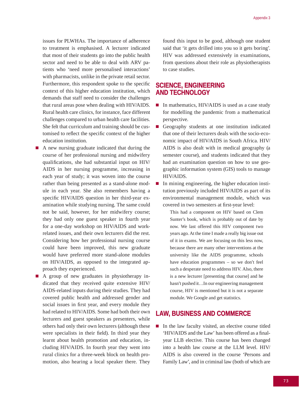issues for PLWHAs. The importance of adherence to treatment is emphasised. A lecturer indicated that most of their students go into the public health sector and need to be able to deal with ARV patients who 'need more personalised interactions' with pharmacists, unlike in the private retail sector. Furthermore, this respondent spoke to the specific context of this higher education institution, which demands that staff need to consider the challenges that rural areas pose when dealing with HIV/AIDS. Rural health care clinics, for instance, face different challenges compared to urban health care facilities. She felt that curriculum and training should be customised to reflect the specific context of the higher education institution.

- A new nursing graduate indicated that during the course of her professional nursing and midwifery qualifications, she had substantial input on HIV/ AIDS in her nursing programme, increasing in each year of study; it was woven into the course rather than being presented as a stand-alone module in each year. She also remembers having a specific HIV/AIDS question in her third-year examination while studying nursing. The same could not be said, however, for her midwifery course; they had only one guest speaker in fourth year for a one-day workshop on HIV/AIDS and workrelated issues, and their own lecturers did the rest. Considering how her professional nursing course could have been improved, this new graduate would have preferred more stand-alone modules on HIV/AIDS, as opposed to the integrated approach they experienced.
- A group of new graduates in physiotherapy indicated that they received quite extensive HIV/ AIDS-related inputs during their studies. They had covered public health and addressed gender and social issues in first year, and every module they had related to HIV/AIDS. Some had both their own lecturers and guest speakers as presenters, while others had only their own lecturers (although these were specialists in their field). In third year they learnt about health promotion and education, including HIV/AIDS. In fourth year they went into rural clinics for a three-week block on health promotion, also hearing a local speaker there. They

found this input to be good, although one student said that 'it gets drilled into you so it gets boring'. HIV was addressed extensively in examinations, from questions about their role as physiotherapists to case studies.

### **SCIENCE, ENGINEERING AND TECHNOLOGY**

- In mathematics, HIV/AIDS is used as a case study for modelling the pandemic from a mathematical perspective.
- Geography students at one institution indicated that one of their lecturers deals with the socio-economic impact of HIV/AIDS in South Africa. HIV/ AIDS is also dealt with in medical geography (a semester course), and students indicated that they had an examination question on how to use geographic information system (GIS) tools to manage HIV/AIDS.
- In mining engineering, the higher education institution previously included HIV/AIDS as part of its environmental management module, which was covered in two semesters at first-year level:

This had a component on HIV based on Clem Sunter's book, which is probably out of date by now. We last offered this HIV component two years ago. At the time I made a really big issue out of it in exams. We are focusing on this less now, because there are many other interventions at the university like the AIDS programme, schools have education programmes – so we don't feel such a desperate need to address HIV. Also, there is a new lecturer [presenting that course] and he hasn't pushed it…In our engineering management course, HIV is mentioned but it is not a separate module. We Google and get statistics.

#### **LAW, BUSINESS AND COMMERCE**

■ In the law faculty visited, an elective course titled 'HIV/AIDS and the Law' has been offered as a finalyear LLB elective. This course has been changed into a health law course at the LLM level. HIV/ AIDS is also covered in the course 'Persons and Family Law', and in criminal law (both of which are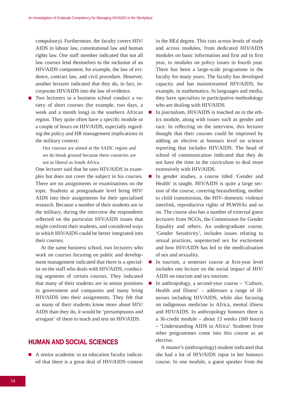compulsory). Furthermore, the faculty covers HIV/ AIDS in labour law, constitutional law and human rights law. One staff member indicated that not all law courses lend themselves to the inclusion of an HIV/AIDS component; for example, the law of evidence, contract law, and civil procedure. However, another lecturer indicated that they do, in fact, incorporate HIV/AIDS into the law of evidence.

■ Two lecturers in a business school conduct a variety of short courses (for example, two days, a week and a month long) in the southern African region. They quite often have a specific module or a couple of hours on HIV/AIDS, especially regarding the policy and HR management implications in the military context:

> Our courses are aimed at the SADC region and we do break ground because these countries are not as liberal as South Africa.

One lecturer said that he uses HIV/AIDS in examples but does not cover the subject in his courses. There are no assignments or examinations on the topic. Students at postgraduate level bring HIV/ AIDS into their assignments for their specialised research. Because a number of their students are in the military, during the interview the respondents reflected on the particular HIV/AIDS issues that might confront their students, and considered ways in which HIV/AIDS could be better integrated into their courses.

 At the same business school, two lecturers who work on courses focusing on public and development management indicated that there is a specialist on the staff who deals with HIV/AIDS, conducting segments of certain courses. They indicated that many of their students are in senior positions in government and companies and many bring HIV/AIDS into their assignments. They felt that as many of their students know more about HIV/ AIDS than they do, it would be 'presumptuous and arrogant' of them to teach and test on HIV/AIDS.

#### **HUMAN AND SOCIAL SCIENCES**

■ A senior academic in an education faculty indicated that there is a great deal of HIV/AIDS content in the BEd degree. This cuts across levels of study and across modules, from dedicated HIV/AIDS modules on basic information and first aid in first year, to modules on policy issues in fourth year. There has been a large-scale programme in the faculty for many years. The faculty has developed capacity and has mainstreamed HIV/AIDS; for example, in mathematics. In languages and media, they have specialists in participative methodology who are dealing with HIV/AIDS.

■ In journalism, HIV/AIDS is touched on in the ethics module, along with issues such as gender and race. In reflecting on the interview, this lecturer thought that their courses could be improved by adding an elective at honours level on science reporting that includes HIV/AIDS. The head of school of communication indicated that they do not have the time in the curriculum to deal more extensively with HIV/AIDS.

- In gender studies, a course titled 'Gender and Health' is taught. HIV/AIDS is quite a large section of the course, covering breastfeeding, mother to child transmission, the HIV–domestic violence interlink, reproductive rights of PLWHAs and so on. The course also has a number of external guest lecturers from NGOs, the Commission for Gender Equality and others. An undergraduate course, 'Gender Sensitivity', includes issues relating to sexual practices, unprotected sex for excitement and how HIV/AIDS has led to the medicalisation of sex and sexuality.
- In tourism, a semester course at first-year level includes one lecture on the social impact of HIV/ AIDS on tourism and sex tourism.
- In anthropology, a second-year course  $-$  'Culture, Health and Illness' – addresses a range of illnesses including HIV/AIDS, while also focusing on indigenous medicine in Africa, mental illness and HIV/AIDS. In anthropology honours there is a 16-credit module – about 13 weeks (160 hours) – 'Understanding AIDS in Africa'. Students from other programmes come into this course as an elective.

 A master's (anthropology) student indicated that she had a lot of HIV/AIDS input in her honours course. In one module, a guest speaker from the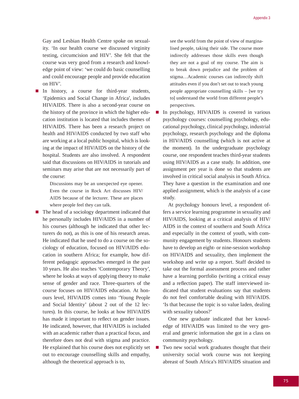Gay and Lesbian Health Centre spoke on sexuality. 'In our health course we discussed virginity testing, circumcision and HIV'. She felt that the course was very good from a research and knowledge point of view: 'we could do basic counselling and could encourage people and provide education on HIV'.

■ In history, a course for third-year students, 'Epidemics and Social Change in Africa', includes HIV/AIDS. There is also a second-year course on the history of the province in which the higher education institution is located that includes themes of HIV/AIDS. There has been a research project on health and HIV/AIDS conducted by two staff who are working at a local public hospital, which is looking at the impact of HIV/AIDS on the history of the hospital. Students are also involved. A respondent said that discussions on HIV/AIDS in tutorials and seminars may arise that are not necessarily part of the course:

> Discussions may be an unexpected eye opener. Even the course in Rock Art discusses HIV/ AIDS because of the lecturer. These are places where people feel they can talk.

■ The head of a sociology department indicated that he personally includes HIV/AIDS in a number of his courses (although he indicated that other lecturers do not), as this is one of his research areas. He indicated that he used to do a course on the sociology of education, focused on HIV/AIDS education in southern Africa; for example, how different pedagogic approaches emerged in the past 10 years. He also teaches 'Contemporary Theory', where he looks at ways of applying theory to make sense of gender and race. Three-quarters of the course focuses on HIV/AIDS education. At honours level, HIV/AIDS comes into 'Young People and Social Identity' (about 2 out of the 12 lectures). In this course, he looks at how HIV/AIDS has made it important to reflect on gender issues. He indicated, however, that HIV/AIDS is included with an academic rather than a practical focus, and therefore does not deal with stigma and practice. He explained that his course does not explicitly set out to encourage counselling skills and empathy, although the theoretical approach is to,

see the world from the point of view of marginalised people, taking their side. The course more indirectly addresses those skills even though they are not a goal of my course. The aim is to break down prejudice and the problem of stigma…Academic courses can indirectly shift attitudes even if you don't set out to teach young people appropriate counselling skills – [we try to] understand the world from different people's perspectives.

■ In psychology, HIV/AIDS is covered in various psychology courses: counselling psychology, educational psychology, clinical psychology, industrial psychology, research psychology and the diploma in HIV/AIDS counselling (which is not active at the moment). In the undergraduate psychology course, one respondent teaches third-year students using HIV/AIDS as a case study. In addition, one assignment per year is done so that students are involved in critical social analysis in South Africa. They have a question in the examination and one applied assignment, which is the analysis of a case study.

 At psychology honours level, a respondent offers a service learning programme in sexuality and HIV/AIDS, looking at a critical analysis of HIV/ AIDS in the context of southern and South Africa and especially in the context of youth, with community engagement by students. Honours students have to develop an eight- or nine-session workshop on HIV/AIDS and sexuality, then implement the workshop and write up a report. Staff decided to take out the formal assessment process and rather have a learning portfolio (writing a critical essay and a reflection paper). The staff interviewed indicated that student evaluations say that students do not feel comfortable dealing with HIV/AIDS. 'Is that because the topic is so value laden, dealing with sexuality taboos?'

 One new graduate indicated that her knowledge of HIV/AIDS was limited to the very general and generic information she got in a class on community psychology.

■ Two new social work graduates thought that their university social work course was not keeping abreast of South Africa's HIV/AIDS situation and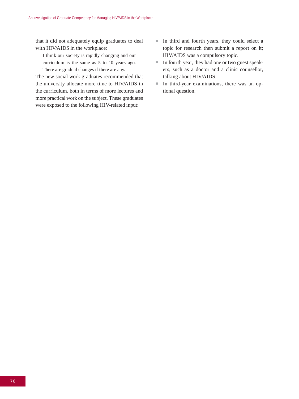that it did not adequately equip graduates to deal with HIV/AIDS in the workplace:

I think our society is rapidly changing and our curriculum is the same as 5 to 10 years ago. There are gradual changes if there are any.

The new social work graduates recommended that the university allocate more time to HIV/AIDS in the curriculum, both in terms of more lectures and more practical work on the subject. These graduates were exposed to the following HIV-related input:

- In third and fourth years, they could select a topic for research then submit a report on it; HIV/AIDS was a compulsory topic.
- In fourth year, they had one or two guest speakers, such as a doctor and a clinic counsellor, talking about HIV/AIDS.
- In third-year examinations, there was an optional question.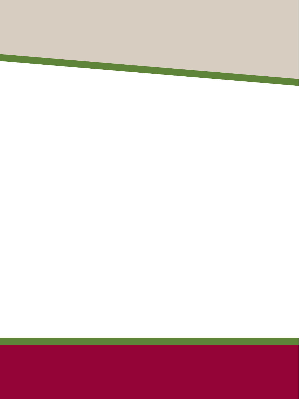<u> 1989 - Andrea Santa Andrea Andrea Andrea Andrea Andrea Andrea Andrea Andrea Andrea Andrea Andrea Andrea Andr</u>